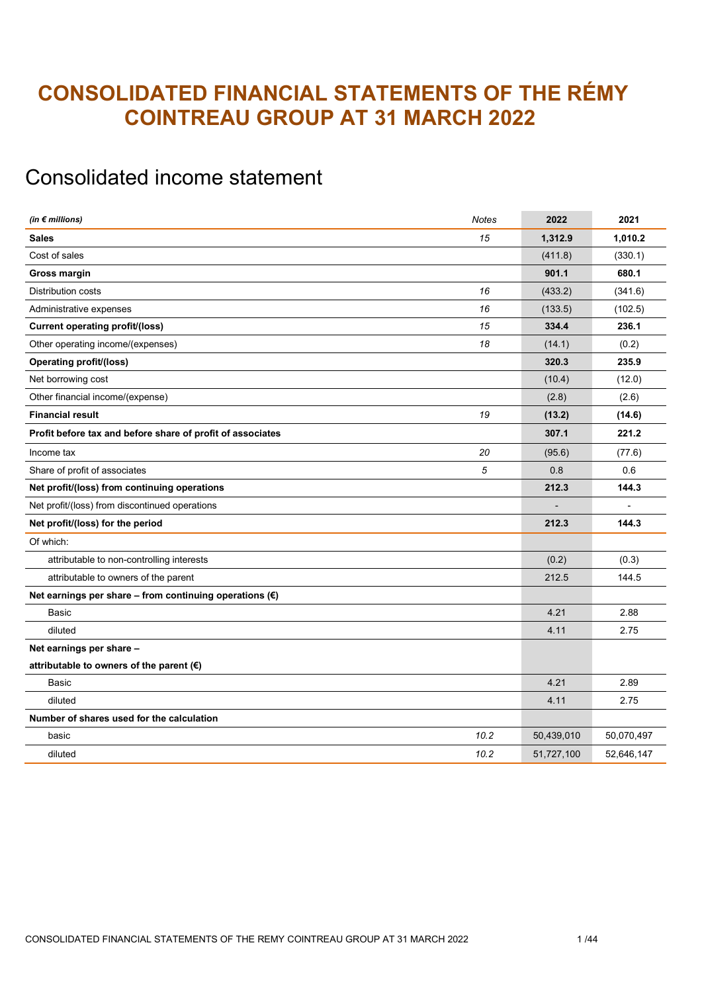# CONSOLIDATED FINANCIAL STATEMENTS OF THE RÉMY COINTREAU GROUP AT 31 MARCH 2022

# Consolidated income statement

| (in $\epsilon$ millions)                                         | Notes | 2022       | 2021       |
|------------------------------------------------------------------|-------|------------|------------|
| <b>Sales</b>                                                     | 15    | 1,312.9    | 1,010.2    |
| Cost of sales                                                    |       | (411.8)    | (330.1)    |
| Gross margin                                                     |       | 901.1      | 680.1      |
| <b>Distribution costs</b>                                        | 16    | (433.2)    | (341.6)    |
| Administrative expenses                                          | 16    | (133.5)    | (102.5)    |
| <b>Current operating profit/(loss)</b>                           | 15    | 334.4      | 236.1      |
| Other operating income/(expenses)                                | 18    | (14.1)     | (0.2)      |
| <b>Operating profit/(loss)</b>                                   |       | 320.3      | 235.9      |
| Net borrowing cost                                               |       | (10.4)     | (12.0)     |
| Other financial income/(expense)                                 |       | (2.8)      | (2.6)      |
| <b>Financial result</b>                                          | 19    | (13.2)     | (14.6)     |
| Profit before tax and before share of profit of associates       |       | 307.1      | 221.2      |
| Income tax                                                       | 20    | (95.6)     | (77.6)     |
| Share of profit of associates                                    | 5     | 0.8        | 0.6        |
| Net profit/(loss) from continuing operations                     |       | 212.3      | 144.3      |
| Net profit/(loss) from discontinued operations                   |       |            |            |
| Net profit/(loss) for the period                                 |       | 212.3      | 144.3      |
| Of which:                                                        |       |            |            |
| attributable to non-controlling interests                        |       | (0.2)      | (0.3)      |
| attributable to owners of the parent                             |       | 212.5      | 144.5      |
| Net earnings per share – from continuing operations $(\epsilon)$ |       |            |            |
| <b>Basic</b>                                                     |       | 4.21       | 2.88       |
| diluted                                                          |       | 4.11       | 2.75       |
| Net earnings per share -                                         |       |            |            |
| attributable to owners of the parent $(\epsilon)$                |       |            |            |
| Basic                                                            |       | 4.21       | 2.89       |
| diluted                                                          |       | 4.11       | 2.75       |
| Number of shares used for the calculation                        |       |            |            |
| basic                                                            | 10.2  | 50,439,010 | 50,070,497 |
| diluted                                                          | 10.2  | 51,727,100 | 52,646,147 |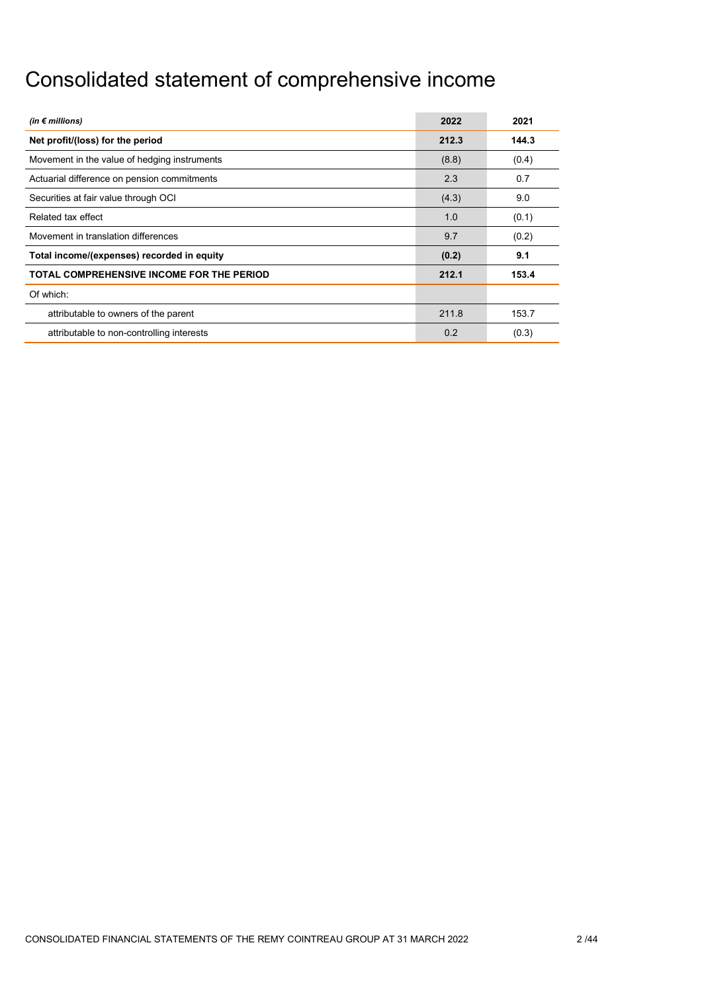# Consolidated statement of comprehensive income

| (in $\notin$ millions)                       | 2022  | 2021  |
|----------------------------------------------|-------|-------|
| Net profit/(loss) for the period             | 212.3 | 144.3 |
| Movement in the value of hedging instruments | (8.8) | (0.4) |
| Actuarial difference on pension commitments  | 2.3   | 0.7   |
| Securities at fair value through OCI         | (4.3) | 9.0   |
| Related tax effect                           | 1.0   | (0.1) |
| Movement in translation differences          | 9.7   | (0.2) |
| Total income/(expenses) recorded in equity   | (0.2) | 9.1   |
| TOTAL COMPREHENSIVE INCOME FOR THE PERIOD    | 212.1 | 153.4 |
| Of which:                                    |       |       |
| attributable to owners of the parent         | 211.8 | 153.7 |
| attributable to non-controlling interests    | 0.2   | (0.3) |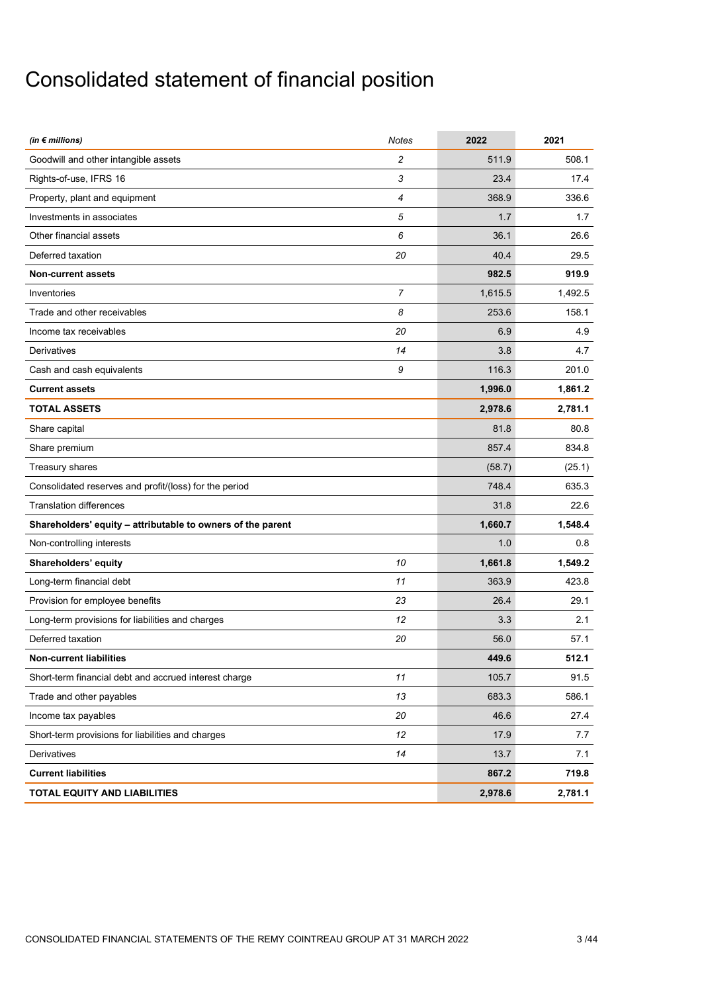# Consolidated statement of financial position

| (in $\epsilon$ millions)                                    | <b>Notes</b> | 2022    | 2021    |
|-------------------------------------------------------------|--------------|---------|---------|
| Goodwill and other intangible assets                        | 2            | 511.9   | 508.1   |
| Rights-of-use, IFRS 16                                      | 3            | 23.4    | 17.4    |
| Property, plant and equipment                               | 4            | 368.9   | 336.6   |
| Investments in associates                                   | 5            | 1.7     | 1.7     |
| Other financial assets                                      | 6            | 36.1    | 26.6    |
| Deferred taxation                                           | 20           | 40.4    | 29.5    |
| <b>Non-current assets</b>                                   |              | 982.5   | 919.9   |
| Inventories                                                 | 7            | 1,615.5 | 1,492.5 |
| Trade and other receivables                                 | 8            | 253.6   | 158.1   |
| Income tax receivables                                      | 20           | 6.9     | 4.9     |
| Derivatives                                                 | 14           | 3.8     | 4.7     |
| Cash and cash equivalents                                   | 9            | 116.3   | 201.0   |
| <b>Current assets</b>                                       |              | 1,996.0 | 1,861.2 |
| <b>TOTAL ASSETS</b>                                         |              | 2,978.6 | 2,781.1 |
| Share capital                                               |              | 81.8    | 80.8    |
| Share premium                                               |              | 857.4   | 834.8   |
| Treasury shares                                             |              | (58.7)  | (25.1)  |
| Consolidated reserves and profit/(loss) for the period      |              | 748.4   | 635.3   |
| <b>Translation differences</b>                              |              | 31.8    | 22.6    |
| Shareholders' equity - attributable to owners of the parent |              | 1,660.7 | 1,548.4 |
| Non-controlling interests                                   |              | 1.0     | 0.8     |
| Shareholders' equity                                        | 10           | 1,661.8 | 1,549.2 |
| Long-term financial debt                                    | 11           | 363.9   | 423.8   |
| Provision for employee benefits                             | 23           | 26.4    | 29.1    |
| Long-term provisions for liabilities and charges            | 12           | 3.3     | 2.1     |
| Deferred taxation                                           | 20           | 56.0    | 57.1    |
| <b>Non-current liabilities</b>                              |              | 449.6   | 512.1   |
| Short-term financial debt and accrued interest charge       | 11           | 105.7   | 91.5    |
| Trade and other payables                                    | 13           | 683.3   | 586.1   |
| Income tax payables                                         | 20           | 46.6    | 27.4    |
| Short-term provisions for liabilities and charges           | 12           | 17.9    | 7.7     |
| Derivatives                                                 | 14           | 13.7    | 7.1     |
| <b>Current liabilities</b>                                  |              | 867.2   | 719.8   |
| TOTAL EQUITY AND LIABILITIES                                |              | 2,978.6 | 2,781.1 |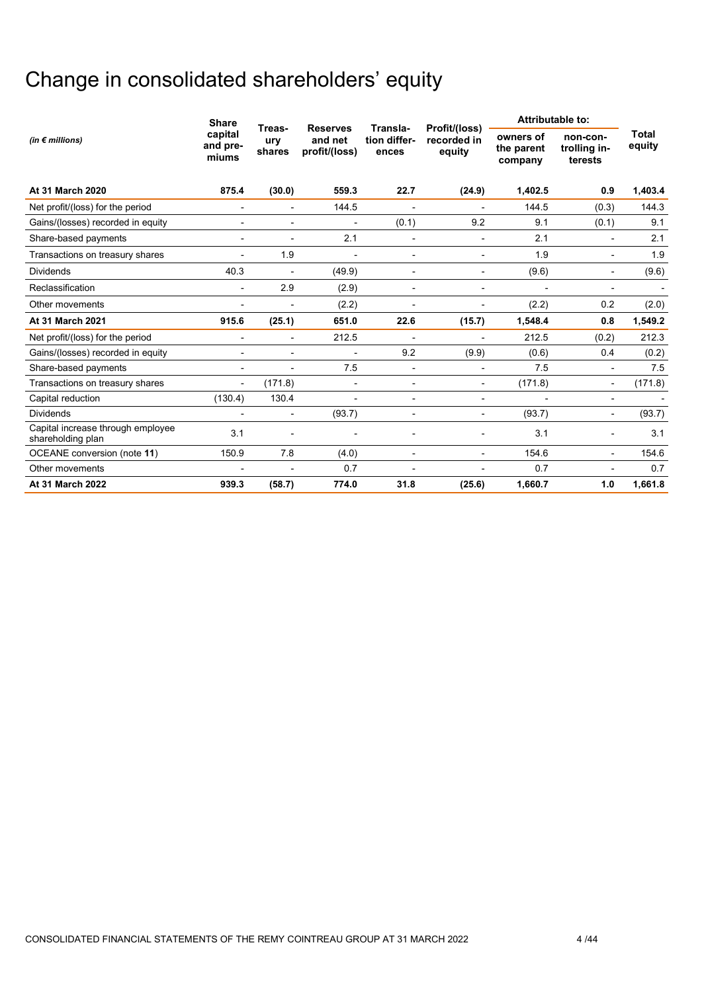# Change in consolidated shareholders' equity

|                                                        | <b>Share</b>                 | Treas-                   | <b>Reserves</b>          | Transla-                 | Profit/(loss)            | Attributable to:                   |                                     |                        |
|--------------------------------------------------------|------------------------------|--------------------------|--------------------------|--------------------------|--------------------------|------------------------------------|-------------------------------------|------------------------|
| (in $\notin$ millions)                                 | capital<br>and pre-<br>miums | ury<br>shares            | and net<br>profit/(loss) | tion differ-<br>ences    | recorded in<br>equity    | owners of<br>the parent<br>company | non-con-<br>trolling in-<br>terests | <b>Total</b><br>equity |
| At 31 March 2020                                       | 875.4                        | (30.0)                   | 559.3                    | 22.7                     | (24.9)                   | 1,402.5                            | 0.9                                 | 1,403.4                |
| Net profit/(loss) for the period                       | $\overline{\phantom{a}}$     | $\blacksquare$           | 144.5                    | $\blacksquare$           | $\overline{\phantom{a}}$ | 144.5                              | (0.3)                               | 144.3                  |
| Gains/(losses) recorded in equity                      | $\overline{\phantom{a}}$     | $\overline{\phantom{a}}$ | $\overline{\phantom{a}}$ | (0.1)                    | 9.2                      | 9.1                                | (0.1)                               | 9.1                    |
| Share-based payments                                   | $\overline{\phantom{a}}$     | $\blacksquare$           | 2.1                      |                          | $\overline{\phantom{a}}$ | 2.1                                | $\overline{\phantom{a}}$            | 2.1                    |
| Transactions on treasury shares                        |                              | 1.9                      |                          |                          |                          | 1.9                                | $\overline{\phantom{a}}$            | 1.9                    |
| <b>Dividends</b>                                       | 40.3                         |                          | (49.9)                   |                          | $\overline{a}$           | (9.6)                              | $\overline{\phantom{a}}$            | (9.6)                  |
| Reclassification                                       | $\blacksquare$               | 2.9                      | (2.9)                    | $\overline{\phantom{a}}$ | $\blacksquare$           | $\blacksquare$                     | $\overline{\phantom{a}}$            |                        |
| Other movements                                        |                              |                          | (2.2)                    |                          |                          | (2.2)                              | 0.2                                 | (2.0)                  |
| At 31 March 2021                                       | 915.6                        | (25.1)                   | 651.0                    | 22.6                     | (15.7)                   | 1,548.4                            | 0.8                                 | 1,549.2                |
| Net profit/(loss) for the period                       | $\blacksquare$               | $\blacksquare$           | 212.5                    | $\blacksquare$           | $\overline{\phantom{a}}$ | 212.5                              | (0.2)                               | 212.3                  |
| Gains/(losses) recorded in equity                      | $\overline{a}$               | $\overline{\phantom{a}}$ | $\blacksquare$           | 9.2                      | (9.9)                    | (0.6)                              | 0.4                                 | (0.2)                  |
| Share-based payments                                   | $\blacksquare$               | $\overline{a}$           | 7.5                      | $\blacksquare$           | $\overline{\phantom{a}}$ | 7.5                                | $\overline{\phantom{a}}$            | 7.5                    |
| Transactions on treasury shares                        | $\blacksquare$               | (171.8)                  | $\blacksquare$           | ٠                        | $\overline{\phantom{a}}$ | (171.8)                            | $\overline{\phantom{a}}$            | (171.8)                |
| Capital reduction                                      | (130.4)                      | 130.4                    | $\blacksquare$           | $\overline{\phantom{a}}$ | $\overline{\phantom{a}}$ |                                    | $\overline{\phantom{a}}$            |                        |
| <b>Dividends</b>                                       | $\blacksquare$               | $\overline{\phantom{a}}$ | (93.7)                   | $\overline{a}$           | $\overline{\phantom{a}}$ | (93.7)                             | $\overline{\phantom{a}}$            | (93.7)                 |
| Capital increase through employee<br>shareholding plan | 3.1                          |                          |                          |                          |                          | 3.1                                | ٠                                   | 3.1                    |
| OCEANE conversion (note 11)                            | 150.9                        | 7.8                      | (4.0)                    | $\blacksquare$           | $\overline{\phantom{a}}$ | 154.6                              | $\overline{\phantom{a}}$            | 154.6                  |
| Other movements                                        |                              |                          | 0.7                      |                          |                          | 0.7                                | $\overline{\phantom{a}}$            | 0.7                    |
| At 31 March 2022                                       | 939.3                        | (58.7)                   | 774.0                    | 31.8                     | (25.6)                   | 1,660.7                            | 1.0                                 | 1,661.8                |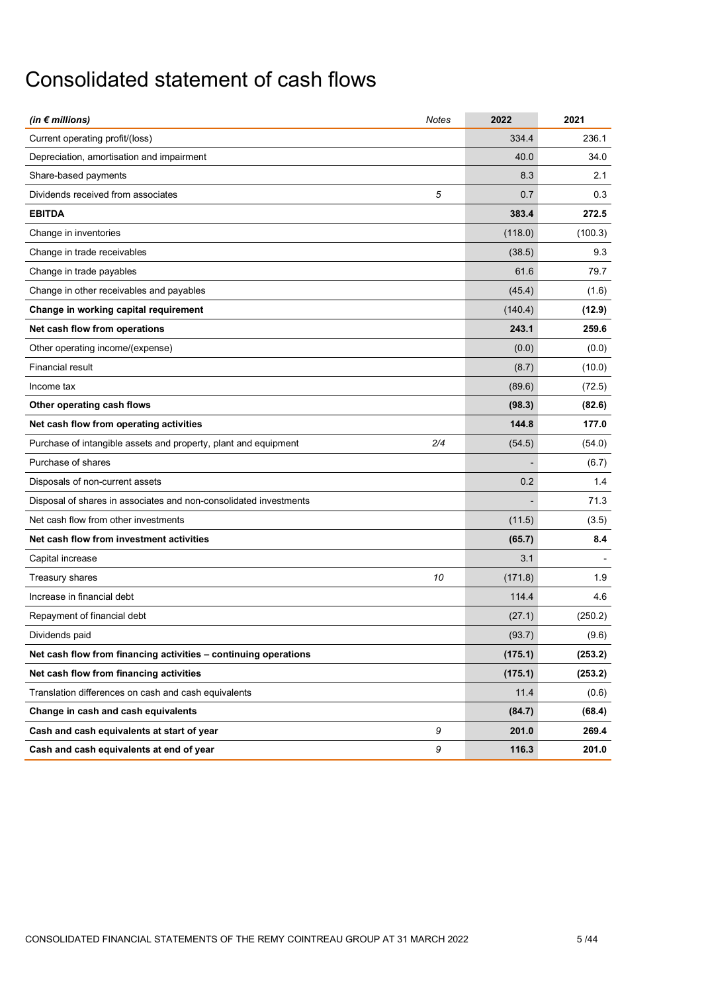# Consolidated statement of cash flows

| (in $\epsilon$ millions)                                          | <b>Notes</b> | 2022    | 2021    |
|-------------------------------------------------------------------|--------------|---------|---------|
| Current operating profit/(loss)                                   |              | 334.4   | 236.1   |
| Depreciation, amortisation and impairment                         |              | 40.0    | 34.0    |
| Share-based payments                                              |              | 8.3     | 2.1     |
| Dividends received from associates                                | 5            | 0.7     | 0.3     |
| <b>EBITDA</b>                                                     |              | 383.4   | 272.5   |
| Change in inventories                                             |              | (118.0) | (100.3) |
| Change in trade receivables                                       |              | (38.5)  | 9.3     |
| Change in trade payables                                          |              | 61.6    | 79.7    |
| Change in other receivables and payables                          |              | (45.4)  | (1.6)   |
| Change in working capital requirement                             |              | (140.4) | (12.9)  |
| Net cash flow from operations                                     |              | 243.1   | 259.6   |
| Other operating income/(expense)                                  |              | (0.0)   | (0.0)   |
| <b>Financial result</b>                                           |              | (8.7)   | (10.0)  |
| Income tax                                                        |              | (89.6)  | (72.5)  |
| Other operating cash flows                                        |              | (98.3)  | (82.6)  |
| Net cash flow from operating activities                           |              | 144.8   | 177.0   |
| Purchase of intangible assets and property, plant and equipment   | 2/4          | (54.5)  | (54.0)  |
| Purchase of shares                                                |              |         | (6.7)   |
| Disposals of non-current assets                                   |              | 0.2     | 1.4     |
| Disposal of shares in associates and non-consolidated investments |              |         | 71.3    |
| Net cash flow from other investments                              |              | (11.5)  | (3.5)   |
| Net cash flow from investment activities                          |              | (65.7)  | 8.4     |
| Capital increase                                                  |              | 3.1     |         |
| Treasury shares                                                   | 10           | (171.8) | 1.9     |
| Increase in financial debt                                        |              | 114.4   | 4.6     |
| Repayment of financial debt                                       |              | (27.1)  | (250.2) |
| Dividends paid                                                    |              | (93.7)  | (9.6)   |
| Net cash flow from financing activities - continuing operations   |              | (175.1) | (253.2) |
| Net cash flow from financing activities                           |              | (175.1) | (253.2) |
| Translation differences on cash and cash equivalents              |              | 11.4    | (0.6)   |
| Change in cash and cash equivalents                               |              | (84.7)  | (68.4)  |
| Cash and cash equivalents at start of year                        | 9            | 201.0   | 269.4   |
| Cash and cash equivalents at end of year                          | 9            | 116.3   | 201.0   |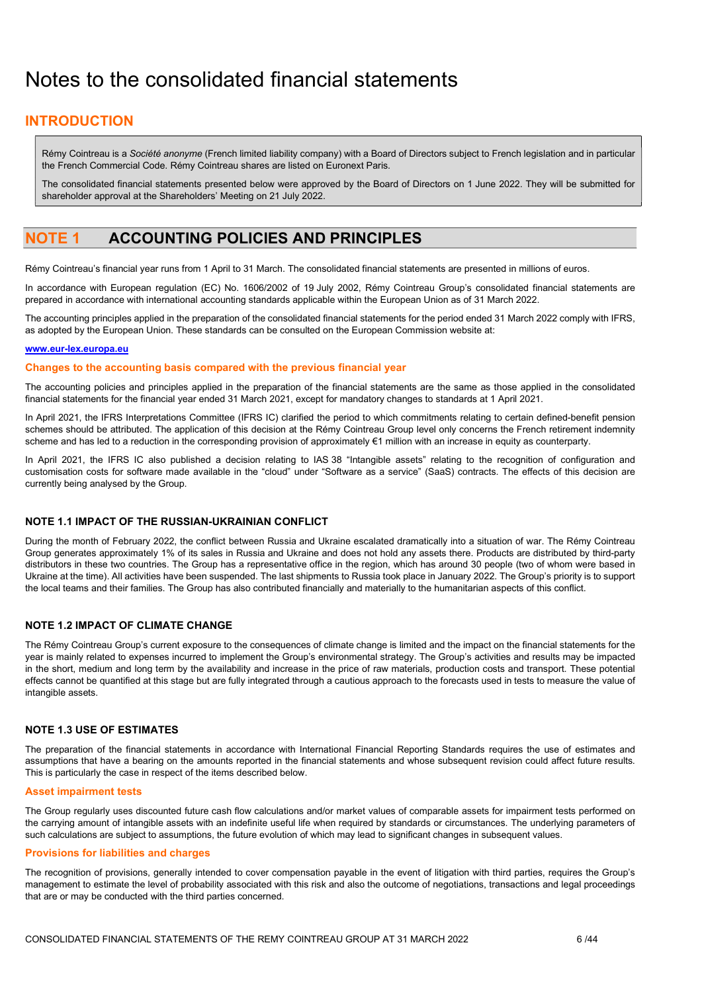# Notes to the consolidated financial statements

## INTRODUCTION

Rémy Cointreau is a Société anonyme (French limited liability company) with a Board of Directors subject to French legislation and in particular the French Commercial Code. Rémy Cointreau shares are listed on Euronext Paris.

The consolidated financial statements presented below were approved by the Board of Directors on 1 June 2022. They will be submitted for shareholder approval at the Shareholders' Meeting on 21 July 2022.

### NOTE 1 ACCOUNTING POLICIES AND PRINCIPLES

Rémy Cointreau's financial year runs from 1 April to 31 March. The consolidated financial statements are presented in millions of euros.

In accordance with European regulation (EC) No. 1606/2002 of 19 July 2002, Rémy Cointreau Group's consolidated financial statements are prepared in accordance with international accounting standards applicable within the European Union as of 31 March 2022.

The accounting principles applied in the preparation of the consolidated financial statements for the period ended 31 March 2022 comply with IFRS, as adopted by the European Union. These standards can be consulted on the European Commission website at:

### www.eur-lex.europa.eu

#### Changes to the accounting basis compared with the previous financial year

The accounting policies and principles applied in the preparation of the financial statements are the same as those applied in the consolidated financial statements for the financial year ended 31 March 2021, except for mandatory changes to standards at 1 April 2021.

In April 2021, the IFRS Interpretations Committee (IFRS IC) clarified the period to which commitments relating to certain defined-benefit pension schemes should be attributed. The application of this decision at the Rémy Cointreau Group level only concerns the French retirement indemnity scheme and has led to a reduction in the corresponding provision of approximately €1 million with an increase in equity as counterparty.

In April 2021, the IFRS IC also published a decision relating to IAS 38 "Intangible assets" relating to the recognition of configuration and customisation costs for software made available in the "cloud" under "Software as a service" (SaaS) contracts. The effects of this decision are currently being analysed by the Group.

### NOTE 1.1 IMPACT OF THE RUSSIAN-UKRAINIAN CONFLICT

During the month of February 2022, the conflict between Russia and Ukraine escalated dramatically into a situation of war. The Rémy Cointreau Group generates approximately 1% of its sales in Russia and Ukraine and does not hold any assets there. Products are distributed by third-party distributors in these two countries. The Group has a representative office in the region, which has around 30 people (two of whom were based in Ukraine at the time). All activities have been suspended. The last shipments to Russia took place in January 2022. The Group's priority is to support the local teams and their families. The Group has also contributed financially and materially to the humanitarian aspects of this conflict.

### NOTE 1.2 IMPACT OF CLIMATE CHANGE

The Rémy Cointreau Group's current exposure to the consequences of climate change is limited and the impact on the financial statements for the year is mainly related to expenses incurred to implement the Group's environmental strategy. The Group's activities and results may be impacted in the short, medium and long term by the availability and increase in the price of raw materials, production costs and transport. These potential effects cannot be quantified at this stage but are fully integrated through a cautious approach to the forecasts used in tests to measure the value of intangible assets.

### NOTE 1.3 USE OF ESTIMATES

The preparation of the financial statements in accordance with International Financial Reporting Standards requires the use of estimates and assumptions that have a bearing on the amounts reported in the financial statements and whose subsequent revision could affect future results. This is particularly the case in respect of the items described below.

#### Asset impairment tests

The Group regularly uses discounted future cash flow calculations and/or market values of comparable assets for impairment tests performed on the carrying amount of intangible assets with an indefinite useful life when required by standards or circumstances. The underlying parameters of such calculations are subject to assumptions, the future evolution of which may lead to significant changes in subsequent values.

### Provisions for liabilities and charges

The recognition of provisions, generally intended to cover compensation payable in the event of litigation with third parties, requires the Group's management to estimate the level of probability associated with this risk and also the outcome of negotiations, transactions and legal proceedings that are or may be conducted with the third parties concerned.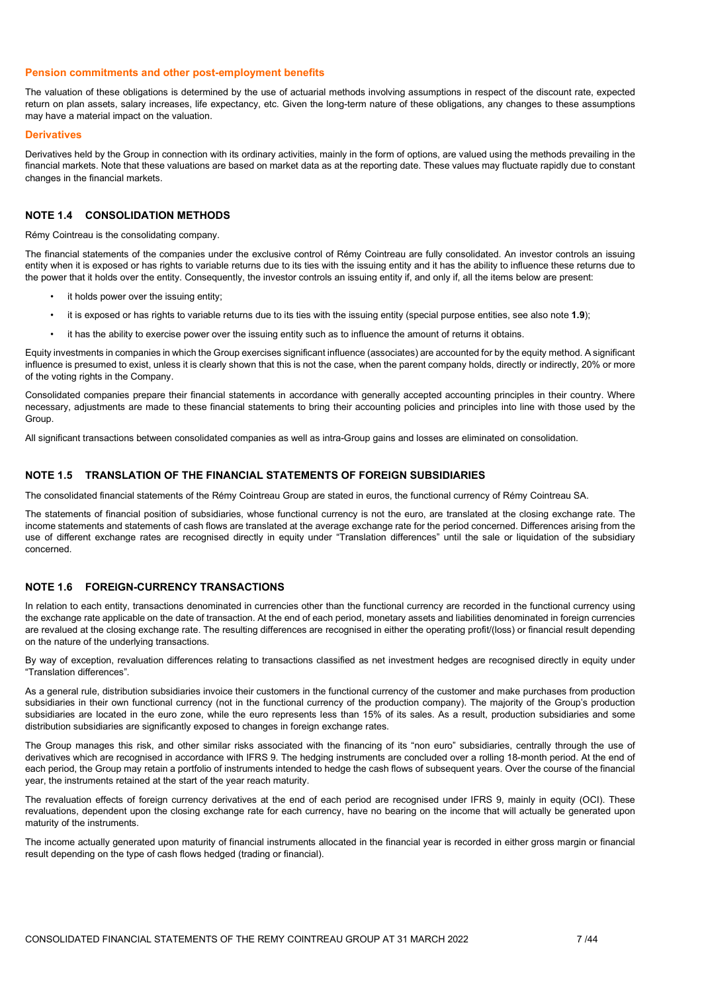#### Pension commitments and other post-employment benefits

The valuation of these obligations is determined by the use of actuarial methods involving assumptions in respect of the discount rate, expected return on plan assets, salary increases, life expectancy, etc. Given the long-term nature of these obligations, any changes to these assumptions may have a material impact on the valuation.

#### **Derivatives**

Derivatives held by the Group in connection with its ordinary activities, mainly in the form of options, are valued using the methods prevailing in the financial markets. Note that these valuations are based on market data as at the reporting date. These values may fluctuate rapidly due to constant changes in the financial markets.

### NOTE 1.4 CONSOLIDATION METHODS

Rémy Cointreau is the consolidating company.

The financial statements of the companies under the exclusive control of Rémy Cointreau are fully consolidated. An investor controls an issuing entity when it is exposed or has rights to variable returns due to its ties with the issuing entity and it has the ability to influence these returns due to the power that it holds over the entity. Consequently, the investor controls an issuing entity if, and only if, all the items below are present:

- it holds power over the issuing entity:
- it is exposed or has rights to variable returns due to its ties with the issuing entity (special purpose entities, see also note 1.9);
- it has the ability to exercise power over the issuing entity such as to influence the amount of returns it obtains.

Equity investments in companies in which the Group exercises significant influence (associates) are accounted for by the equity method. A significant influence is presumed to exist, unless it is clearly shown that this is not the case, when the parent company holds, directly or indirectly, 20% or more of the voting rights in the Company.

Consolidated companies prepare their financial statements in accordance with generally accepted accounting principles in their country. Where necessary, adjustments are made to these financial statements to bring their accounting policies and principles into line with those used by the Group.

All significant transactions between consolidated companies as well as intra-Group gains and losses are eliminated on consolidation.

### NOTE 1.5 TRANSLATION OF THE FINANCIAL STATEMENTS OF FOREIGN SUBSIDIARIES

The consolidated financial statements of the Rémy Cointreau Group are stated in euros, the functional currency of Rémy Cointreau SA.

The statements of financial position of subsidiaries, whose functional currency is not the euro, are translated at the closing exchange rate. The income statements and statements of cash flows are translated at the average exchange rate for the period concerned. Differences arising from the use of different exchange rates are recognised directly in equity under "Translation differences" until the sale or liquidation of the subsidiary concerned.

### NOTE 1.6 FOREIGN-CURRENCY TRANSACTIONS

In relation to each entity, transactions denominated in currencies other than the functional currency are recorded in the functional currency using the exchange rate applicable on the date of transaction. At the end of each period, monetary assets and liabilities denominated in foreign currencies are revalued at the closing exchange rate. The resulting differences are recognised in either the operating profit/(loss) or financial result depending on the nature of the underlying transactions.

By way of exception, revaluation differences relating to transactions classified as net investment hedges are recognised directly in equity under "Translation differences".

As a general rule, distribution subsidiaries invoice their customers in the functional currency of the customer and make purchases from production subsidiaries in their own functional currency (not in the functional currency of the production company). The majority of the Group's production subsidiaries are located in the euro zone, while the euro represents less than 15% of its sales. As a result, production subsidiaries and some distribution subsidiaries are significantly exposed to changes in foreign exchange rates.

The Group manages this risk, and other similar risks associated with the financing of its "non euro" subsidiaries, centrally through the use of derivatives which are recognised in accordance with IFRS 9. The hedging instruments are concluded over a rolling 18-month period. At the end of each period, the Group may retain a portfolio of instruments intended to hedge the cash flows of subsequent years. Over the course of the financial year, the instruments retained at the start of the year reach maturity.

The revaluation effects of foreign currency derivatives at the end of each period are recognised under IFRS 9, mainly in equity (OCI). These revaluations, dependent upon the closing exchange rate for each currency, have no bearing on the income that will actually be generated upon maturity of the instruments.

The income actually generated upon maturity of financial instruments allocated in the financial year is recorded in either gross margin or financial result depending on the type of cash flows hedged (trading or financial).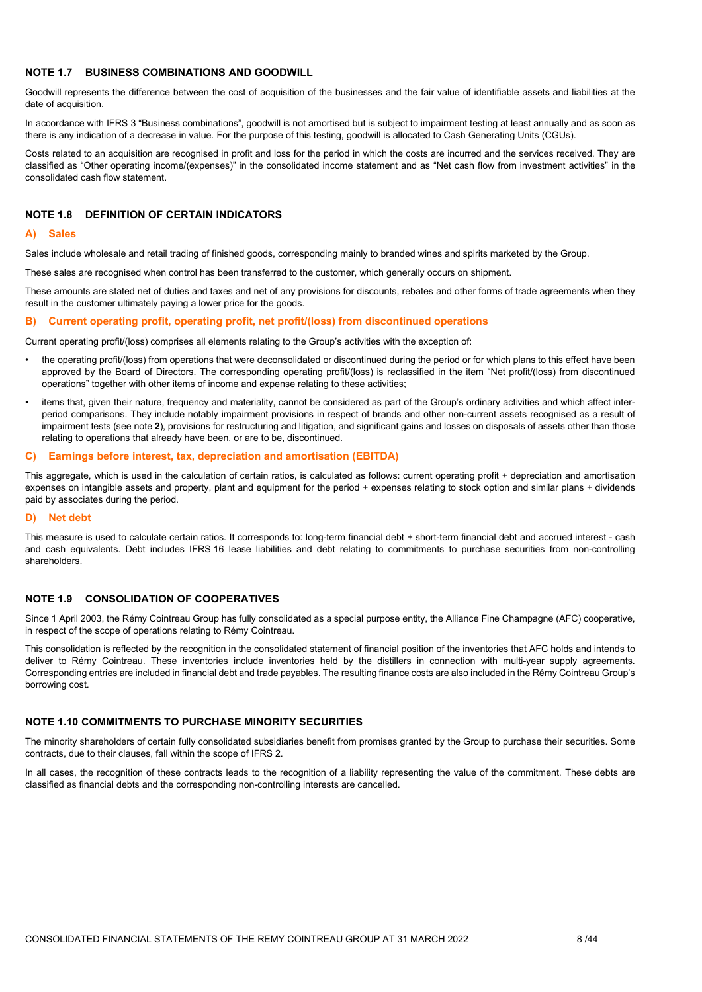### NOTE 1.7 BUSINESS COMBINATIONS AND GOODWILL

Goodwill represents the difference between the cost of acquisition of the businesses and the fair value of identifiable assets and liabilities at the date of acquisition.

In accordance with IFRS 3 "Business combinations", goodwill is not amortised but is subject to impairment testing at least annually and as soon as there is any indication of a decrease in value. For the purpose of this testing, goodwill is allocated to Cash Generating Units (CGUs).

Costs related to an acquisition are recognised in profit and loss for the period in which the costs are incurred and the services received. They are classified as "Other operating income/(expenses)" in the consolidated income statement and as "Net cash flow from investment activities" in the consolidated cash flow statement.

### NOTE 1.8 DEFINITION OF CERTAIN INDICATORS

#### A) Sales

Sales include wholesale and retail trading of finished goods, corresponding mainly to branded wines and spirits marketed by the Group.

These sales are recognised when control has been transferred to the customer, which generally occurs on shipment.

These amounts are stated net of duties and taxes and net of any provisions for discounts, rebates and other forms of trade agreements when they result in the customer ultimately paying a lower price for the goods.

#### B) Current operating profit, operating profit, net profit/(loss) from discontinued operations

Current operating profit/(loss) comprises all elements relating to the Group's activities with the exception of:

- the operating profit/(loss) from operations that were deconsolidated or discontinued during the period or for which plans to this effect have been approved by the Board of Directors. The corresponding operating profit/(loss) is reclassified in the item "Net profit/(loss) from discontinued operations" together with other items of income and expense relating to these activities;
- items that, given their nature, frequency and materiality, cannot be considered as part of the Group's ordinary activities and which affect interperiod comparisons. They include notably impairment provisions in respect of brands and other non-current assets recognised as a result of impairment tests (see note 2), provisions for restructuring and litigation, and significant gains and losses on disposals of assets other than those relating to operations that already have been, or are to be, discontinued.

### C) Earnings before interest, tax, depreciation and amortisation (EBITDA)

This aggregate, which is used in the calculation of certain ratios, is calculated as follows: current operating profit + depreciation and amortisation expenses on intangible assets and property, plant and equipment for the period + expenses relating to stock option and similar plans + dividends paid by associates during the period.

#### D) Net debt

This measure is used to calculate certain ratios. It corresponds to: long-term financial debt + short-term financial debt and accrued interest - cash and cash equivalents. Debt includes IFRS 16 lease liabilities and debt relating to commitments to purchase securities from non-controlling shareholders.

### NOTE 1.9 CONSOLIDATION OF COOPERATIVES

Since 1 April 2003, the Rémy Cointreau Group has fully consolidated as a special purpose entity, the Alliance Fine Champagne (AFC) cooperative, in respect of the scope of operations relating to Rémy Cointreau.

This consolidation is reflected by the recognition in the consolidated statement of financial position of the inventories that AFC holds and intends to deliver to Rémy Cointreau. These inventories include inventories held by the distillers in connection with multi-year supply agreements. Corresponding entries are included in financial debt and trade payables. The resulting finance costs are also included in the Rémy Cointreau Group's borrowing cost.

#### NOTE 1.10 COMMITMENTS TO PURCHASE MINORITY SECURITIES

The minority shareholders of certain fully consolidated subsidiaries benefit from promises granted by the Group to purchase their securities. Some contracts, due to their clauses, fall within the scope of IFRS 2.

In all cases, the recognition of these contracts leads to the recognition of a liability representing the value of the commitment. These debts are classified as financial debts and the corresponding non-controlling interests are cancelled.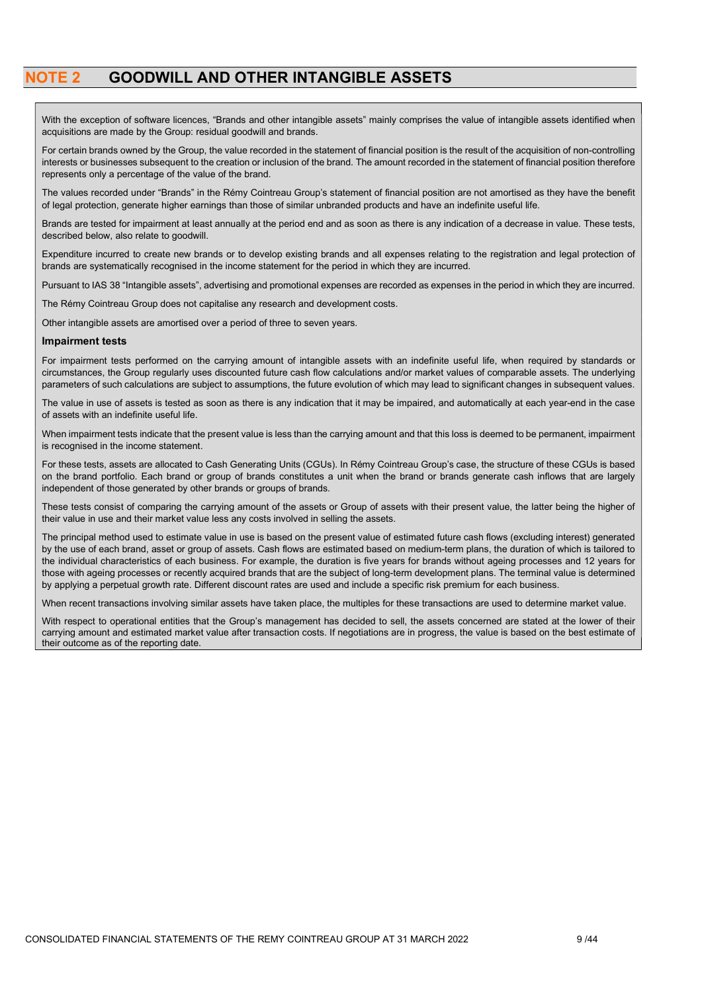## NOTE 2 GOODWILL AND OTHER INTANGIBLE ASSETS

With the exception of software licences, "Brands and other intangible assets" mainly comprises the value of intangible assets identified when acquisitions are made by the Group: residual goodwill and brands.

For certain brands owned by the Group, the value recorded in the statement of financial position is the result of the acquisition of non-controlling interests or businesses subsequent to the creation or inclusion of the brand. The amount recorded in the statement of financial position therefore represents only a percentage of the value of the brand.

The values recorded under "Brands" in the Rémy Cointreau Group's statement of financial position are not amortised as they have the benefit of legal protection, generate higher earnings than those of similar unbranded products and have an indefinite useful life.

Brands are tested for impairment at least annually at the period end and as soon as there is any indication of a decrease in value. These tests, described below, also relate to goodwill.

Expenditure incurred to create new brands or to develop existing brands and all expenses relating to the registration and legal protection of brands are systematically recognised in the income statement for the period in which they are incurred.

Pursuant to IAS 38 "Intangible assets", advertising and promotional expenses are recorded as expenses in the period in which they are incurred.

The Rémy Cointreau Group does not capitalise any research and development costs.

Other intangible assets are amortised over a period of three to seven years.

#### Impairment tests

For impairment tests performed on the carrying amount of intangible assets with an indefinite useful life, when required by standards or circumstances, the Group regularly uses discounted future cash flow calculations and/or market values of comparable assets. The underlying parameters of such calculations are subject to assumptions, the future evolution of which may lead to significant changes in subsequent values.

The value in use of assets is tested as soon as there is any indication that it may be impaired, and automatically at each year-end in the case of assets with an indefinite useful life.

When impairment tests indicate that the present value is less than the carrying amount and that this loss is deemed to be permanent, impairment is recognised in the income statement.

For these tests, assets are allocated to Cash Generating Units (CGUs). In Rémy Cointreau Group's case, the structure of these CGUs is based on the brand portfolio. Each brand or group of brands constitutes a unit when the brand or brands generate cash inflows that are largely independent of those generated by other brands or groups of brands.

These tests consist of comparing the carrying amount of the assets or Group of assets with their present value, the latter being the higher of their value in use and their market value less any costs involved in selling the assets.

The principal method used to estimate value in use is based on the present value of estimated future cash flows (excluding interest) generated by the use of each brand, asset or group of assets. Cash flows are estimated based on medium-term plans, the duration of which is tailored to the individual characteristics of each business. For example, the duration is five years for brands without ageing processes and 12 years for those with ageing processes or recently acquired brands that are the subject of long-term development plans. The terminal value is determined by applying a perpetual growth rate. Different discount rates are used and include a specific risk premium for each business.

When recent transactions involving similar assets have taken place, the multiples for these transactions are used to determine market value.

With respect to operational entities that the Group's management has decided to sell, the assets concerned are stated at the lower of their carrying amount and estimated market value after transaction costs. If negotiations are in progress, the value is based on the best estimate of their outcome as of the reporting date.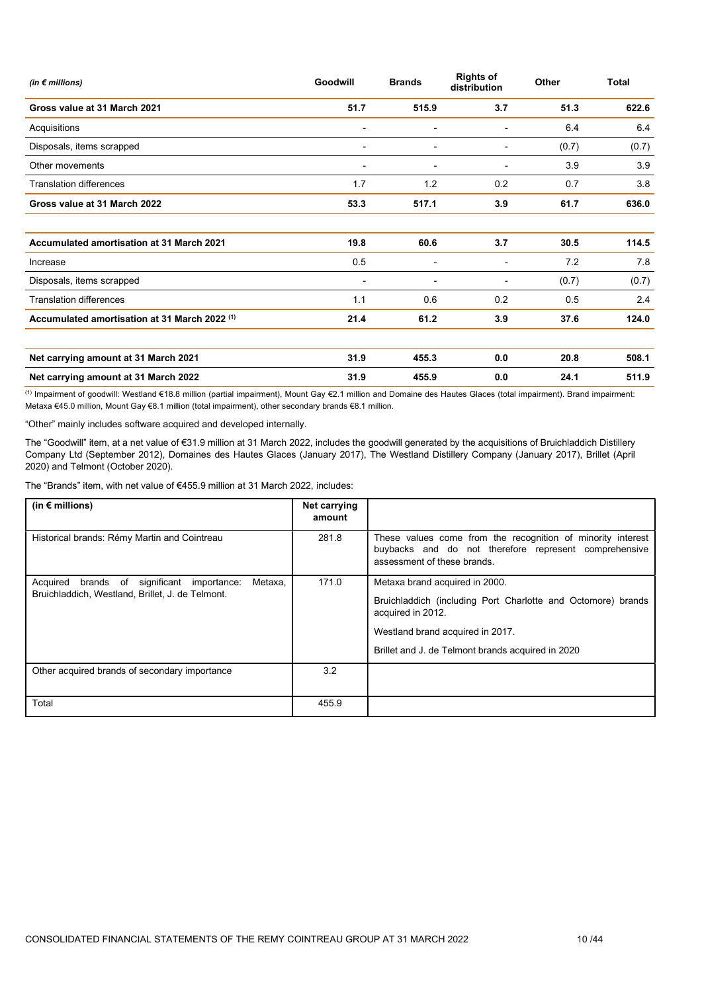| (in $\notin$ millions)                                   | Goodwill                 | <b>Brands</b>            | <b>Rights of</b><br>distribution | Other | <b>Total</b> |
|----------------------------------------------------------|--------------------------|--------------------------|----------------------------------|-------|--------------|
| Gross value at 31 March 2021                             | 51.7                     | 515.9                    | 3.7                              | 51.3  | 622.6        |
| Acquisitions                                             | -                        | ٠                        | ٠                                | 6.4   | 6.4          |
| Disposals, items scrapped                                | -                        |                          |                                  | (0.7) | (0.7)        |
| Other movements                                          | $\overline{\phantom{0}}$ | ٠                        | ٠                                | 3.9   | 3.9          |
| <b>Translation differences</b>                           | 1.7                      | 1.2                      | 0.2                              | 0.7   | 3.8          |
| Gross value at 31 March 2022                             | 53.3                     | 517.1                    | 3.9                              | 61.7  | 636.0        |
|                                                          |                          |                          |                                  |       |              |
| Accumulated amortisation at 31 March 2021                | 19.8                     | 60.6                     | 3.7                              | 30.5  | 114.5        |
| Increase                                                 | 0.5                      | ٠                        | $\overline{\phantom{a}}$         | 7.2   | 7.8          |
| Disposals, items scrapped                                | -                        | $\overline{\phantom{a}}$ |                                  | (0.7) | (0.7)        |
| <b>Translation differences</b>                           | 1.1                      | 0.6                      | 0.2                              | 0.5   | 2.4          |
| Accumulated amortisation at 31 March 2022 <sup>(1)</sup> | 21.4                     | 61.2                     | 3.9                              | 37.6  | 124.0        |
| Net carrying amount at 31 March 2021                     | 31.9                     | 455.3                    | 0.0                              | 20.8  | 508.1        |
| Net carrying amount at 31 March 2022                     | 31.9                     | 455.9                    | 0.0                              | 24.1  | 511.9        |

(1) Impairment of goodwill: Westland €18.8 million (partial impairment), Mount Gay €2.1 million and Domaine des Hautes Glaces (total impairment). Brand impairment: Metaxa €45.0 million, Mount Gay €8.1 million (total impairment), other secondary brands €8.1 million.

"Other" mainly includes software acquired and developed internally.

The "Goodwill" item, at a net value of €31.9 million at 31 March 2022, includes the goodwill generated by the acquisitions of Bruichladdich Distillery Company Ltd (September 2012), Domaines des Hautes Glaces (January 2017), The Westland Distillery Company (January 2017), Brillet (April 2020) and Telmont (October 2020).

The "Brands" item, with net value of €455.9 million at 31 March 2022, includes:

| (in $\epsilon$ millions)                                                                                        | Net carrying<br>amount |                                                                                                                                                                                                              |
|-----------------------------------------------------------------------------------------------------------------|------------------------|--------------------------------------------------------------------------------------------------------------------------------------------------------------------------------------------------------------|
| Historical brands: Rémy Martin and Cointreau                                                                    | 281.8                  | These values come from the recognition of minority interest<br>buybacks and do not therefore represent comprehensive<br>assessment of these brands.                                                          |
| brands of significant<br>Metaxa,<br>Acquired<br>importance:<br>Bruichladdich, Westland, Brillet, J. de Telmont. | 171.0                  | Metaxa brand acquired in 2000.<br>Bruichladdich (including Port Charlotte and Octomore) brands<br>acquired in 2012.<br>Westland brand acquired in 2017.<br>Brillet and J. de Telmont brands acquired in 2020 |
| Other acquired brands of secondary importance                                                                   | 3.2                    |                                                                                                                                                                                                              |
| Total                                                                                                           | 455.9                  |                                                                                                                                                                                                              |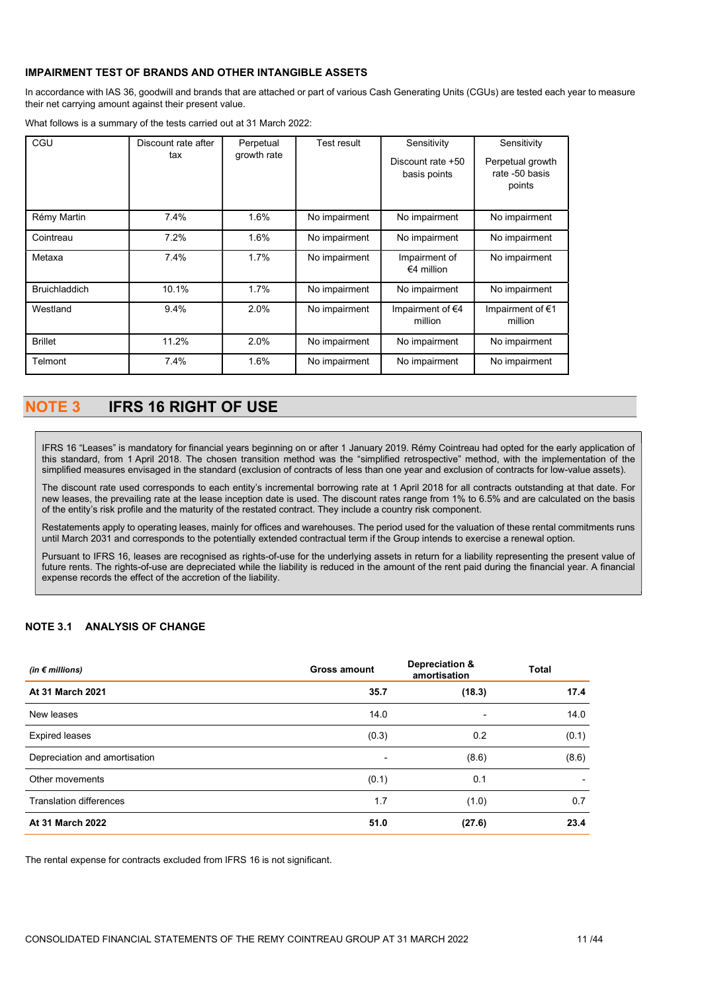### IMPAIRMENT TEST OF BRANDS AND OTHER INTANGIBLE ASSETS

In accordance with IAS 36, goodwill and brands that are attached or part of various Cash Generating Units (CGUs) are tested each year to measure their net carrying amount against their present value.

What follows is a summary of the tests carried out at 31 March 2022:

| CGU                  | Discount rate after<br>tax | Perpetual<br>growth rate | Test result   | Sensitivity<br>Discount rate $+50$<br>basis points | Sensitivity<br>Perpetual growth<br>rate -50 basis<br>points |
|----------------------|----------------------------|--------------------------|---------------|----------------------------------------------------|-------------------------------------------------------------|
| Rémy Martin          | 7.4%                       | 1.6%                     | No impairment | No impairment                                      | No impairment                                               |
| Cointreau            | 7.2%                       | 1.6%                     | No impairment | No impairment                                      | No impairment                                               |
| Metaxa               | 7.4%                       | 1.7%                     | No impairment | Impairment of<br>€4 million                        | No impairment                                               |
| <b>Bruichladdich</b> | 10.1%                      | 1.7%                     | No impairment | No impairment                                      | No impairment                                               |
| Westland             | 9.4%                       | 2.0%                     | No impairment | Impairment of €4<br>million                        | Impairment of €1<br>million                                 |
| <b>Brillet</b>       | 11.2%                      | 2.0%                     | No impairment | No impairment                                      | No impairment                                               |
| Telmont              | 7.4%                       | 1.6%                     | No impairment | No impairment                                      | No impairment                                               |

# OTE 3 IFRS 16 RIGHT OF USE

IFRS 16 "Leases" is mandatory for financial years beginning on or after 1 January 2019. Rémy Cointreau had opted for the early application of this standard, from 1 April 2018. The chosen transition method was the "simplified retrospective" method, with the implementation of the simplified measures envisaged in the standard (exclusion of contracts of less than one year and exclusion of contracts for low-value assets).

The discount rate used corresponds to each entity's incremental borrowing rate at 1 April 2018 for all contracts outstanding at that date. For new leases, the prevailing rate at the lease inception date is used. The discount rates range from 1% to 6.5% and are calculated on the basis of the entity's risk profile and the maturity of the restated contract. They include a country risk component.

Restatements apply to operating leases, mainly for offices and warehouses. The period used for the valuation of these rental commitments runs until March 2031 and corresponds to the potentially extended contractual term if the Group intends to exercise a renewal option.

Pursuant to IFRS 16, leases are recognised as rights-of-use for the underlying assets in return for a liability representing the present value of future rents. The rights-of-use are depreciated while the liability is reduced in the amount of the rent paid during the financial year. A financial expense records the effect of the accretion of the liability.

### NOTE 3.1 ANALYSIS OF CHANGE

| (in $\notin$ millions)         | <b>Gross amount</b> | Depreciation &<br>amortisation |       |
|--------------------------------|---------------------|--------------------------------|-------|
| At 31 March 2021               | 35.7                | (18.3)                         | 17.4  |
| New leases                     | 14.0                |                                | 14.0  |
| <b>Expired leases</b>          | (0.3)               | 0.2                            | (0.1) |
| Depreciation and amortisation  |                     | (8.6)                          | (8.6) |
| Other movements                | (0.1)               | 0.1                            |       |
| <b>Translation differences</b> | 1.7                 | (1.0)                          | 0.7   |
| At 31 March 2022               | 51.0                | (27.6)                         | 23.4  |

The rental expense for contracts excluded from IFRS 16 is not significant.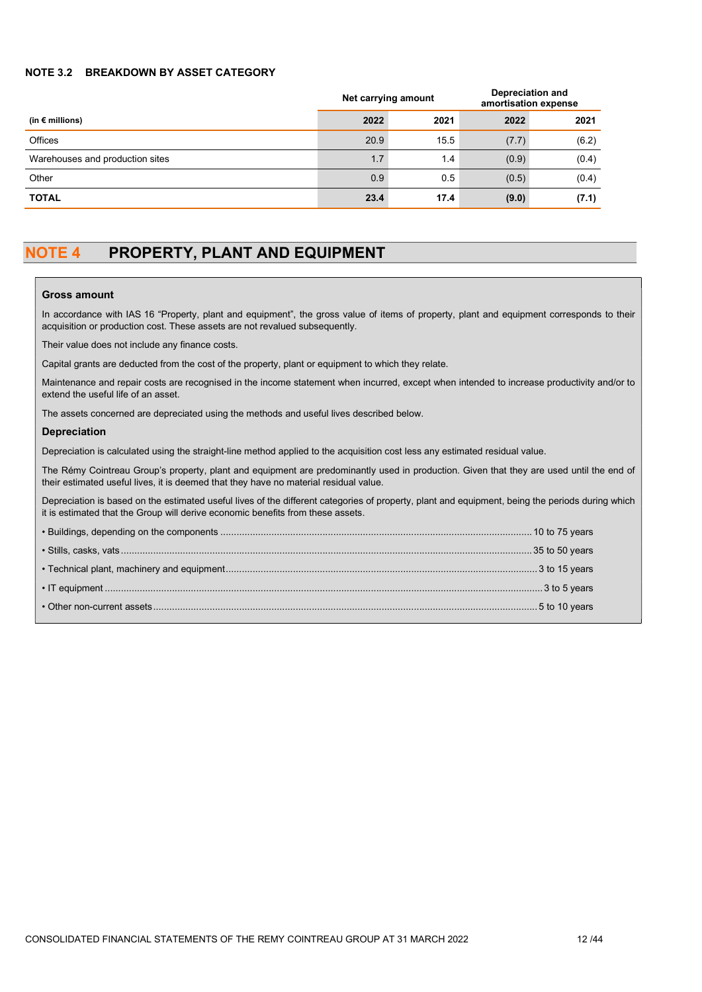### NOTE 3.2 BREAKDOWN BY ASSET CATEGORY

|                                 | Net carrying amount |      | <b>Depreciation and</b><br>amortisation expense |       |
|---------------------------------|---------------------|------|-------------------------------------------------|-------|
| (in $\epsilon$ millions)        | 2022                | 2021 | 2022                                            | 2021  |
| <b>Offices</b>                  | 20.9                | 15.5 | (7.7)                                           | (6.2) |
| Warehouses and production sites | 1.7                 | 1.4  | (0.9)                                           | (0.4) |
| Other                           | 0.9                 | 0.5  | (0.5)                                           | (0.4) |
| <b>TOTAL</b>                    | 23.4                | 17.4 | (9.0)                                           | (7.1) |

# NOTE 4 PROPERTY, PLANT AND EQUIPMENT

#### Gross amount

In accordance with IAS 16 "Property, plant and equipment", the gross value of items of property, plant and equipment corresponds to their acquisition or production cost. These assets are not revalued subsequently.

Their value does not include any finance costs.

Capital grants are deducted from the cost of the property, plant or equipment to which they relate.

Maintenance and repair costs are recognised in the income statement when incurred, except when intended to increase productivity and/or to extend the useful life of an asset.

The assets concerned are depreciated using the methods and useful lives described below.

#### Depreciation

Depreciation is calculated using the straight-line method applied to the acquisition cost less any estimated residual value.

The Rémy Cointreau Group's property, plant and equipment are predominantly used in production. Given that they are used until the end of their estimated useful lives, it is deemed that they have no material residual value.

Depreciation is based on the estimated useful lives of the different categories of property, plant and equipment, being the periods during which it is estimated that the Group will derive economic benefits from these assets.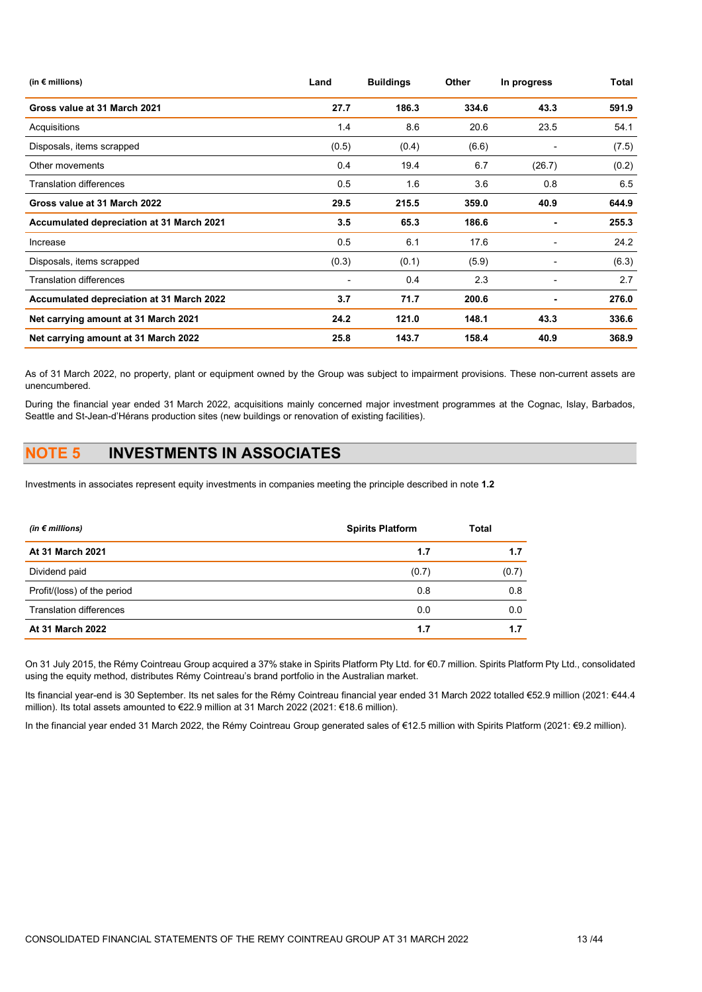| (in $\epsilon$ millions)                         | Land  | <b>Buildings</b> | <b>Other</b> | In progress | Total |
|--------------------------------------------------|-------|------------------|--------------|-------------|-------|
| Gross value at 31 March 2021                     | 27.7  | 186.3            | 334.6        | 43.3        | 591.9 |
| Acquisitions                                     | 1.4   | 8.6              | 20.6         | 23.5        | 54.1  |
| Disposals, items scrapped                        | (0.5) | (0.4)            | (6.6)        |             | (7.5) |
| Other movements                                  | 0.4   | 19.4             | 6.7          | (26.7)      | (0.2) |
| <b>Translation differences</b>                   | 0.5   | 1.6              | 3.6          | 0.8         | 6.5   |
| Gross value at 31 March 2022                     | 29.5  | 215.5            | 359.0        | 40.9        | 644.9 |
| <b>Accumulated depreciation at 31 March 2021</b> | 3.5   | 65.3             | 186.6        |             | 255.3 |
| Increase                                         | 0.5   | 6.1              | 17.6         |             | 24.2  |
| Disposals, items scrapped                        | (0.3) | (0.1)            | (5.9)        |             | (6.3) |
| <b>Translation differences</b>                   |       | 0.4              | 2.3          |             | 2.7   |
| Accumulated depreciation at 31 March 2022        | 3.7   | 71.7             | 200.6        |             | 276.0 |
| Net carrying amount at 31 March 2021             | 24.2  | 121.0            | 148.1        | 43.3        | 336.6 |
| Net carrying amount at 31 March 2022             | 25.8  | 143.7            | 158.4        | 40.9        | 368.9 |

As of 31 March 2022, no property, plant or equipment owned by the Group was subject to impairment provisions. These non-current assets are unencumbered.

During the financial year ended 31 March 2022, acquisitions mainly concerned major investment programmes at the Cognac, Islay, Barbados, Seattle and St-Jean-d'Hérans production sites (new buildings or renovation of existing facilities).

# NOTE 5 INVESTMENTS IN ASSOCIATES

Investments in associates represent equity investments in companies meeting the principle described in note 1.2

| (in $\epsilon$ millions)       | <b>Spirits Platform</b> | <b>Total</b> |
|--------------------------------|-------------------------|--------------|
| At 31 March 2021               | 1.7                     | 1.7          |
| Dividend paid                  | (0.7)                   | (0.7)        |
| Profit/(loss) of the period    | 0.8                     | 0.8          |
| <b>Translation differences</b> | 0.0                     | 0.0          |
| At 31 March 2022               | 1.7                     | 1.7          |

On 31 July 2015, the Rémy Cointreau Group acquired a 37% stake in Spirits Platform Pty Ltd. for €0.7 million. Spirits Platform Pty Ltd., consolidated using the equity method, distributes Rémy Cointreau's brand portfolio in the Australian market.

Its financial year-end is 30 September. Its net sales for the Rémy Cointreau financial year ended 31 March 2022 totalled €52.9 million (2021: €44.4 million). Its total assets amounted to €22.9 million at 31 March 2022 (2021: €18.6 million).

In the financial year ended 31 March 2022, the Rémy Cointreau Group generated sales of €12.5 million with Spirits Platform (2021: €9.2 million).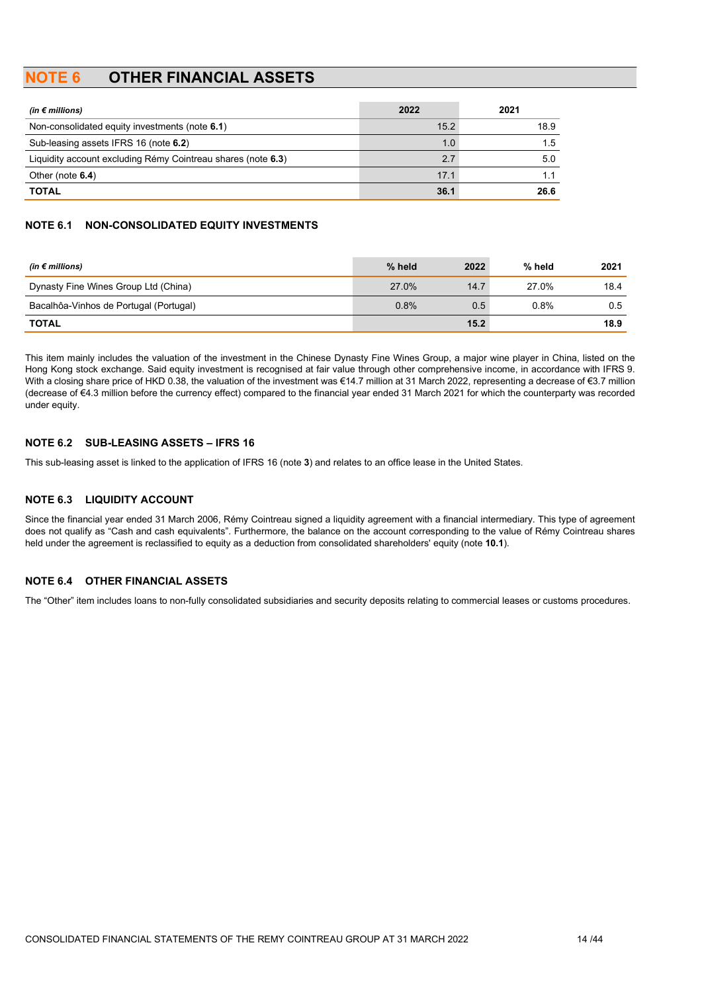# NOTE 6 OTHER FINANCIAL ASSETS

| (in $\epsilon$ millions)                                     | 2022 | 2021 |
|--------------------------------------------------------------|------|------|
| Non-consolidated equity investments (note 6.1)               | 15.2 | 18.9 |
| Sub-leasing assets IFRS 16 (note 6.2)                        | 1.0  | 1.5  |
| Liquidity account excluding Rémy Cointreau shares (note 6.3) | 2.7  | 5.0  |
| Other (note 6.4)                                             | 17.1 | 1.1  |
| <b>TOTAL</b>                                                 | 36.1 | 26.6 |

### NOTE 6.1 NON-CONSOLIDATED EQUITY INVESTMENTS

| (in $\epsilon$ millions)               | % held | 2022 | % held  | 2021 |
|----------------------------------------|--------|------|---------|------|
| Dynasty Fine Wines Group Ltd (China)   | 27.0%  | 14.7 | 27.0%   | 18.4 |
| Bacalhôa-Vinhos de Portugal (Portugal) | 0.8%   | 0.5  | $0.8\%$ | 0.5  |
| <b>TOTAL</b>                           |        | 15.2 |         | 18.9 |

This item mainly includes the valuation of the investment in the Chinese Dynasty Fine Wines Group, a major wine player in China, listed on the Hong Kong stock exchange. Said equity investment is recognised at fair value through other comprehensive income, in accordance with IFRS 9. With a closing share price of HKD 0.38, the valuation of the investment was €14.7 million at 31 March 2022, representing a decrease of €3.7 million (decrease of €4.3 million before the currency effect) compared to the financial year ended 31 March 2021 for which the counterparty was recorded under equity.

### NOTE 6.2 SUB-LEASING ASSETS – IFRS 16

This sub-leasing asset is linked to the application of IFRS 16 (note 3) and relates to an office lease in the United States.

### NOTE 6.3 LIQUIDITY ACCOUNT

Since the financial year ended 31 March 2006, Rémy Cointreau signed a liquidity agreement with a financial intermediary. This type of agreement does not qualify as "Cash and cash equivalents". Furthermore, the balance on the account corresponding to the value of Rémy Cointreau shares held under the agreement is reclassified to equity as a deduction from consolidated shareholders' equity (note 10.1).

### NOTE 6.4 OTHER FINANCIAL ASSETS

The "Other" item includes loans to non-fully consolidated subsidiaries and security deposits relating to commercial leases or customs procedures.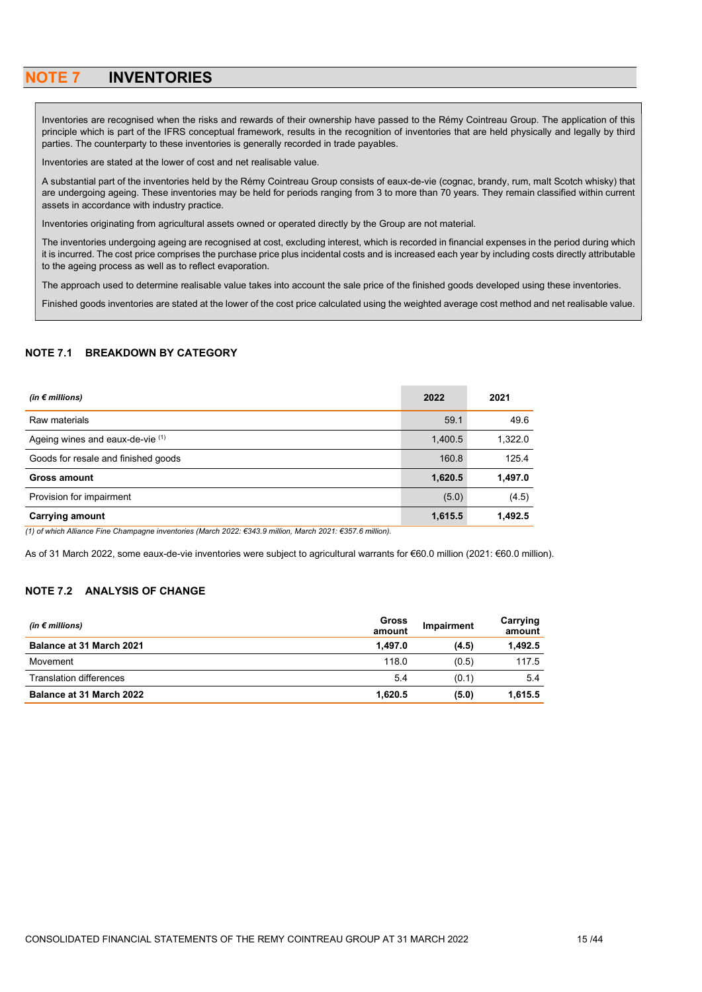## NOTE 7 INVENTORIES

Inventories are recognised when the risks and rewards of their ownership have passed to the Rémy Cointreau Group. The application of this principle which is part of the IFRS conceptual framework, results in the recognition of inventories that are held physically and legally by third parties. The counterparty to these inventories is generally recorded in trade payables.

Inventories are stated at the lower of cost and net realisable value.

A substantial part of the inventories held by the Rémy Cointreau Group consists of eaux-de-vie (cognac, brandy, rum, malt Scotch whisky) that are undergoing ageing. These inventories may be held for periods ranging from 3 to more than 70 years. They remain classified within current assets in accordance with industry practice.

Inventories originating from agricultural assets owned or operated directly by the Group are not material.

The inventories undergoing ageing are recognised at cost, excluding interest, which is recorded in financial expenses in the period during which it is incurred. The cost price comprises the purchase price plus incidental costs and is increased each year by including costs directly attributable to the ageing process as well as to reflect evaporation.

The approach used to determine realisable value takes into account the sale price of the finished goods developed using these inventories.

Finished goods inventories are stated at the lower of the cost price calculated using the weighted average cost method and net realisable value.

### NOTE 7.1 BREAKDOWN BY CATEGORY

| (in $\notin$ millions)              | 2022    | 2021    |
|-------------------------------------|---------|---------|
| Raw materials                       | 59.1    | 49.6    |
| Ageing wines and eaux-de-vie (1)    | 1,400.5 | 1,322.0 |
| Goods for resale and finished goods | 160.8   | 125.4   |
| <b>Gross amount</b>                 | 1,620.5 | 1,497.0 |
| Provision for impairment            | (5.0)   | (4.5)   |
| <b>Carrying amount</b>              | 1,615.5 | 1,492.5 |

(1) of which Alliance Fine Champagne inventories (March 2022: €343.9 million, March 2021: €357.6 million).

As of 31 March 2022, some eaux-de-vie inventories were subject to agricultural warrants for €60.0 million (2021: €60.0 million).

### NOTE 7.2 ANALYSIS OF CHANGE

| (in $\epsilon$ millions) | Gross<br>amount | Impairment | Carrying<br>amount |
|--------------------------|-----------------|------------|--------------------|
| Balance at 31 March 2021 | 1.497.0         | (4.5)      | 1.492.5            |
| Movement                 | 118.0           | (0.5)      | 117.5              |
| Translation differences  | 5.4             | (0.1)      | 5.4                |
| Balance at 31 March 2022 | 1.620.5         | (5.0)      | 1.615.5            |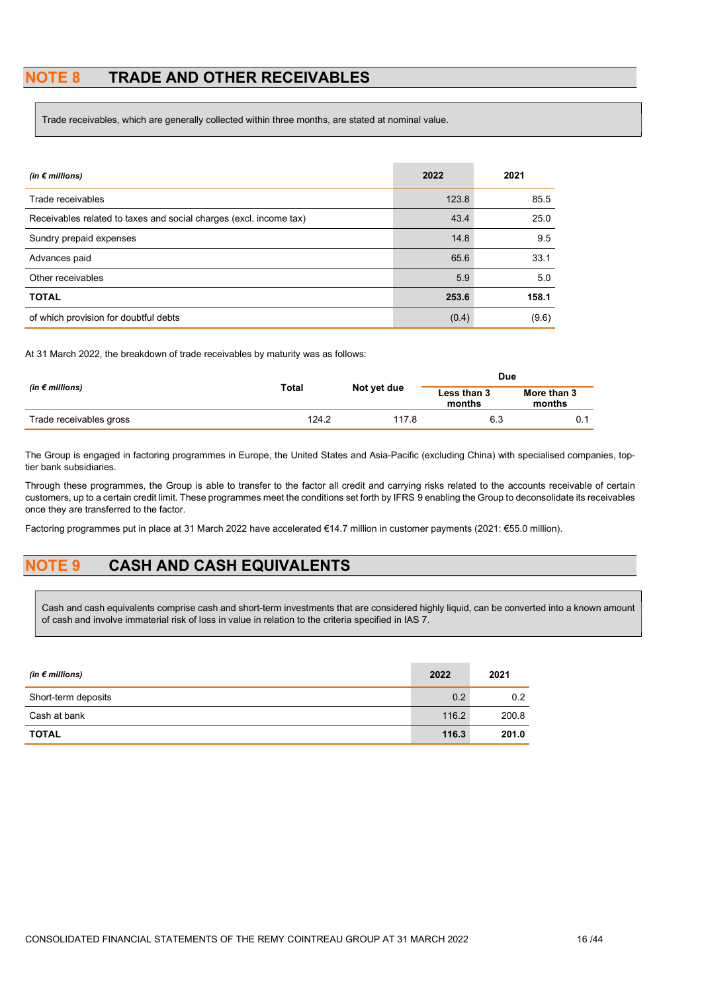# NOTE 8 TRADE AND OTHER RECEIVABLES

Trade receivables, which are generally collected within three months, are stated at nominal value.

| (in $\notin$ millions)                                             | 2022  | 2021  |
|--------------------------------------------------------------------|-------|-------|
| Trade receivables                                                  | 123.8 | 85.5  |
| Receivables related to taxes and social charges (excl. income tax) | 43.4  | 25.0  |
| Sundry prepaid expenses                                            | 14.8  | 9.5   |
| Advances paid                                                      | 65.6  | 33.1  |
| Other receivables                                                  | 5.9   | 5.0   |
| <b>TOTAL</b>                                                       | 253.6 | 158.1 |
| of which provision for doubtful debts                              | (0.4) | (9.6) |

At 31 March 2022, the breakdown of trade receivables by maturity was as follows:

|                          |       |             | Due                   |                       |  |
|--------------------------|-------|-------------|-----------------------|-----------------------|--|
| (in $\epsilon$ millions) | Total | Not yet due | Less than 3<br>months | More than 3<br>months |  |
| Trade receivables gross  | 124.2 | 117.8       | 6.3                   |                       |  |

The Group is engaged in factoring programmes in Europe, the United States and Asia-Pacific (excluding China) with specialised companies, toptier bank subsidiaries.

Through these programmes, the Group is able to transfer to the factor all credit and carrying risks related to the accounts receivable of certain customers, up to a certain credit limit. These programmes meet the conditions set forth by IFRS 9 enabling the Group to deconsolidate its receivables once they are transferred to the factor.

Factoring programmes put in place at 31 March 2022 have accelerated €14.7 million in customer payments (2021: €55.0 million).

# NOTE 9 CASH AND CASH EQUIVALENTS

Cash and cash equivalents comprise cash and short-term investments that are considered highly liquid, can be converted into a known amount of cash and involve immaterial risk of loss in value in relation to the criteria specified in IAS 7.

| (in € millions)     | 2022  | 2021  |
|---------------------|-------|-------|
| Short-term deposits | 0.2   | 0.2   |
| Cash at bank        | 116.2 | 200.8 |
| <b>TOTAL</b>        | 116.3 | 201.0 |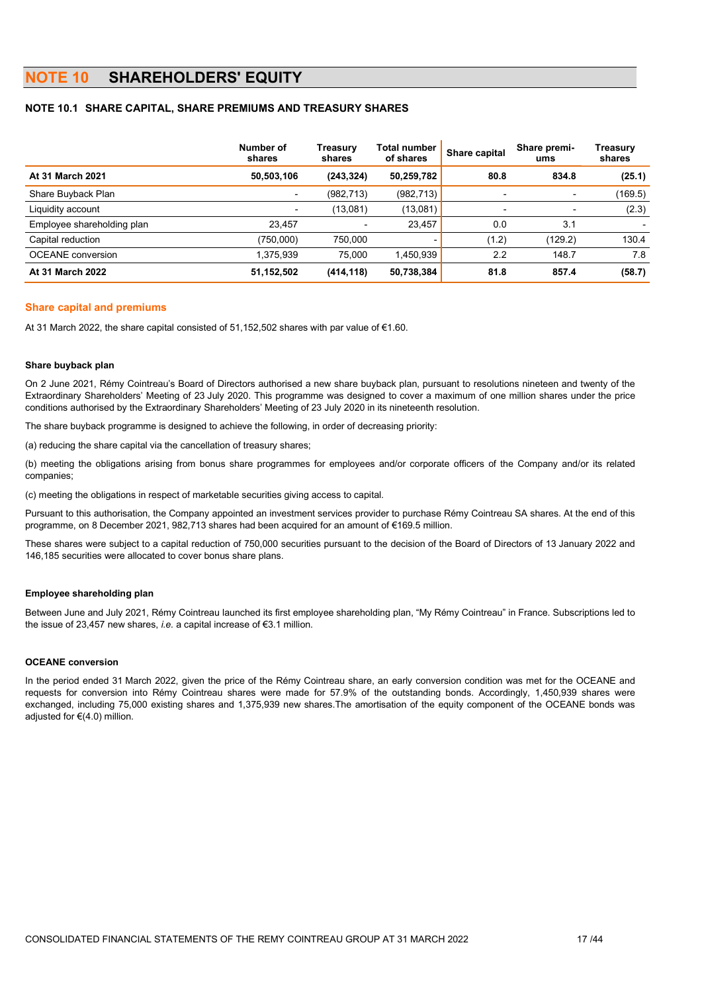### NOTE 10 SHAREHOLDERS' EQUITY

### NOTE 10.1 SHARE CAPITAL, SHARE PREMIUMS AND TREASURY SHARES

|                            | Number of<br>shares      | Treasury<br>shares | Total number<br>of shares | Share capital | Share premi-<br>ums | Treasurv<br>shares       |
|----------------------------|--------------------------|--------------------|---------------------------|---------------|---------------------|--------------------------|
| At 31 March 2021           | 50,503,106               | (243, 324)         | 50,259,782                | 80.8          | 834.8               | (25.1)                   |
| Share Buyback Plan         | $\overline{\phantom{a}}$ | (982, 713)         | (982, 713)                | ٠             |                     | (169.5)                  |
| Liquidity account          | ۰                        | (13,081)           | (13,081)                  | ٠             | ۰.                  | (2.3)                    |
| Employee shareholding plan | 23.457                   |                    | 23,457                    | 0.0           | 3.1                 | $\overline{\phantom{a}}$ |
| Capital reduction          | (750,000)                | 750.000            |                           | (1.2)         | (129.2)             | 130.4                    |
| <b>OCEANE</b> conversion   | 1,375,939                | 75,000             | 1,450,939                 | 2.2           | 148.7               | 7.8                      |
| At 31 March 2022           | 51,152,502               | (414, 118)         | 50,738,384                | 81.8          | 857.4               | (58.7)                   |

#### Share capital and premiums

At 31 March 2022, the share capital consisted of 51,152,502 shares with par value of €1.60.

#### Share buyback plan

On 2 June 2021, Rémy Cointreau's Board of Directors authorised a new share buyback plan, pursuant to resolutions nineteen and twenty of the Extraordinary Shareholders' Meeting of 23 July 2020. This programme was designed to cover a maximum of one million shares under the price conditions authorised by the Extraordinary Shareholders' Meeting of 23 July 2020 in its nineteenth resolution.

The share buyback programme is designed to achieve the following, in order of decreasing priority:

(a) reducing the share capital via the cancellation of treasury shares;

(b) meeting the obligations arising from bonus share programmes for employees and/or corporate officers of the Company and/or its related companies;

(c) meeting the obligations in respect of marketable securities giving access to capital.

Pursuant to this authorisation, the Company appointed an investment services provider to purchase Rémy Cointreau SA shares. At the end of this programme, on 8 December 2021, 982,713 shares had been acquired for an amount of €169.5 million.

These shares were subject to a capital reduction of 750,000 securities pursuant to the decision of the Board of Directors of 13 January 2022 and 146,185 securities were allocated to cover bonus share plans.

#### Employee shareholding plan

Between June and July 2021, Rémy Cointreau launched its first employee shareholding plan, "My Rémy Cointreau" in France. Subscriptions led to the issue of 23,457 new shares, i.e. a capital increase of €3.1 million.

#### OCEANE conversion

In the period ended 31 March 2022, given the price of the Rémy Cointreau share, an early conversion condition was met for the OCEANE and requests for conversion into Rémy Cointreau shares were made for 57.9% of the outstanding bonds. Accordingly, 1,450,939 shares were exchanged, including 75,000 existing shares and 1,375,939 new shares.The amortisation of the equity component of the OCEANE bonds was adjusted for €(4.0) million.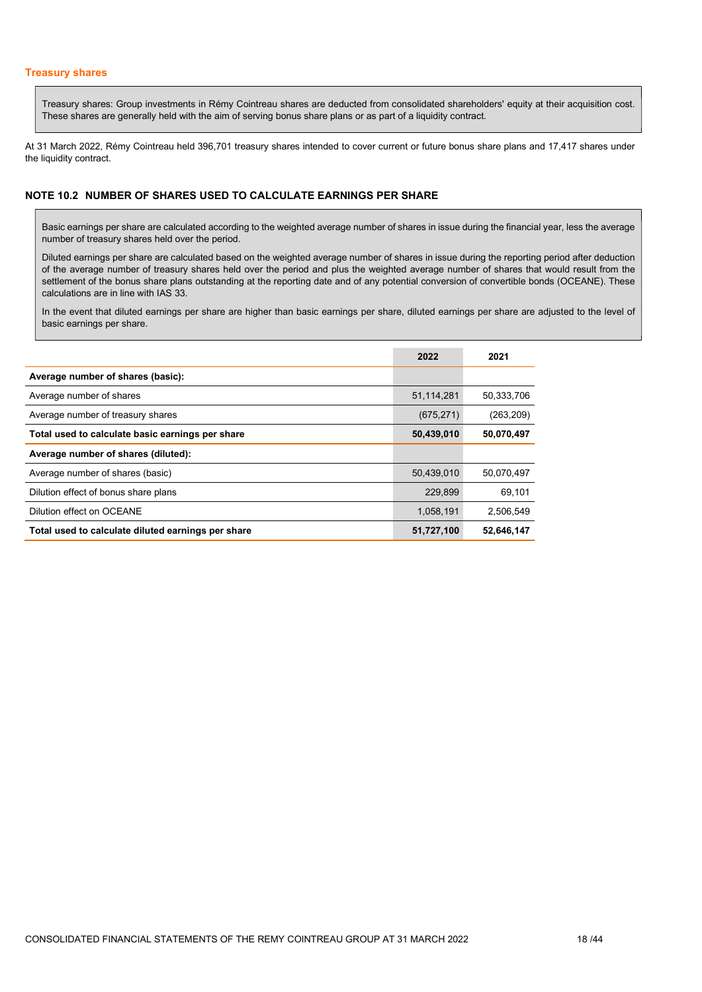Treasury shares: Group investments in Rémy Cointreau shares are deducted from consolidated shareholders' equity at their acquisition cost. These shares are generally held with the aim of serving bonus share plans or as part of a liquidity contract.

At 31 March 2022, Rémy Cointreau held 396,701 treasury shares intended to cover current or future bonus share plans and 17,417 shares under the liquidity contract.

### NOTE 10.2 NUMBER OF SHARES USED TO CALCULATE EARNINGS PER SHARE

Basic earnings per share are calculated according to the weighted average number of shares in issue during the financial year, less the average number of treasury shares held over the period.

Diluted earnings per share are calculated based on the weighted average number of shares in issue during the reporting period after deduction of the average number of treasury shares held over the period and plus the weighted average number of shares that would result from the settlement of the bonus share plans outstanding at the reporting date and of any potential conversion of convertible bonds (OCEANE). These calculations are in line with IAS 33.

In the event that diluted earnings per share are higher than basic earnings per share, diluted earnings per share are adjusted to the level of basic earnings per share.

|                                                    | 2022       | 2021       |
|----------------------------------------------------|------------|------------|
| Average number of shares (basic):                  |            |            |
| Average number of shares                           | 51,114,281 | 50.333.706 |
| Average number of treasury shares                  | (675, 271) | (263, 209) |
| Total used to calculate basic earnings per share   | 50,439,010 | 50,070,497 |
| Average number of shares (diluted):                |            |            |
| Average number of shares (basic)                   | 50.439.010 | 50.070.497 |
| Dilution effect of bonus share plans               | 229.899    | 69.101     |
| Dilution effect on OCEANE                          | 1,058,191  | 2,506,549  |
| Total used to calculate diluted earnings per share | 51,727,100 | 52,646,147 |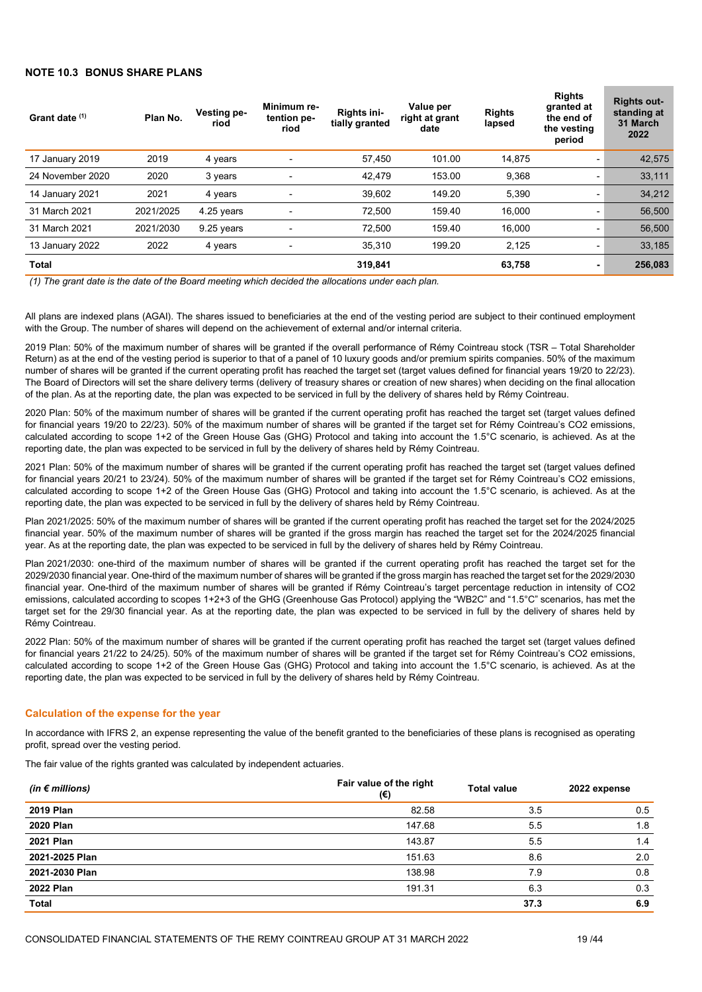### NOTE 10.3 BONUS SHARE PLANS

| Grant date (1)   | Plan No.  | Vesting pe-<br>riod | Minimum re-<br>tention pe-<br>riod | Rights ini-<br>tially granted | Value per<br>right at grant<br>date | <b>Rights</b><br>lapsed | <b>Rights</b><br>granted at<br>the end of<br>the vesting<br>period | <b>Rights out-</b><br>standing at<br>31 March<br>2022 |
|------------------|-----------|---------------------|------------------------------------|-------------------------------|-------------------------------------|-------------------------|--------------------------------------------------------------------|-------------------------------------------------------|
| 17 January 2019  | 2019      | 4 years             |                                    | 57,450                        | 101.00                              | 14,875                  | ۰.                                                                 | 42,575                                                |
| 24 November 2020 | 2020      | 3 years             |                                    | 42.479                        | 153.00                              | 9,368                   | -                                                                  | 33,111                                                |
| 14 January 2021  | 2021      | 4 years             |                                    | 39,602                        | 149.20                              | 5,390                   | ۰.                                                                 | 34,212                                                |
| 31 March 2021    | 2021/2025 | 4.25 years          |                                    | 72,500                        | 159.40                              | 16,000                  | $\overline{\phantom{0}}$                                           | 56,500                                                |
| 31 March 2021    | 2021/2030 | 9.25 years          |                                    | 72.500                        | 159.40                              | 16.000                  | $\overline{\phantom{a}}$                                           | 56,500                                                |
| 13 January 2022  | 2022      | 4 years             |                                    | 35.310                        | 199.20                              | 2,125                   | ٠                                                                  | 33,185                                                |
| Total            |           |                     |                                    | 319,841                       |                                     | 63,758                  | ٠                                                                  | 256,083                                               |

(1) The grant date is the date of the Board meeting which decided the allocations under each plan.

All plans are indexed plans (AGAI). The shares issued to beneficiaries at the end of the vesting period are subject to their continued employment with the Group. The number of shares will depend on the achievement of external and/or internal criteria.

2019 Plan: 50% of the maximum number of shares will be granted if the overall performance of Rémy Cointreau stock (TSR – Total Shareholder Return) as at the end of the vesting period is superior to that of a panel of 10 luxury goods and/or premium spirits companies. 50% of the maximum number of shares will be granted if the current operating profit has reached the target set (target values defined for financial years 19/20 to 22/23). The Board of Directors will set the share delivery terms (delivery of treasury shares or creation of new shares) when deciding on the final allocation of the plan. As at the reporting date, the plan was expected to be serviced in full by the delivery of shares held by Rémy Cointreau.

2020 Plan: 50% of the maximum number of shares will be granted if the current operating profit has reached the target set (target values defined for financial years 19/20 to 22/23). 50% of the maximum number of shares will be granted if the target set for Rémy Cointreau's CO2 emissions, calculated according to scope 1+2 of the Green House Gas (GHG) Protocol and taking into account the 1.5°C scenario, is achieved. As at the reporting date, the plan was expected to be serviced in full by the delivery of shares held by Rémy Cointreau.

2021 Plan: 50% of the maximum number of shares will be granted if the current operating profit has reached the target set (target values defined for financial years 20/21 to 23/24). 50% of the maximum number of shares will be granted if the target set for Rémy Cointreau's CO2 emissions, calculated according to scope 1+2 of the Green House Gas (GHG) Protocol and taking into account the 1.5°C scenario, is achieved. As at the reporting date, the plan was expected to be serviced in full by the delivery of shares held by Rémy Cointreau.

Plan 2021/2025: 50% of the maximum number of shares will be granted if the current operating profit has reached the target set for the 2024/2025 financial year. 50% of the maximum number of shares will be granted if the gross margin has reached the target set for the 2024/2025 financial year. As at the reporting date, the plan was expected to be serviced in full by the delivery of shares held by Rémy Cointreau.

Plan 2021/2030: one-third of the maximum number of shares will be granted if the current operating profit has reached the target set for the 2029/2030 financial year. One-third of the maximum number of shares will be granted if the gross margin has reached the target set for the 2029/2030 financial year. One-third of the maximum number of shares will be granted if Rémy Cointreau's target percentage reduction in intensity of CO2 emissions, calculated according to scopes 1+2+3 of the GHG (Greenhouse Gas Protocol) applying the "WB2C" and "1.5°C" scenarios, has met the target set for the 29/30 financial year. As at the reporting date, the plan was expected to be serviced in full by the delivery of shares held by Rémy Cointreau.

2022 Plan: 50% of the maximum number of shares will be granted if the current operating profit has reached the target set (target values defined for financial years 21/22 to 24/25). 50% of the maximum number of shares will be granted if the target set for Rémy Cointreau's CO2 emissions, calculated according to scope 1+2 of the Green House Gas (GHG) Protocol and taking into account the 1.5°C scenario, is achieved. As at the reporting date, the plan was expected to be serviced in full by the delivery of shares held by Rémy Cointreau.

### Calculation of the expense for the year

In accordance with IFRS 2, an expense representing the value of the benefit granted to the beneficiaries of these plans is recognised as operating profit, spread over the vesting period.

The fair value of the rights granted was calculated by independent actuaries.

| (in $\epsilon$ millions) | Fair value of the right<br>(€) | <b>Total value</b> | 2022 expense |
|--------------------------|--------------------------------|--------------------|--------------|
| 2019 Plan                | 82.58                          | 3.5                | 0.5          |
| <b>2020 Plan</b>         | 147.68                         | 5.5                | 1.8          |
| <b>2021 Plan</b>         | 143.87                         | 5.5                | 1.4          |
| 2021-2025 Plan           | 151.63                         | 8.6                | 2.0          |
| 2021-2030 Plan           | 138.98                         | 7.9                | 0.8          |
| <b>2022 Plan</b>         | 191.31                         | 6.3                | 0.3          |
| <b>Total</b>             |                                | 37.3               | 6.9          |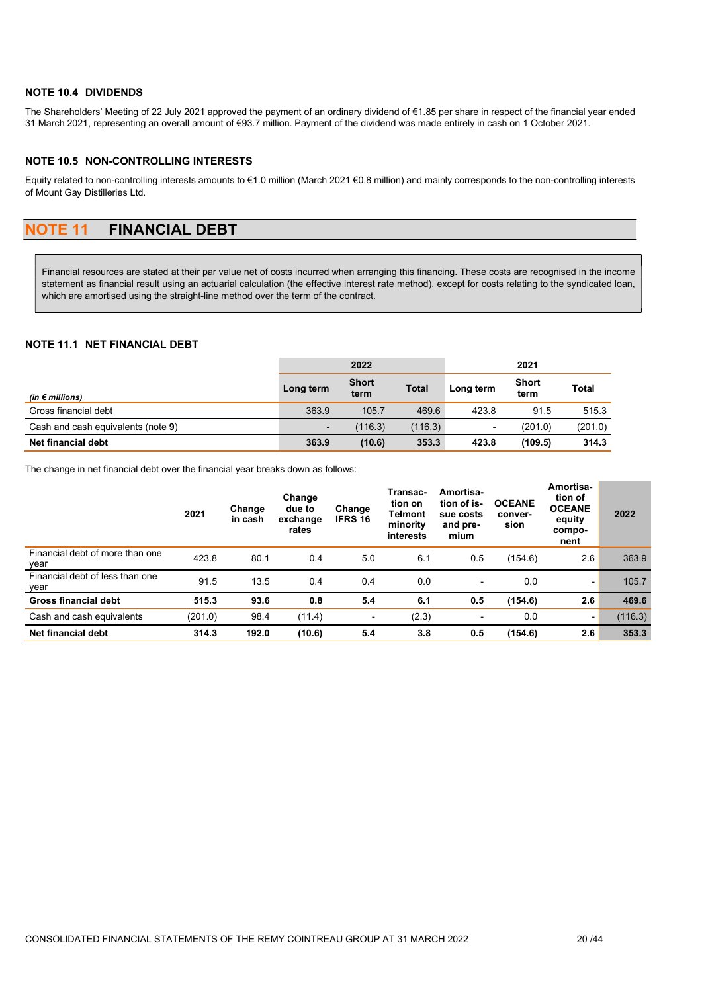### NOTE 10.4 DIVIDENDS

The Shareholders' Meeting of 22 July 2021 approved the payment of an ordinary dividend of €1.85 per share in respect of the financial year ended 31 March 2021, representing an overall amount of €93.7 million. Payment of the dividend was made entirely in cash on 1 October 2021.

### NOTE 10.5 NON-CONTROLLING INTERESTS

Equity related to non-controlling interests amounts to €1.0 million (March 2021 €0.8 million) and mainly corresponds to the non-controlling interests of Mount Gay Distilleries Ltd.

# NOTE 11 FINANCIAL DEBT

Financial resources are stated at their par value net of costs incurred when arranging this financing. These costs are recognised in the income statement as financial result using an actuarial calculation (the effective interest rate method), except for costs relating to the syndicated loan, which are amortised using the straight-line method over the term of the contract.

### NOTE 11.1 NET FINANCIAL DEBT

|                                    | 2022           |                      |              | 2021      |                      |              |
|------------------------------------|----------------|----------------------|--------------|-----------|----------------------|--------------|
| (in $\epsilon$ millions)           | Long term      | <b>Short</b><br>term | <b>Total</b> | Long term | <b>Short</b><br>term | <b>Total</b> |
| Gross financial debt               | 363.9          | 105.7                | 469.6        | 423.8     | 91.5                 | 515.3        |
| Cash and cash equivalents (note 9) | $\blacksquare$ | (116.3)              | (116.3)      |           | (201.0)              | (201.0)      |
| Net financial debt                 | 363.9          | (10.6)               | 353.3        | 423.8     | (109.5)              | 314.3        |

The change in net financial debt over the financial year breaks down as follows:

|                                         | 2021    | Change<br>in cash | Change<br>due to<br>exchange<br>rates | Change<br><b>IFRS 16</b> | Transac-<br>tion on<br><b>Telmont</b><br>minority<br>interests | Amortisa-<br>tion of is-<br>sue costs<br>and pre-<br>mium | <b>OCEANE</b><br>conver-<br>sion | Amortisa-<br>tion of<br><b>OCEANE</b><br>equity<br>compo-<br>nent | 2022    |
|-----------------------------------------|---------|-------------------|---------------------------------------|--------------------------|----------------------------------------------------------------|-----------------------------------------------------------|----------------------------------|-------------------------------------------------------------------|---------|
| Financial debt of more than one<br>year | 423.8   | 80.1              | 0.4                                   | 5.0                      | 6.1                                                            | 0.5                                                       | (154.6)                          | 2.6                                                               | 363.9   |
| Financial debt of less than one<br>year | 91.5    | 13.5              | 0.4                                   | 0.4                      | 0.0                                                            | $\overline{\phantom{a}}$                                  | 0.0                              | -                                                                 | 105.7   |
| Gross financial debt                    | 515.3   | 93.6              | 0.8                                   | 5.4                      | 6.1                                                            | 0.5                                                       | (154.6)                          | 2.6                                                               | 469.6   |
| Cash and cash equivalents               | (201.0) | 98.4              | (11.4)                                |                          | (2.3)                                                          | $\overline{\phantom{a}}$                                  | 0.0                              | ۰.                                                                | (116.3) |
| Net financial debt                      | 314.3   | 192.0             | (10.6)                                | 5.4                      | 3.8                                                            | 0.5                                                       | (154.6)                          | 2.6                                                               | 353.3   |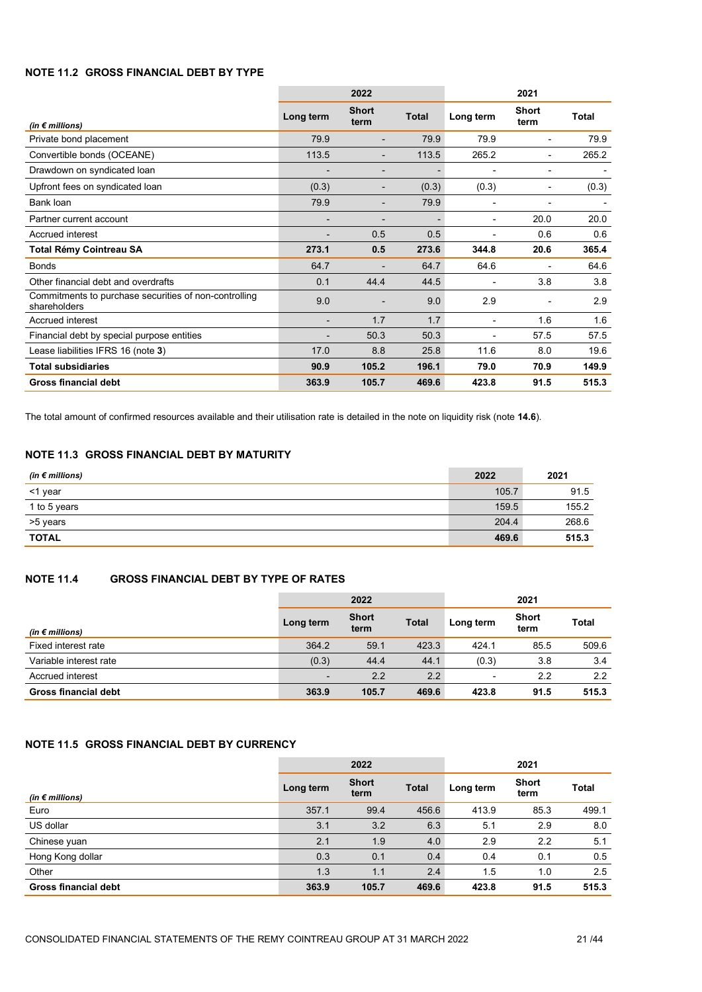### NOTE 11.2 GROSS FINANCIAL DEBT BY TYPE

|                                                                       |                              | 2022                     |              |           | 2021                     |       |
|-----------------------------------------------------------------------|------------------------------|--------------------------|--------------|-----------|--------------------------|-------|
| (in $\notin$ millions)                                                | Long term                    | <b>Short</b><br>term     | <b>Total</b> | Long term | <b>Short</b><br>term     | Total |
| Private bond placement                                                | 79.9                         |                          | 79.9         | 79.9      | $\overline{\phantom{0}}$ | 79.9  |
| Convertible bonds (OCEANE)                                            | 113.5                        |                          | 113.5        | 265.2     |                          | 265.2 |
| Drawdown on syndicated loan                                           |                              | $\overline{\phantom{0}}$ |              |           | $\overline{\phantom{a}}$ |       |
| Upfront fees on syndicated loan                                       | (0.3)                        | $\overline{\phantom{0}}$ | (0.3)        | (0.3)     | -                        | (0.3) |
| Bank loan                                                             | 79.9                         |                          | 79.9         |           | $\blacksquare$           |       |
| Partner current account                                               | $\qquad \qquad \blacksquare$ | $\overline{\phantom{0}}$ |              | ٠         | 20.0                     | 20.0  |
| Accrued interest                                                      | $\qquad \qquad \blacksquare$ | 0.5                      | 0.5          |           | 0.6                      | 0.6   |
| <b>Total Rémy Cointreau SA</b>                                        | 273.1                        | 0.5                      | 273.6        | 344.8     | 20.6                     | 365.4 |
| <b>Bonds</b>                                                          | 64.7                         |                          | 64.7         | 64.6      |                          | 64.6  |
| Other financial debt and overdrafts                                   | 0.1                          | 44.4                     | 44.5         |           | 3.8                      | 3.8   |
| Commitments to purchase securities of non-controlling<br>shareholders | 9.0                          |                          | 9.0          | 2.9       |                          | 2.9   |
| <b>Accrued interest</b>                                               | $\qquad \qquad \blacksquare$ | 1.7                      | 1.7          | ٠         | 1.6                      | 1.6   |
| Financial debt by special purpose entities                            | $\overline{\phantom{0}}$     | 50.3                     | 50.3         |           | 57.5                     | 57.5  |
| Lease liabilities IFRS 16 (note 3)                                    | 17.0                         | 8.8                      | 25.8         | 11.6      | 8.0                      | 19.6  |
| <b>Total subsidiaries</b>                                             | 90.9                         | 105.2                    | 196.1        | 79.0      | 70.9                     | 149.9 |
| <b>Gross financial debt</b>                                           | 363.9                        | 105.7                    | 469.6        | 423.8     | 91.5                     | 515.3 |

The total amount of confirmed resources available and their utilisation rate is detailed in the note on liquidity risk (note 14.6).

### NOTE 11.3 GROSS FINANCIAL DEBT BY MATURITY

| (in $\epsilon$ millions) | 2022  | 2021  |
|--------------------------|-------|-------|
| <1 year                  | 105.7 | 91.5  |
| 1 to 5 years             | 159.5 | 155.2 |
| >5 years                 | 204.4 | 268.6 |
| <b>TOTAL</b>             | 469.6 | 515.3 |

### NOTE 11.4 GROSS FINANCIAL DEBT BY TYPE OF RATES

|                             |                          | 2022                 |              |           | 2021                 |       |
|-----------------------------|--------------------------|----------------------|--------------|-----------|----------------------|-------|
| (in $\epsilon$ millions)    | Long term                | <b>Short</b><br>term | <b>Total</b> | Long term | <b>Short</b><br>term | Total |
| Fixed interest rate         | 364.2                    | 59.1                 | 423.3        | 424.1     | 85.5                 | 509.6 |
| Variable interest rate      | (0.3)                    | 44.4                 | 44.1         | (0.3)     | 3.8                  | 3.4   |
| Accrued interest            | $\overline{\phantom{a}}$ | 2.2                  | 2.2          |           | 2.2                  | 2.2   |
| <b>Gross financial debt</b> | 363.9                    | 105.7                | 469.6        | 423.8     | 91.5                 | 515.3 |

### NOTE 11.5 GROSS FINANCIAL DEBT BY CURRENCY

|                             |           | 2022                 |              |           | 2021                 |              |
|-----------------------------|-----------|----------------------|--------------|-----------|----------------------|--------------|
| (in $\epsilon$ millions)    | Long term | <b>Short</b><br>term | <b>Total</b> | Long term | <b>Short</b><br>term | <b>Total</b> |
| Euro                        | 357.1     | 99.4                 | 456.6        | 413.9     | 85.3                 | 499.1        |
| US dollar                   | 3.1       | 3.2                  | 6.3          | 5.1       | 2.9                  | 8.0          |
| Chinese yuan                | 2.1       | 1.9                  | 4.0          | 2.9       | 2.2                  | 5.1          |
| Hong Kong dollar            | 0.3       | 0.1                  | 0.4          | 0.4       | 0.1                  | 0.5          |
| Other                       | 1.3       | 1.1                  | 2.4          | 1.5       | 1.0                  | 2.5          |
| <b>Gross financial debt</b> | 363.9     | 105.7                | 469.6        | 423.8     | 91.5                 | 515.3        |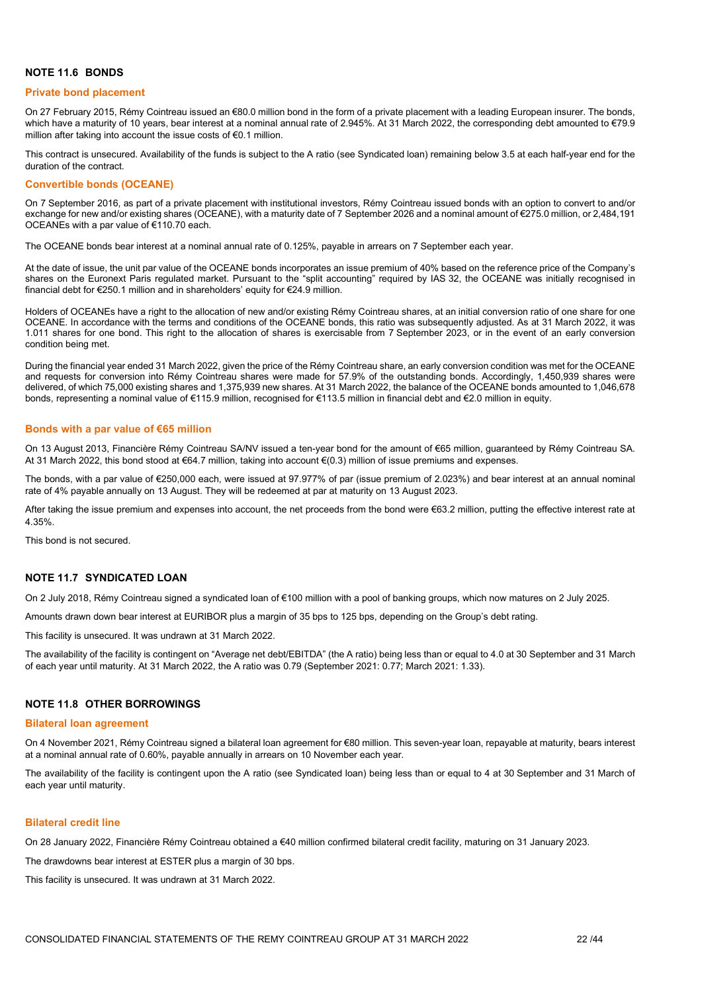### NOTE 11.6 BONDS

#### Private bond placement

On 27 February 2015, Rémy Cointreau issued an €80.0 million bond in the form of a private placement with a leading European insurer. The bonds, which have a maturity of 10 years, bear interest at a nominal annual rate of 2.945%. At 31 March 2022, the corresponding debt amounted to €79.9 million after taking into account the issue costs of €0.1 million.

This contract is unsecured. Availability of the funds is subject to the A ratio (see Syndicated loan) remaining below 3.5 at each half-year end for the duration of the contract.

#### Convertible bonds (OCEANE)

On 7 September 2016, as part of a private placement with institutional investors, Rémy Cointreau issued bonds with an option to convert to and/or exchange for new and/or existing shares (OCEANE), with a maturity date of 7 September 2026 and a nominal amount of €275.0 million, or 2,484,191 OCEANEs with a par value of €110.70 each.

The OCEANE bonds bear interest at a nominal annual rate of 0.125%, payable in arrears on 7 September each year.

At the date of issue, the unit par value of the OCEANE bonds incorporates an issue premium of 40% based on the reference price of the Company's shares on the Euronext Paris regulated market. Pursuant to the "split accounting" required by IAS 32, the OCEANE was initially recognised in financial debt for €250.1 million and in shareholders' equity for €24.9 million.

Holders of OCEANEs have a right to the allocation of new and/or existing Rémy Cointreau shares, at an initial conversion ratio of one share for one OCEANE. In accordance with the terms and conditions of the OCEANE bonds, this ratio was subsequently adjusted. As at 31 March 2022, it was 1.011 shares for one bond. This right to the allocation of shares is exercisable from 7 September 2023, or in the event of an early conversion condition being met.

During the financial year ended 31 March 2022, given the price of the Rémy Cointreau share, an early conversion condition was met for the OCEANE and requests for conversion into Rémy Cointreau shares were made for 57.9% of the outstanding bonds. Accordingly, 1,450,939 shares were delivered, of which 75,000 existing shares and 1,375,939 new shares. At 31 March 2022, the balance of the OCEANE bonds amounted to 1,046,678 bonds, representing a nominal value of €115.9 million, recognised for €113.5 million in financial debt and €2.0 million in equity.

#### Bonds with a par value of €65 million

On 13 August 2013, Financière Rémy Cointreau SA/NV issued a ten-year bond for the amount of €65 million, guaranteed by Rémy Cointreau SA. At 31 March 2022, this bond stood at €64.7 million, taking into account €(0.3) million of issue premiums and expenses.

The bonds, with a par value of €250,000 each, were issued at 97.977% of par (issue premium of 2.023%) and bear interest at an annual nominal rate of 4% payable annually on 13 August. They will be redeemed at par at maturity on 13 August 2023.

After taking the issue premium and expenses into account, the net proceeds from the bond were €63.2 million, putting the effective interest rate at 4.35%.

This bond is not secured.

#### NOTE 11.7 SYNDICATED LOAN

On 2 July 2018, Rémy Cointreau signed a syndicated loan of €100 million with a pool of banking groups, which now matures on 2 July 2025.

Amounts drawn down bear interest at EURIBOR plus a margin of 35 bps to 125 bps, depending on the Group's debt rating.

This facility is unsecured. It was undrawn at 31 March 2022.

The availability of the facility is contingent on "Average net debt/EBITDA" (the A ratio) being less than or equal to 4.0 at 30 September and 31 March of each year until maturity. At 31 March 2022, the A ratio was 0.79 (September 2021: 0.77; March 2021: 1.33).

### NOTE 11.8 OTHER BORROWINGS

#### Bilateral loan agreement

On 4 November 2021, Rémy Cointreau signed a bilateral loan agreement for €80 million. This seven-year loan, repayable at maturity, bears interest at a nominal annual rate of 0.60%, payable annually in arrears on 10 November each year.

The availability of the facility is contingent upon the A ratio (see Syndicated loan) being less than or equal to 4 at 30 September and 31 March of each year until maturity.

#### Bilateral credit line

On 28 January 2022, Financière Rémy Cointreau obtained a €40 million confirmed bilateral credit facility, maturing on 31 January 2023.

The drawdowns bear interest at ESTER plus a margin of 30 bps.

This facility is unsecured. It was undrawn at 31 March 2022.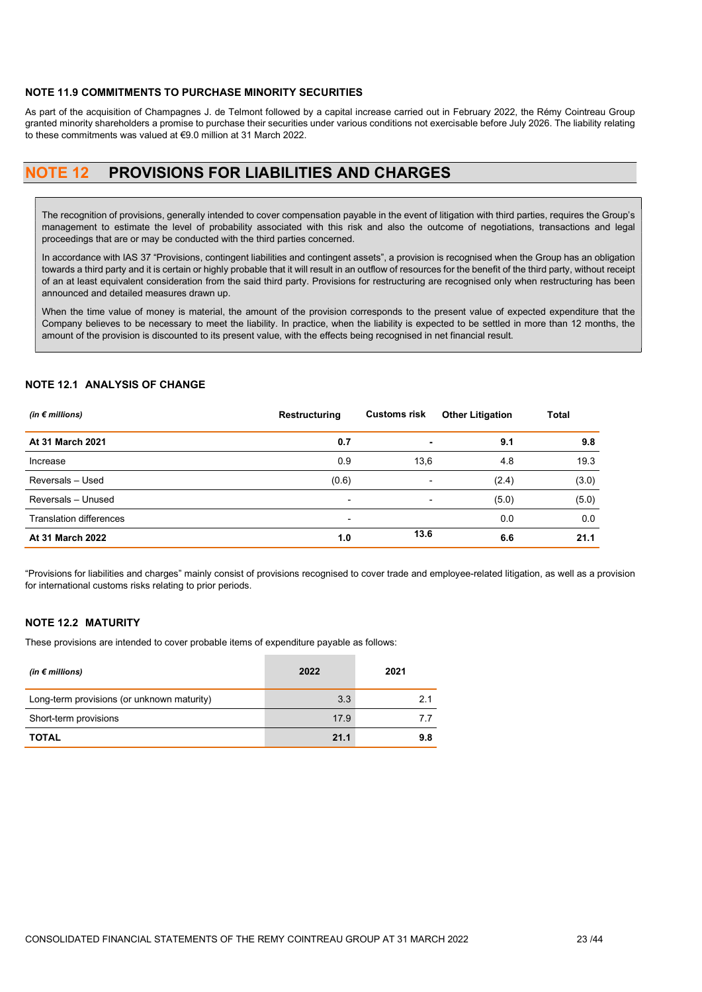#### NOTE 11.9 COMMITMENTS TO PURCHASE MINORITY SECURITIES

As part of the acquisition of Champagnes J. de Telmont followed by a capital increase carried out in February 2022, the Rémy Cointreau Group granted minority shareholders a promise to purchase their securities under various conditions not exercisable before July 2026. The liability relating to these commitments was valued at €9.0 million at 31 March 2022.

## NOTE 12 PROVISIONS FOR LIABILITIES AND CHARGES

The recognition of provisions, generally intended to cover compensation payable in the event of litigation with third parties, requires the Group's management to estimate the level of probability associated with this risk and also the outcome of negotiations, transactions and legal proceedings that are or may be conducted with the third parties concerned.

In accordance with IAS 37 "Provisions, contingent liabilities and contingent assets", a provision is recognised when the Group has an obligation towards a third party and it is certain or highly probable that it will result in an outflow of resources for the benefit of the third party, without receipt of an at least equivalent consideration from the said third party. Provisions for restructuring are recognised only when restructuring has been announced and detailed measures drawn up.

When the time value of money is material, the amount of the provision corresponds to the present value of expected expenditure that the Company believes to be necessary to meet the liability. In practice, when the liability is expected to be settled in more than 12 months, the amount of the provision is discounted to its present value, with the effects being recognised in net financial result.

### NOTE 12.1 ANALYSIS OF CHANGE

| (in $\epsilon$ millions)       | Restructuring            | <b>Customs risk</b>      | <b>Other Litigation</b> | Total |
|--------------------------------|--------------------------|--------------------------|-------------------------|-------|
| At 31 March 2021               | 0.7                      | ٠                        | 9.1                     | 9.8   |
| Increase                       | 0.9                      | 13,6                     | 4.8                     | 19.3  |
| Reversals - Used               | (0.6)                    | ٠                        | (2.4)                   | (3.0) |
| Reversals - Unused             | $\overline{\phantom{a}}$ | $\overline{\phantom{a}}$ | (5.0)                   | (5.0) |
| <b>Translation differences</b> | $\overline{\phantom{a}}$ |                          | 0.0                     | 0.0   |
| At 31 March 2022               | 1.0                      | 13.6                     | 6.6                     | 21.1  |

"Provisions for liabilities and charges" mainly consist of provisions recognised to cover trade and employee-related litigation, as well as a provision for international customs risks relating to prior periods.

### NOTE 12.2 MATURITY

These provisions are intended to cover probable items of expenditure payable as follows:

| (in $\notin$ millions)                     | 2022 | 2021 |
|--------------------------------------------|------|------|
| Long-term provisions (or unknown maturity) | 3.3  | 21   |
| Short-term provisions                      | 17.9 |      |
| <b>TOTAL</b>                               | 21.1 | 9.8  |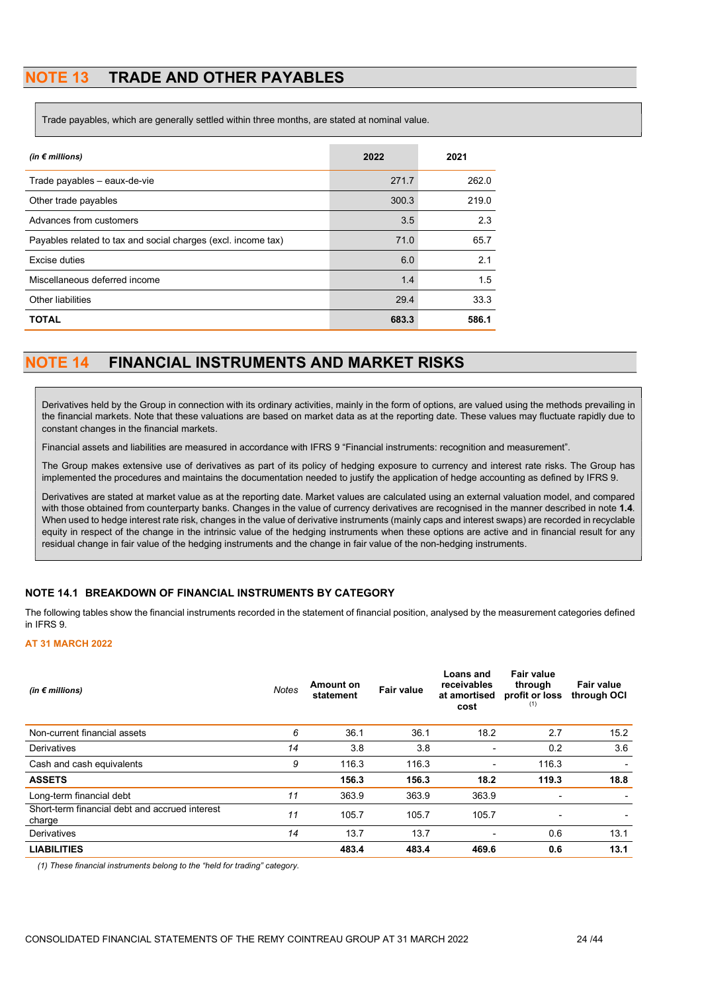# NOTE 13 TRADE AND OTHER PAYABLES

Trade payables, which are generally settled within three months, are stated at nominal value.

| (in $\notin$ millions)                                        | 2022  | 2021  |
|---------------------------------------------------------------|-------|-------|
| Trade payables - eaux-de-vie                                  | 271.7 | 262.0 |
| Other trade payables                                          | 300.3 | 219.0 |
| Advances from customers                                       | 3.5   | 2.3   |
| Payables related to tax and social charges (excl. income tax) | 71.0  | 65.7  |
| Excise duties                                                 | 6.0   | 2.1   |
| Miscellaneous deferred income                                 | 1.4   | 1.5   |
| Other liabilities                                             | 29.4  | 33.3  |
| <b>TOTAL</b>                                                  | 683.3 | 586.1 |

# NOTE 14 FINANCIAL INSTRUMENTS AND MARKET RISKS

Derivatives held by the Group in connection with its ordinary activities, mainly in the form of options, are valued using the methods prevailing in the financial markets. Note that these valuations are based on market data as at the reporting date. These values may fluctuate rapidly due to constant changes in the financial markets.

Financial assets and liabilities are measured in accordance with IFRS 9 "Financial instruments: recognition and measurement".

The Group makes extensive use of derivatives as part of its policy of hedging exposure to currency and interest rate risks. The Group has implemented the procedures and maintains the documentation needed to justify the application of hedge accounting as defined by IFRS 9.

Derivatives are stated at market value as at the reporting date. Market values are calculated using an external valuation model, and compared with those obtained from counterparty banks. Changes in the value of currency derivatives are recognised in the manner described in note 1.4. When used to hedge interest rate risk, changes in the value of derivative instruments (mainly caps and interest swaps) are recorded in recyclable equity in respect of the change in the intrinsic value of the hedging instruments when these options are active and in financial result for any residual change in fair value of the hedging instruments and the change in fair value of the non-hedging instruments.

### NOTE 14.1 BREAKDOWN OF FINANCIAL INSTRUMENTS BY CATEGORY

The following tables show the financial instruments recorded in the statement of financial position, analysed by the measurement categories defined in IFRS 9.

### AT 31 MARCH 2022

| (in $\notin$ millions)                                   | <b>Notes</b> | Amount on<br>statement | <b>Fair value</b> | Loans and<br>receivables<br>at amortised<br>cost | <b>Fair value</b><br>through<br>profit or loss<br>(1) | Fair value<br>through OCI |
|----------------------------------------------------------|--------------|------------------------|-------------------|--------------------------------------------------|-------------------------------------------------------|---------------------------|
| Non-current financial assets                             | 6            | 36.1                   | 36.1              | 18.2                                             | 2.7                                                   | 15.2                      |
| Derivatives                                              | 14           | 3.8                    | 3.8               | $\overline{\phantom{a}}$                         | 0.2                                                   | 3.6                       |
| Cash and cash equivalents                                | 9            | 116.3                  | 116.3             | $\overline{\phantom{a}}$                         | 116.3                                                 |                           |
| <b>ASSETS</b>                                            |              | 156.3                  | 156.3             | 18.2                                             | 119.3                                                 | 18.8                      |
| Long-term financial debt                                 | 11           | 363.9                  | 363.9             | 363.9                                            | $\blacksquare$                                        |                           |
| Short-term financial debt and accrued interest<br>charge | 11           | 105.7                  | 105.7             | 105.7                                            | $\overline{\phantom{0}}$                              |                           |
| Derivatives                                              | 14           | 13.7                   | 13.7              | $\overline{\phantom{a}}$                         | 0.6                                                   | 13.1                      |
| <b>LIABILITIES</b>                                       |              | 483.4                  | 483.4             | 469.6                                            | 0.6                                                   | 13.1                      |

(1) These financial instruments belong to the "held for trading" category.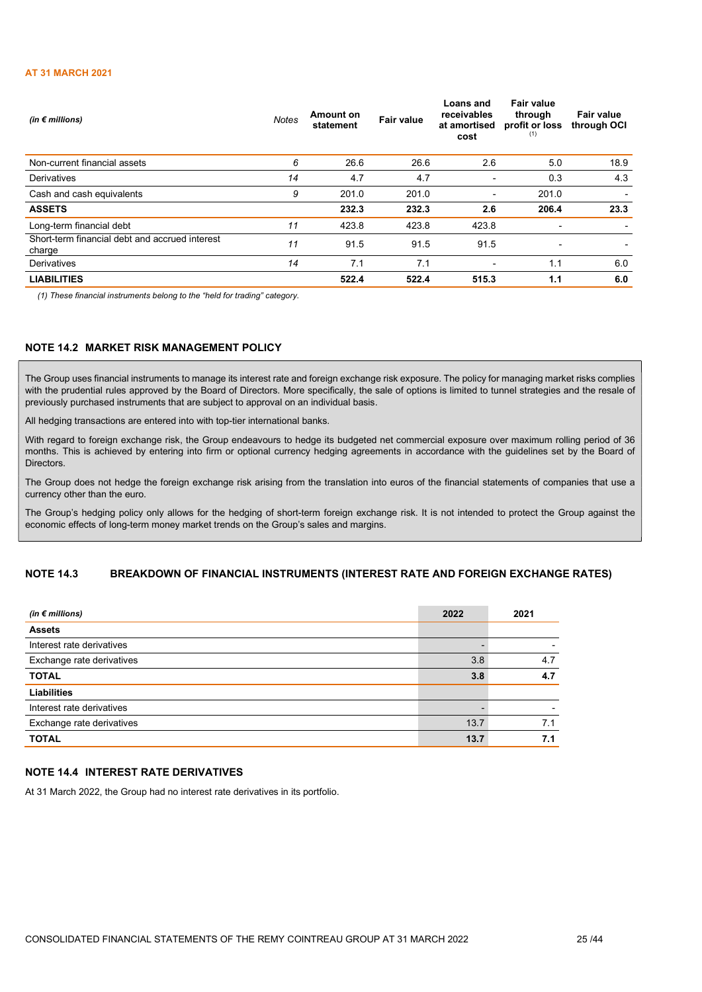### AT 31 MARCH 2021

| (in $\notin$ millions)                                   | Notes | Amount on<br>statement | Fair value | <b>Loans and</b><br>receivables<br>at amortised<br>cost | Fair value<br>through<br>profit or loss<br>(1) | Fair value<br>through OCI |
|----------------------------------------------------------|-------|------------------------|------------|---------------------------------------------------------|------------------------------------------------|---------------------------|
| Non-current financial assets                             | 6     | 26.6                   | 26.6       | 2.6                                                     | 5.0                                            | 18.9                      |
| Derivatives                                              | 14    | 4.7                    | 4.7        | $\blacksquare$                                          | 0.3                                            | 4.3                       |
| Cash and cash equivalents                                | 9     | 201.0                  | 201.0      | $\overline{\phantom{0}}$                                | 201.0                                          |                           |
| <b>ASSETS</b>                                            |       | 232.3                  | 232.3      | 2.6                                                     | 206.4                                          | 23.3                      |
| Long-term financial debt                                 | 11    | 423.8                  | 423.8      | 423.8                                                   | $\overline{\phantom{a}}$                       |                           |
| Short-term financial debt and accrued interest<br>charge | 11    | 91.5                   | 91.5       | 91.5                                                    |                                                |                           |
| Derivatives                                              | 14    | 7.1                    | 7.1        | $\blacksquare$                                          | 1.1                                            | 6.0                       |
| <b>LIABILITIES</b>                                       |       | 522.4                  | 522.4      | 515.3                                                   | 1.1                                            | 6.0                       |

(1) These financial instruments belong to the "held for trading" category.

### NOTE 14.2 MARKET RISK MANAGEMENT POLICY

The Group uses financial instruments to manage its interest rate and foreign exchange risk exposure. The policy for managing market risks complies with the prudential rules approved by the Board of Directors. More specifically, the sale of options is limited to tunnel strategies and the resale of previously purchased instruments that are subject to approval on an individual basis.

All hedging transactions are entered into with top-tier international banks.

With regard to foreign exchange risk, the Group endeavours to hedge its budgeted net commercial exposure over maximum rolling period of 36 months. This is achieved by entering into firm or optional currency hedging agreements in accordance with the guidelines set by the Board of Directors.

The Group does not hedge the foreign exchange risk arising from the translation into euros of the financial statements of companies that use a currency other than the euro.

The Group's hedging policy only allows for the hedging of short-term foreign exchange risk. It is not intended to protect the Group against the economic effects of long-term money market trends on the Group's sales and margins.

### NOTE 14.3 BREAKDOWN OF FINANCIAL INSTRUMENTS (INTEREST RATE AND FOREIGN EXCHANGE RATES)

| (in $\notin$ millions)    | 2022 | 2021 |
|---------------------------|------|------|
| <b>Assets</b>             |      |      |
| Interest rate derivatives |      |      |
| Exchange rate derivatives | 3.8  | 4.7  |
| <b>TOTAL</b>              | 3.8  | 4.7  |
| <b>Liabilities</b>        |      |      |
| Interest rate derivatives |      |      |
| Exchange rate derivatives | 13.7 | 7.1  |
| <b>TOTAL</b>              | 13.7 | 7.1  |

### NOTE 14.4 INTEREST RATE DERIVATIVES

At 31 March 2022, the Group had no interest rate derivatives in its portfolio.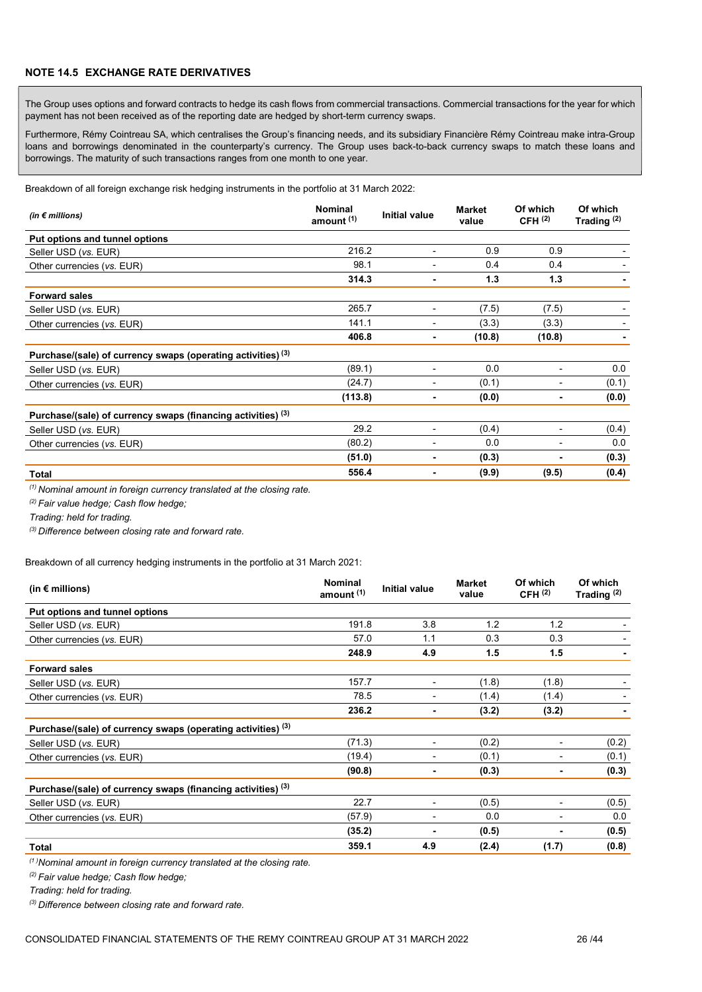### NOTE 14.5 EXCHANGE RATE DERIVATIVES

The Group uses options and forward contracts to hedge its cash flows from commercial transactions. Commercial transactions for the year for which payment has not been received as of the reporting date are hedged by short-term currency swaps.

Furthermore, Rémy Cointreau SA, which centralises the Group's financing needs, and its subsidiary Financière Rémy Cointreau make intra-Group loans and borrowings denominated in the counterparty's currency. The Group uses back-to-back currency swaps to match these loans and borrowings. The maturity of such transactions ranges from one month to one year.

Breakdown of all foreign exchange risk hedging instruments in the portfolio at 31 March 2022:

| (in $\notin$ millions)                                                  | Nominal<br>amount <sup>(1)</sup> | <b>Initial value</b>     |        | Of which<br>CFH $(2)$ | Of which<br>Trading <sup>(2)</sup> |
|-------------------------------------------------------------------------|----------------------------------|--------------------------|--------|-----------------------|------------------------------------|
| Put options and tunnel options                                          |                                  |                          |        |                       |                                    |
| Seller USD (vs. EUR)                                                    | 216.2                            | $\blacksquare$           | 0.9    | 0.9                   |                                    |
| Other currencies (vs. EUR)                                              | 98.1                             | $\overline{\phantom{a}}$ | 0.4    | 0.4                   |                                    |
|                                                                         | 314.3                            | ٠                        | 1.3    | 1.3                   |                                    |
| <b>Forward sales</b>                                                    |                                  |                          |        |                       |                                    |
| Seller USD (vs. EUR)                                                    | 265.7                            | $\overline{\phantom{a}}$ | (7.5)  | (7.5)                 |                                    |
| Other currencies (vs. EUR)                                              | 141.1                            | $\blacksquare$           | (3.3)  | (3.3)                 |                                    |
|                                                                         | 406.8                            | ٠                        | (10.8) | (10.8)                |                                    |
| Purchase/(sale) of currency swaps (operating activities) <sup>(3)</sup> |                                  |                          |        |                       |                                    |
| Seller USD (vs. EUR)                                                    | (89.1)                           | $\overline{\phantom{a}}$ | 0.0    | -                     | 0.0                                |
| Other currencies (vs. EUR)                                              | (24.7)                           | $\blacksquare$           | (0.1)  |                       | (0.1)                              |
|                                                                         | (113.8)                          | ٠                        | (0.0)  | ۰                     | (0.0)                              |
| Purchase/(sale) of currency swaps (financing activities) <sup>(3)</sup> |                                  |                          |        |                       |                                    |
| Seller USD (vs. EUR)                                                    | 29.2                             | $\overline{\phantom{a}}$ | (0.4)  | ۰                     | (0.4)                              |
| Other currencies (vs. EUR)                                              | (80.2)                           | $\overline{\phantom{a}}$ | 0.0    | -                     | 0.0                                |
|                                                                         | (51.0)                           | ٠                        | (0.3)  |                       | (0.3)                              |
| <b>Total</b>                                                            | 556.4                            | ٠                        | (9.9)  | (9.5)                 | (0.4)                              |

 $(1)$  Nominal amount in foreign currency translated at the closing rate.

 $(2)$  Fair value hedge; Cash flow hedge;

Trading: held for trading.

(3) Difference between closing rate and forward rate.

Breakdown of all currency hedging instruments in the portfolio at 31 March 2021:

| (in $\epsilon$ millions)                                     | <b>Nominal</b><br>amount <sup>(1)</sup> | <b>Initial value</b>     | <b>Market</b><br>value | Of which<br>CFH $(2)$ | Of which<br>Trading <sup>(2)</sup> |
|--------------------------------------------------------------|-----------------------------------------|--------------------------|------------------------|-----------------------|------------------------------------|
| Put options and tunnel options                               |                                         |                          |                        |                       |                                    |
| Seller USD (vs. EUR)                                         | 191.8                                   | 3.8                      | 1.2                    | 1.2                   |                                    |
| Other currencies (vs. EUR)                                   | 57.0                                    | 1.1                      | 0.3                    | 0.3                   |                                    |
|                                                              | 248.9                                   | 4.9                      | 1.5                    | 1.5                   |                                    |
| <b>Forward sales</b>                                         |                                         |                          |                        |                       |                                    |
| Seller USD (vs. EUR)                                         | 157.7                                   | $\overline{\phantom{a}}$ | (1.8)                  | (1.8)                 |                                    |
| Other currencies (vs. EUR)                                   | 78.5                                    | ۰                        | (1.4)                  | (1.4)                 |                                    |
|                                                              | 236.2                                   | ٠                        | (3.2)                  | (3.2)                 |                                    |
| Purchase/(sale) of currency swaps (operating activities) (3) |                                         |                          |                        |                       |                                    |
| Seller USD (vs. EUR)                                         | (71.3)                                  | $\overline{\phantom{a}}$ | (0.2)                  | ٠                     | (0.2)                              |
| Other currencies (vs. EUR)                                   | (19.4)                                  | $\overline{\phantom{a}}$ | (0.1)                  | -                     | (0.1)                              |
|                                                              | (90.8)                                  | ٠                        | (0.3)                  | ۰                     | (0.3)                              |
| Purchase/(sale) of currency swaps (financing activities) (3) |                                         |                          |                        |                       |                                    |
| Seller USD (vs. EUR)                                         | 22.7                                    | ٠                        | (0.5)                  | ۰                     | (0.5)                              |
| Other currencies (vs. EUR)                                   | (57.9)                                  | $\overline{\phantom{a}}$ | 0.0                    | ٠                     | 0.0                                |
|                                                              | (35.2)                                  | ٠                        | (0.5)                  | ۰                     | (0.5)                              |
| Total                                                        | 359.1                                   | 4.9                      | (2.4)                  | (1.7)                 | (0.8)                              |

 $(1)$ Nominal amount in foreign currency translated at the closing rate.

<sup>(2)</sup> Fair value hedge; Cash flow hedge;

Trading: held for trading.

(3) Difference between closing rate and forward rate.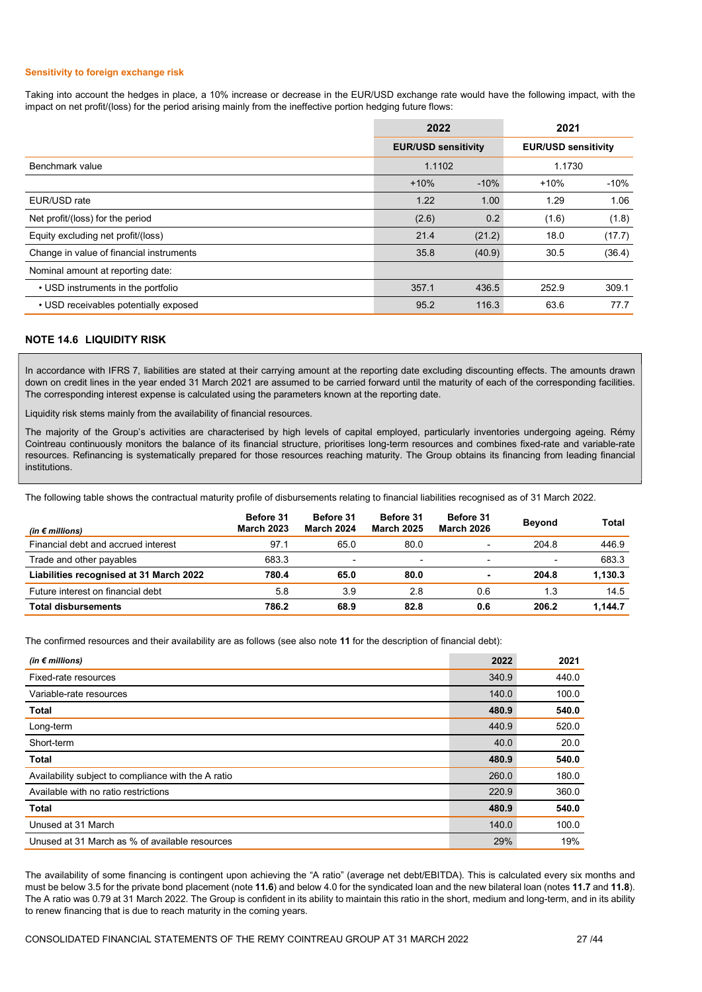#### Sensitivity to foreign exchange risk

Taking into account the hedges in place, a 10% increase or decrease in the EUR/USD exchange rate would have the following impact, with the impact on net profit/(loss) for the period arising mainly from the ineffective portion hedging future flows:

|                                          | 2022   |                            | 2021   |                            |
|------------------------------------------|--------|----------------------------|--------|----------------------------|
|                                          |        | <b>EUR/USD sensitivity</b> |        | <b>EUR/USD sensitivity</b> |
| Benchmark value                          | 1.1102 |                            | 1.1730 |                            |
|                                          | $+10%$ | $-10%$                     | $+10%$ | $-10%$                     |
| EUR/USD rate                             | 1.22   | 1.00                       | 1.29   | 1.06                       |
| Net profit/(loss) for the period         | (2.6)  | 0.2                        | (1.6)  | (1.8)                      |
| Equity excluding net profit/(loss)       | 21.4   | (21.2)                     | 18.0   | (17.7)                     |
| Change in value of financial instruments | 35.8   | (40.9)                     | 30.5   | (36.4)                     |
| Nominal amount at reporting date:        |        |                            |        |                            |
| • USD instruments in the portfolio       | 357.1  | 436.5                      | 252.9  | 309.1                      |
| • USD receivables potentially exposed    | 95.2   | 116.3                      | 63.6   | 77.7                       |

#### NOTE 14.6 LIQUIDITY RISK

In accordance with IFRS 7, liabilities are stated at their carrying amount at the reporting date excluding discounting effects. The amounts drawn down on credit lines in the year ended 31 March 2021 are assumed to be carried forward until the maturity of each of the corresponding facilities. The corresponding interest expense is calculated using the parameters known at the reporting date.

Liquidity risk stems mainly from the availability of financial resources.

The majority of the Group's activities are characterised by high levels of capital employed, particularly inventories undergoing ageing. Rémy Cointreau continuously monitors the balance of its financial structure, prioritises long-term resources and combines fixed-rate and variable-rate resources. Refinancing is systematically prepared for those resources reaching maturity. The Group obtains its financing from leading financial institutions.

The following table shows the contractual maturity profile of disbursements relating to financial liabilities recognised as of 31 March 2022.

| (in $\epsilon$ millions)                | Before 31<br><b>March 2023</b> | Before 31<br><b>March 2024</b> | Before 31<br><b>March 2025</b> | Before 31<br><b>March 2026</b> | <b>Beyond</b> | <b>Total</b> |
|-----------------------------------------|--------------------------------|--------------------------------|--------------------------------|--------------------------------|---------------|--------------|
| Financial debt and accrued interest     | 97.1                           | 65.0                           | 80.0                           |                                | 204.8         | 446.9        |
| Trade and other payables                | 683.3                          | $\overline{\phantom{0}}$       | $\overline{\phantom{0}}$       |                                |               | 683.3        |
| Liabilities recognised at 31 March 2022 | 780.4                          | 65.0                           | 80.0                           |                                | 204.8         | 1,130.3      |
| Future interest on financial debt       | 5.8                            | 3.9                            | 2.8                            | 0.6                            | 1.3           | 14.5         |
| <b>Total disbursements</b>              | 786.2                          | 68.9                           | 82.8                           | 0.6                            | 206.2         | 1.144.7      |

The confirmed resources and their availability are as follows (see also note 11 for the description of financial debt):

| (in $\notin$ millions)                              | 2022  | 2021  |
|-----------------------------------------------------|-------|-------|
| Fixed-rate resources                                | 340.9 | 440.0 |
| Variable-rate resources                             | 140.0 | 100.0 |
| <b>Total</b>                                        | 480.9 | 540.0 |
| Long-term                                           | 440.9 | 520.0 |
| Short-term                                          | 40.0  | 20.0  |
| <b>Total</b>                                        | 480.9 | 540.0 |
| Availability subject to compliance with the A ratio | 260.0 | 180.0 |
| Available with no ratio restrictions                | 220.9 | 360.0 |
| <b>Total</b>                                        | 480.9 | 540.0 |
| Unused at 31 March                                  | 140.0 | 100.0 |
| Unused at 31 March as % of available resources      | 29%   | 19%   |

The availability of some financing is contingent upon achieving the "A ratio" (average net debt/EBITDA). This is calculated every six months and must be below 3.5 for the private bond placement (note 11.6) and below 4.0 for the syndicated loan and the new bilateral loan (notes 11.7 and 11.8). The A ratio was 0.79 at 31 March 2022. The Group is confident in its ability to maintain this ratio in the short, medium and long-term, and in its ability to renew financing that is due to reach maturity in the coming years.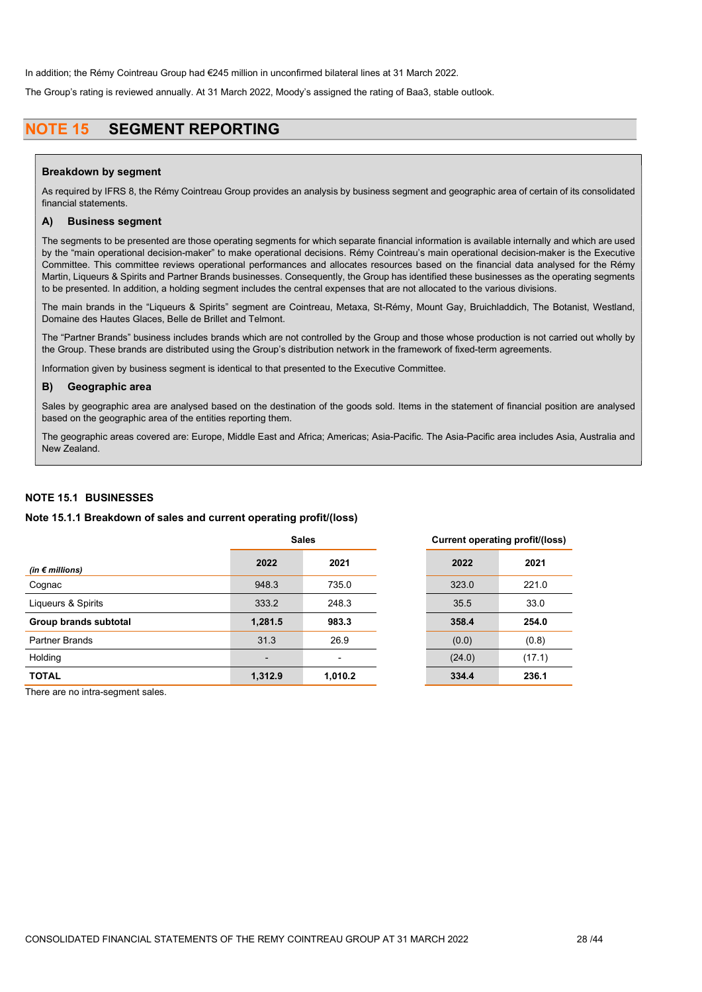In addition; the Rémy Cointreau Group had €245 million in unconfirmed bilateral lines at 31 March 2022.

The Group's rating is reviewed annually. At 31 March 2022, Moody's assigned the rating of Baa3, stable outlook.

## NOTE 15 SEGMENT REPORTING

#### Breakdown by segment

As required by IFRS 8, the Rémy Cointreau Group provides an analysis by business segment and geographic area of certain of its consolidated financial statements.

#### A) Business segment

The segments to be presented are those operating segments for which separate financial information is available internally and which are used by the "main operational decision-maker" to make operational decisions. Rémy Cointreau's main operational decision-maker is the Executive Committee. This committee reviews operational performances and allocates resources based on the financial data analysed for the Rémy Martin, Liqueurs & Spirits and Partner Brands businesses. Consequently, the Group has identified these businesses as the operating segments to be presented. In addition, a holding segment includes the central expenses that are not allocated to the various divisions.

The main brands in the "Liqueurs & Spirits" segment are Cointreau, Metaxa, St-Rémy, Mount Gay, Bruichladdich, The Botanist, Westland, Domaine des Hautes Glaces, Belle de Brillet and Telmont.

The "Partner Brands" business includes brands which are not controlled by the Group and those whose production is not carried out wholly by the Group. These brands are distributed using the Group's distribution network in the framework of fixed-term agreements.

Information given by business segment is identical to that presented to the Executive Committee.

#### B) Geographic area

Sales by geographic area are analysed based on the destination of the goods sold. Items in the statement of financial position are analysed based on the geographic area of the entities reporting them.

The geographic areas covered are: Europe, Middle East and Africa; Americas; Asia-Pacific. The Asia-Pacific area includes Asia, Australia and New Zealand.

### NOTE 15.1 BUSINESSES

#### Note 15.1.1 Breakdown of sales and current operating profit/(loss)

|                          | <b>Sales</b>             |         | Current operating profit/(Ic |        |
|--------------------------|--------------------------|---------|------------------------------|--------|
| (in $\epsilon$ millions) | 2022                     | 2021    | 2022                         | 2021   |
| Cognac                   | 948.3                    | 735.0   | 323.0                        | 221.0  |
| Liqueurs & Spirits       | 333.2                    | 248.3   | 35.5                         | 33.0   |
| Group brands subtotal    | 1,281.5                  | 983.3   | 358.4                        | 254.0  |
| <b>Partner Brands</b>    | 31.3                     | 26.9    | (0.0)                        | (0.8)  |
| Holding                  | $\overline{\phantom{a}}$ |         | (24.0)                       | (17.1) |
| <b>TOTAL</b>             | 1,312.9                  | 1,010.2 | 334.4                        | 236.1  |

Current operating profit/(loss)

| 2022   | 2021   |
|--------|--------|
| 323.0  | 221.0  |
| 35.5   | 33.0   |
| 358.4  | 254.0  |
| (0.0)  | (0.8)  |
| (24.0) | (17.1) |
| 334.4  | 236.1  |

There are no intra-segment sales.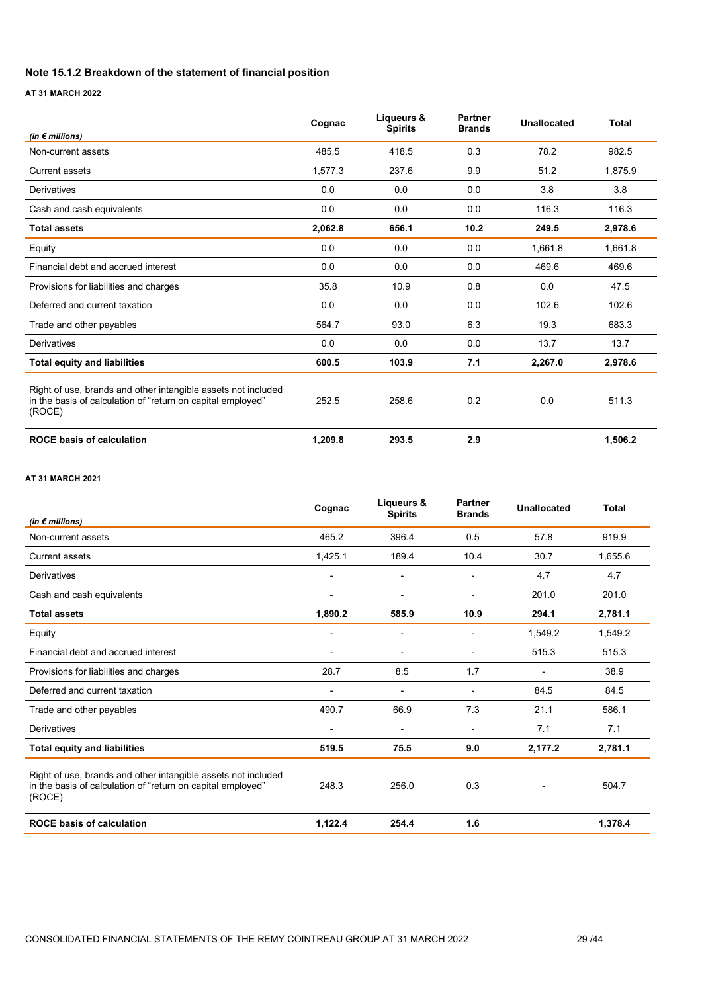### Note 15.1.2 Breakdown of the statement of financial position

AT 31 MARCH 2022

|                                                                                                                                        | Cognac  | Liqueurs &<br><b>Spirits</b> | <b>Partner</b><br><b>Brands</b> | Unallocated | <b>Total</b> |
|----------------------------------------------------------------------------------------------------------------------------------------|---------|------------------------------|---------------------------------|-------------|--------------|
| (in $\notin$ millions)                                                                                                                 |         |                              |                                 |             |              |
| Non-current assets                                                                                                                     | 485.5   | 418.5                        | 0.3                             | 78.2        | 982.5        |
| <b>Current assets</b>                                                                                                                  | 1,577.3 | 237.6                        | 9.9                             | 51.2        | 1,875.9      |
| Derivatives                                                                                                                            | 0.0     | 0.0                          | 0.0                             | 3.8         | 3.8          |
| Cash and cash equivalents                                                                                                              | 0.0     | 0.0                          | 0.0                             | 116.3       | 116.3        |
| <b>Total assets</b>                                                                                                                    | 2,062.8 | 656.1                        | 10.2                            | 249.5       | 2,978.6      |
| Equity                                                                                                                                 | 0.0     | 0.0                          | 0.0                             | 1,661.8     | 1,661.8      |
| Financial debt and accrued interest                                                                                                    | 0.0     | 0.0                          | 0.0                             | 469.6       | 469.6        |
| Provisions for liabilities and charges                                                                                                 | 35.8    | 10.9                         | 0.8                             | 0.0         | 47.5         |
| Deferred and current taxation                                                                                                          | 0.0     | 0.0                          | 0.0                             | 102.6       | 102.6        |
| Trade and other payables                                                                                                               | 564.7   | 93.0                         | 6.3                             | 19.3        | 683.3        |
| Derivatives                                                                                                                            | 0.0     | 0.0                          | 0.0                             | 13.7        | 13.7         |
| <b>Total equity and liabilities</b>                                                                                                    | 600.5   | 103.9                        | 7.1                             | 2,267.0     | 2,978.6      |
| Right of use, brands and other intangible assets not included<br>in the basis of calculation of "return on capital employed"<br>(ROCE) | 252.5   | 258.6                        | 0.2                             | 0.0         | 511.3        |
| <b>ROCE basis of calculation</b>                                                                                                       | 1,209.8 | 293.5                        | 2.9                             |             | 1,506.2      |

### AT 31 MARCH 2021

|                                                                                                                                        | Cognac         | Liqueurs &<br><b>Spirits</b> | <b>Partner</b><br><b>Brands</b> | Unallocated    | <b>Total</b> |
|----------------------------------------------------------------------------------------------------------------------------------------|----------------|------------------------------|---------------------------------|----------------|--------------|
| (in $\notin$ millions)                                                                                                                 |                |                              |                                 |                |              |
| Non-current assets                                                                                                                     | 465.2          | 396.4                        | 0.5                             | 57.8           | 919.9        |
| <b>Current assets</b>                                                                                                                  | 1,425.1        | 189.4                        | 10.4                            | 30.7           | 1,655.6      |
| Derivatives                                                                                                                            | $\blacksquare$ | ۰                            | $\overline{a}$                  | 4.7            | 4.7          |
| Cash and cash equivalents                                                                                                              | $\blacksquare$ | ۰                            | ۰                               | 201.0          | 201.0        |
| <b>Total assets</b>                                                                                                                    | 1,890.2        | 585.9                        | 10.9                            | 294.1          | 2,781.1      |
| Equity                                                                                                                                 | $\blacksquare$ | ۰                            | ۰                               | 1,549.2        | 1,549.2      |
| Financial debt and accrued interest                                                                                                    | $\blacksquare$ | ۰                            | ۰                               | 515.3          | 515.3        |
| Provisions for liabilities and charges                                                                                                 | 28.7           | 8.5                          | 1.7                             | ٠              | 38.9         |
| Deferred and current taxation                                                                                                          | $\blacksquare$ | ۰                            | ۰                               | 84.5           | 84.5         |
| Trade and other payables                                                                                                               | 490.7          | 66.9                         | 7.3                             | 21.1           | 586.1        |
| Derivatives                                                                                                                            |                | ۰                            | ٠                               | 7.1            | 7.1          |
| <b>Total equity and liabilities</b>                                                                                                    | 519.5          | 75.5                         | 9.0                             | 2,177.2        | 2,781.1      |
| Right of use, brands and other intangible assets not included<br>in the basis of calculation of "return on capital employed"<br>(ROCE) | 248.3          | 256.0                        | 0.3                             | $\blacksquare$ | 504.7        |
| <b>ROCE basis of calculation</b>                                                                                                       | 1,122.4        | 254.4                        | 1.6                             |                | 1,378.4      |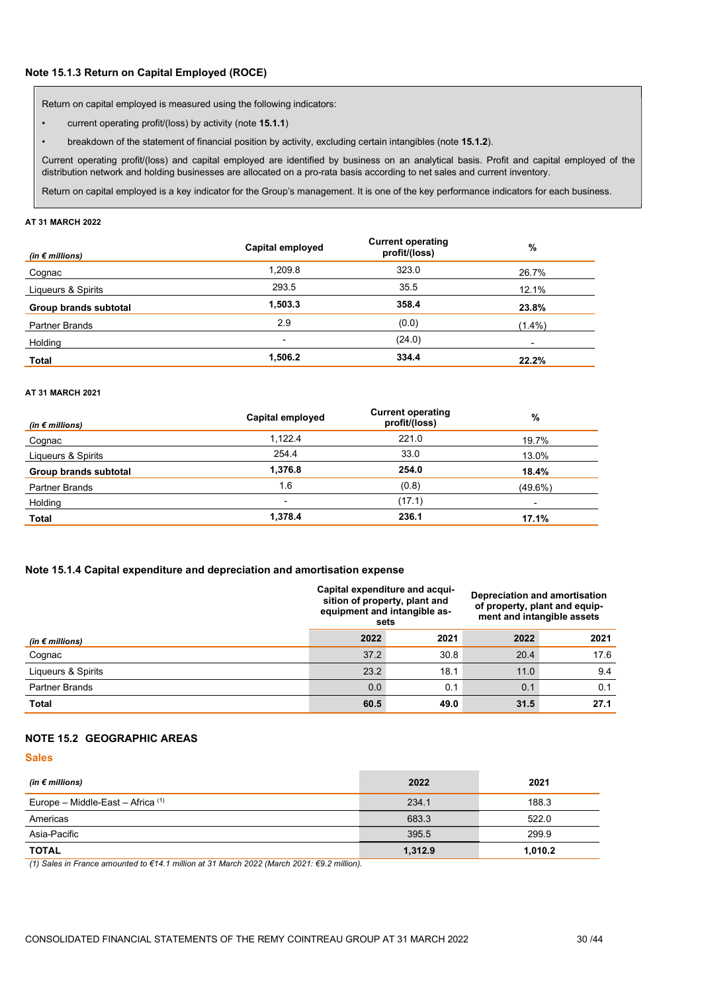Return on capital employed is measured using the following indicators:

- current operating profit/(loss) by activity (note 15.1.1)
- breakdown of the statement of financial position by activity, excluding certain intangibles (note 15.1.2).

Current operating profit/(loss) and capital employed are identified by business on an analytical basis. Profit and capital employed of the distribution network and holding businesses are allocated on a pro-rata basis according to net sales and current inventory.

Return on capital employed is a key indicator for the Group's management. It is one of the key performance indicators for each business.

#### AT 31 MARCH 2022

| (in $\epsilon$ millions) | Capital employed | <b>Current operating</b><br>profit/(loss) | %                        |
|--------------------------|------------------|-------------------------------------------|--------------------------|
| Cognac                   | 1,209.8          | 323.0                                     | 26.7%                    |
| Liqueurs & Spirits       | 293.5            | 35.5                                      | 12.1%                    |
| Group brands subtotal    | 1,503.3          | 358.4                                     | 23.8%                    |
| <b>Partner Brands</b>    | 2.9              | (0.0)                                     | $(1.4\%)$                |
| Holding                  | -                | (24.0)                                    | $\overline{\phantom{0}}$ |
| Total                    | 1,506.2          | 334.4                                     | 22.2%                    |

### AT 31 MARCH 2021

| (in $\epsilon$ millions) | Capital employed | <b>Current operating</b><br>profit/(loss) | %                        |
|--------------------------|------------------|-------------------------------------------|--------------------------|
| Cognac                   | 1.122.4          | 221.0                                     | 19.7%                    |
| Liqueurs & Spirits       | 254.4            | 33.0                                      | 13.0%                    |
| Group brands subtotal    | 1.376.8          | 254.0                                     | 18.4%                    |
| <b>Partner Brands</b>    | 1.6              | (0.8)                                     | $(49.6\%)$               |
| Holding                  | ٠                | (17.1)                                    | $\overline{\phantom{a}}$ |
| <b>Total</b>             | 1,378.4          | 236.1                                     | 17.1%                    |

### Note 15.1.4 Capital expenditure and depreciation and amortisation expense

|                          | equipment and intangible as- | Capital expenditure and acqui-<br>sition of property, plant and<br>sets | Depreciation and amortisation<br>of property, plant and equip-<br>ment and intangible assets |      |  |
|--------------------------|------------------------------|-------------------------------------------------------------------------|----------------------------------------------------------------------------------------------|------|--|
| (in $\epsilon$ millions) | 2022                         | 2021                                                                    | 2022                                                                                         | 2021 |  |
| Cognac                   | 37.2                         | 30.8                                                                    | 20.4                                                                                         | 17.6 |  |
| Liqueurs & Spirits       | 23.2                         | 18.1                                                                    | 11.0                                                                                         | 9.4  |  |
| <b>Partner Brands</b>    | 0.0                          | 0.1                                                                     | 0.1                                                                                          | 0.1  |  |
| Total                    | 60.5                         | 49.0                                                                    | 31.5                                                                                         | 27.1 |  |

### NOTE 15.2 GEOGRAPHIC AREAS

#### **Sales**

| (in $\epsilon$ millions)            | 2022    | 2021    |
|-------------------------------------|---------|---------|
| Europe – Middle-East – Africa $(1)$ | 234.1   | 188.3   |
| Americas                            | 683.3   | 522.0   |
| Asia-Pacific                        | 395.5   | 299.9   |
| <b>TOTAL</b>                        | 1,312.9 | 1,010.2 |

(1) Sales in France amounted to €14.1 million at 31 March 2022 (March 2021: €9.2 million).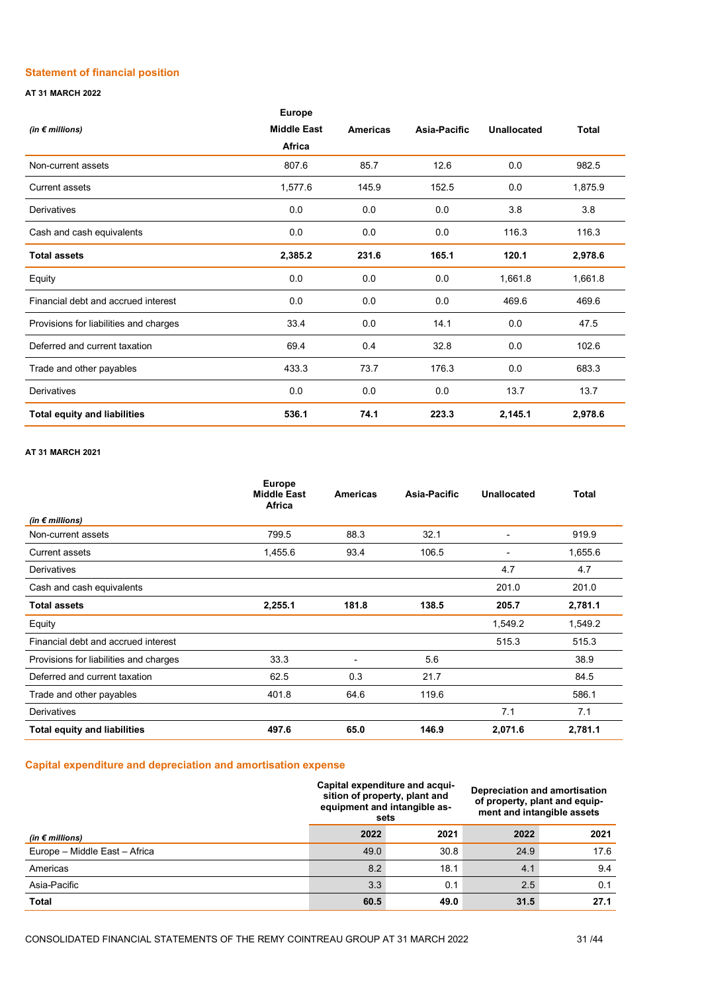### Statement of financial position

### AT 31 MARCH 2022

|                                        | <b>Europe</b>      |                 |              |             |              |
|----------------------------------------|--------------------|-----------------|--------------|-------------|--------------|
| (in $\epsilon$ millions)               | <b>Middle East</b> | <b>Americas</b> | Asia-Pacific | Unallocated | <b>Total</b> |
|                                        | Africa             |                 |              |             |              |
| Non-current assets                     | 807.6              | 85.7            | 12.6         | 0.0         | 982.5        |
| Current assets                         | 1,577.6            | 145.9           | 152.5        | 0.0         | 1,875.9      |
| Derivatives                            | 0.0                | 0.0             | 0.0          | 3.8         | 3.8          |
| Cash and cash equivalents              | 0.0                | 0.0             | 0.0          | 116.3       | 116.3        |
| <b>Total assets</b>                    | 2,385.2            | 231.6           | 165.1        | 120.1       | 2,978.6      |
| Equity                                 | 0.0                | 0.0             | 0.0          | 1,661.8     | 1,661.8      |
| Financial debt and accrued interest    | 0.0                | 0.0             | 0.0          | 469.6       | 469.6        |
| Provisions for liabilities and charges | 33.4               | 0.0             | 14.1         | 0.0         | 47.5         |
| Deferred and current taxation          | 69.4               | 0.4             | 32.8         | 0.0         | 102.6        |
| Trade and other payables               | 433.3              | 73.7            | 176.3        | 0.0         | 683.3        |
| Derivatives                            | 0.0                | 0.0             | 0.0          | 13.7        | 13.7         |
| <b>Total equity and liabilities</b>    | 536.1              | 74.1            | 223.3        | 2,145.1     | 2,978.6      |

### AT 31 MARCH 2021

|                                        | <b>Europe</b><br><b>Middle East</b><br><b>Africa</b> | <b>Americas</b> | Asia-Pacific | <b>Unallocated</b>       | <b>Total</b> |
|----------------------------------------|------------------------------------------------------|-----------------|--------------|--------------------------|--------------|
| (in $\notin$ millions)                 |                                                      |                 |              |                          |              |
| Non-current assets                     | 799.5                                                | 88.3            | 32.1         | -                        | 919.9        |
| <b>Current assets</b>                  | 1,455.6                                              | 93.4            | 106.5        | $\overline{\phantom{0}}$ | 1,655.6      |
| Derivatives                            |                                                      |                 |              | 4.7                      | 4.7          |
| Cash and cash equivalents              |                                                      |                 |              | 201.0                    | 201.0        |
| <b>Total assets</b>                    | 2,255.1                                              | 181.8           | 138.5        | 205.7                    | 2,781.1      |
| Equity                                 |                                                      |                 |              | 1,549.2                  | 1,549.2      |
| Financial debt and accrued interest    |                                                      |                 |              | 515.3                    | 515.3        |
| Provisions for liabilities and charges | 33.3                                                 | $\blacksquare$  | 5.6          |                          | 38.9         |
| Deferred and current taxation          | 62.5                                                 | 0.3             | 21.7         |                          | 84.5         |
| Trade and other payables               | 401.8                                                | 64.6            | 119.6        |                          | 586.1        |
| Derivatives                            |                                                      |                 |              | 7.1                      | 7.1          |
| <b>Total equity and liabilities</b>    | 497.6                                                | 65.0            | 146.9        | 2,071.6                  | 2,781.1      |

### Capital expenditure and depreciation and amortisation expense

|                               | Capital expenditure and acqui-<br>sition of property, plant and<br>equipment and intangible as-<br>sets |      | Depreciation and amortisation<br>of property, plant and equip-<br>ment and intangible assets |      |
|-------------------------------|---------------------------------------------------------------------------------------------------------|------|----------------------------------------------------------------------------------------------|------|
| (in $\notin$ millions)        | 2022                                                                                                    | 2021 | 2022                                                                                         | 2021 |
| Europe - Middle East - Africa | 49.0                                                                                                    | 30.8 | 24.9                                                                                         | 17.6 |
| Americas                      | 8.2                                                                                                     | 18.1 | 4.1                                                                                          | 9.4  |
| Asia-Pacific                  | 3.3                                                                                                     | 0.1  | 2.5                                                                                          | 0.1  |
| Total                         | 60.5                                                                                                    | 49.0 | 31.5                                                                                         | 27.1 |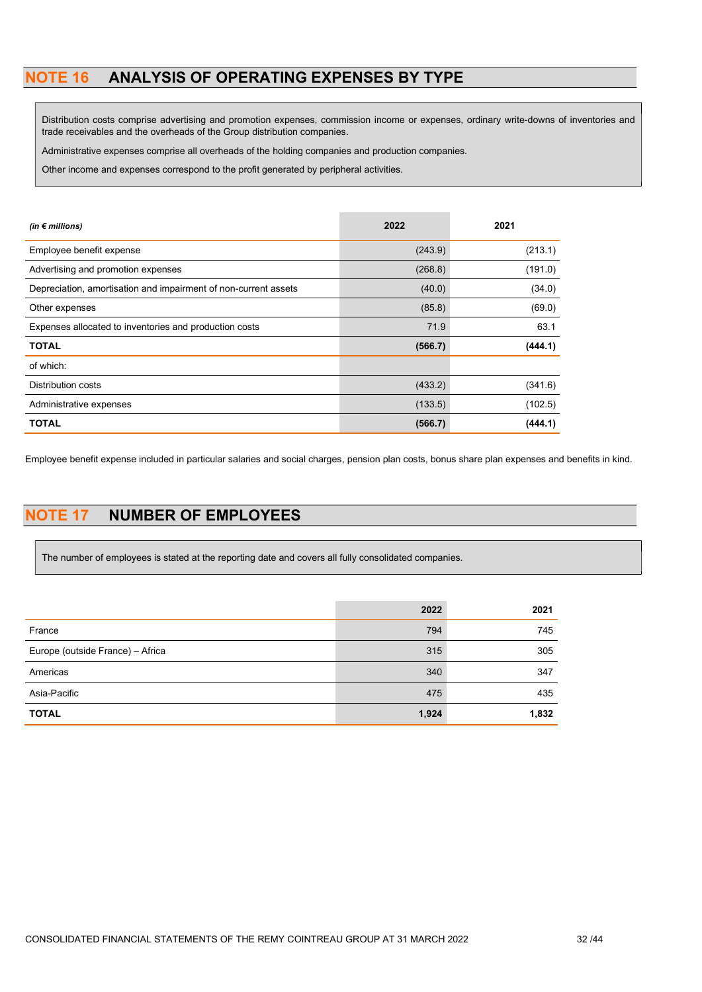# NOTE 16 ANALYSIS OF OPERATING EXPENSES BY TYPE

Distribution costs comprise advertising and promotion expenses, commission income or expenses, ordinary write-downs of inventories and trade receivables and the overheads of the Group distribution companies.

Administrative expenses comprise all overheads of the holding companies and production companies.

Other income and expenses correspond to the profit generated by peripheral activities.

| (in $\notin$ millions)                                          | 2022    | 2021    |
|-----------------------------------------------------------------|---------|---------|
| Employee benefit expense                                        | (243.9) | (213.1) |
| Advertising and promotion expenses                              | (268.8) | (191.0) |
| Depreciation, amortisation and impairment of non-current assets | (40.0)  | (34.0)  |
| Other expenses                                                  | (85.8)  | (69.0)  |
| Expenses allocated to inventories and production costs          | 71.9    | 63.1    |
| <b>TOTAL</b>                                                    | (566.7) | (444.1) |
| of which:                                                       |         |         |
| Distribution costs                                              | (433.2) | (341.6) |
| Administrative expenses                                         | (133.5) | (102.5) |
| <b>TOTAL</b>                                                    | (566.7) | (444.1) |

Employee benefit expense included in particular salaries and social charges, pension plan costs, bonus share plan expenses and benefits in kind.

# NOTE 17 NUMBER OF EMPLOYEES

The number of employees is stated at the reporting date and covers all fully consolidated companies.

|                                  | 2022  | 2021  |
|----------------------------------|-------|-------|
| France                           | 794   | 745   |
| Europe (outside France) - Africa | 315   | 305   |
| Americas                         | 340   | 347   |
| Asia-Pacific                     | 475   | 435   |
| <b>TOTAL</b>                     | 1,924 | 1,832 |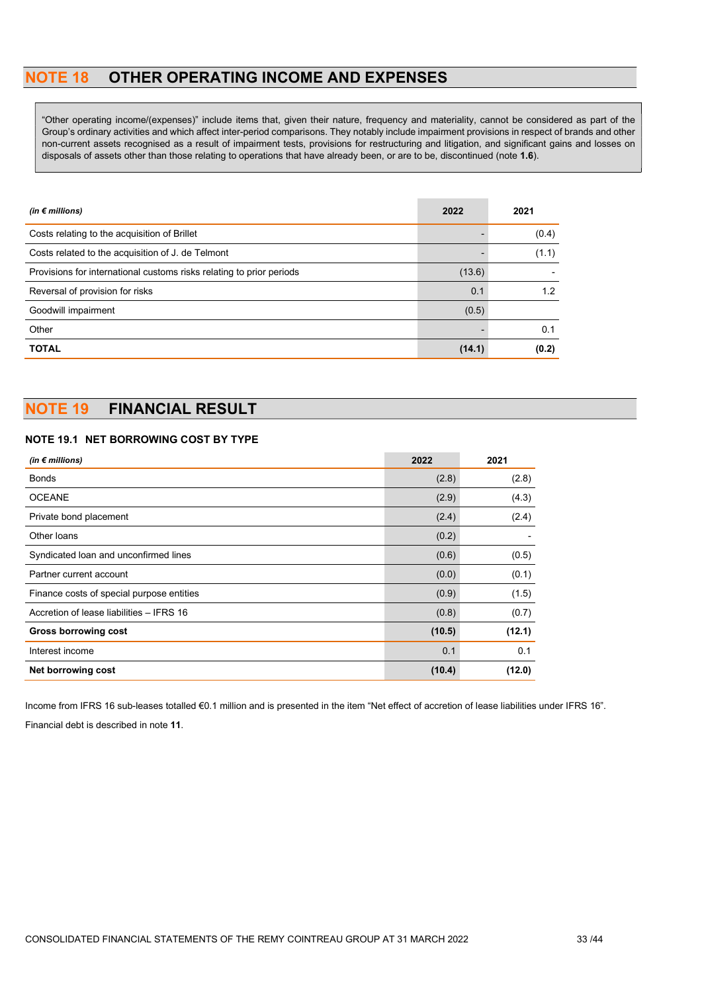# NOTE 18 OTHER OPERATING INCOME AND EXPENSES

"Other operating income/(expenses)" include items that, given their nature, frequency and materiality, cannot be considered as part of the Group's ordinary activities and which affect inter-period comparisons. They notably include impairment provisions in respect of brands and other non-current assets recognised as a result of impairment tests, provisions for restructuring and litigation, and significant gains and losses on disposals of assets other than those relating to operations that have already been, or are to be, discontinued (note 1.6).

| (in $\notin$ millions)                                               | 2022   | 2021  |
|----------------------------------------------------------------------|--------|-------|
| Costs relating to the acquisition of Brillet                         |        | (0.4) |
| Costs related to the acquisition of J. de Telmont                    |        | (1.1) |
| Provisions for international customs risks relating to prior periods | (13.6) |       |
| Reversal of provision for risks                                      | 0.1    | 1.2   |
| Goodwill impairment                                                  | (0.5)  |       |
| Other                                                                |        | 0.1   |
| <b>TOTAL</b>                                                         | (14.1) | (0.2) |

# NOTE 19 FINANCIAL RESULT

### NOTE 19.1 NET BORROWING COST BY TYPE

| (in $\notin$ millions)                    | 2022   | 2021   |
|-------------------------------------------|--------|--------|
| <b>Bonds</b>                              | (2.8)  | (2.8)  |
| <b>OCEANE</b>                             | (2.9)  | (4.3)  |
| Private bond placement                    | (2.4)  | (2.4)  |
| Other loans                               | (0.2)  |        |
| Syndicated loan and unconfirmed lines     | (0.6)  | (0.5)  |
| Partner current account                   | (0.0)  | (0.1)  |
| Finance costs of special purpose entities | (0.9)  | (1.5)  |
| Accretion of lease liabilities - IFRS 16  | (0.8)  | (0.7)  |
| <b>Gross borrowing cost</b>               | (10.5) | (12.1) |
| Interest income                           | 0.1    | 0.1    |
| Net borrowing cost                        | (10.4) | (12.0) |

Income from IFRS 16 sub-leases totalled €0.1 million and is presented in the item "Net effect of accretion of lease liabilities under IFRS 16". Financial debt is described in note 11.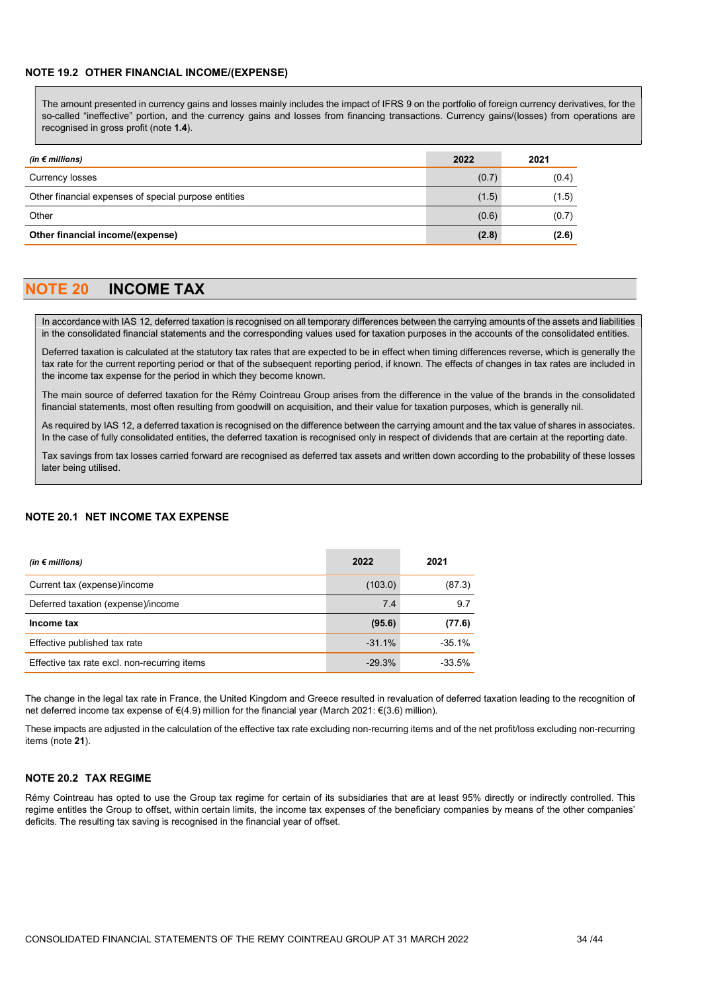### NOTE 19.2 OTHER FINANCIAL INCOME/(EXPENSE)

The amount presented in currency gains and losses mainly includes the impact of IFRS 9 on the portfolio of foreign currency derivatives, for the so-called "ineffective" portion, and the currency gains and losses from financing transactions. Currency gains/(losses) from operations are recognised in gross profit (note 1.4).

| (in $\notin$ millions)                               | 2022  | 2021  |
|------------------------------------------------------|-------|-------|
| <b>Currency losses</b>                               | (0.7) | (0.4) |
| Other financial expenses of special purpose entities | (1.5) | (1.5) |
| Other                                                | (0.6) | (0.7) |
| Other financial income/(expense)                     | (2.8) | (2.6) |

# **IOTE 20 INCOME TAX**

In accordance with IAS 12, deferred taxation is recognised on all temporary differences between the carrying amounts of the assets and liabilities in the consolidated financial statements and the corresponding values used for taxation purposes in the accounts of the consolidated entities.

Deferred taxation is calculated at the statutory tax rates that are expected to be in effect when timing differences reverse, which is generally the tax rate for the current reporting period or that of the subsequent reporting period, if known. The effects of changes in tax rates are included in the income tax expense for the period in which they become known.

The main source of deferred taxation for the Rémy Cointreau Group arises from the difference in the value of the brands in the consolidated financial statements, most often resulting from goodwill on acquisition, and their value for taxation purposes, which is generally nil.

As required by IAS 12, a deferred taxation is recognised on the difference between the carrying amount and the tax value of shares in associates. In the case of fully consolidated entities, the deferred taxation is recognised only in respect of dividends that are certain at the reporting date.

Tax savings from tax losses carried forward are recognised as deferred tax assets and written down according to the probability of these losses later being utilised.

### NOTE 20.1 NET INCOME TAX EXPENSE

| (in $\notin$ millions)                       | 2022     | 2021     |
|----------------------------------------------|----------|----------|
| Current tax (expense)/income                 | (103.0)  | (87.3)   |
| Deferred taxation (expense)/income           | 7.4      | 9.7      |
| Income tax                                   | (95.6)   | (77.6)   |
| Effective published tax rate                 | $-31.1%$ | $-35.1%$ |
| Effective tax rate excl. non-recurring items | $-29.3%$ | $-33.5%$ |

The change in the legal tax rate in France, the United Kingdom and Greece resulted in revaluation of deferred taxation leading to the recognition of net deferred income tax expense of €(4.9) million for the financial year (March 2021: €(3.6) million).

These impacts are adjusted in the calculation of the effective tax rate excluding non-recurring items and of the net profit/loss excluding non-recurring items (note 21).

### NOTE 20.2 TAX REGIME

Rémy Cointreau has opted to use the Group tax regime for certain of its subsidiaries that are at least 95% directly or indirectly controlled. This regime entitles the Group to offset, within certain limits, the income tax expenses of the beneficiary companies by means of the other companies' deficits. The resulting tax saving is recognised in the financial year of offset.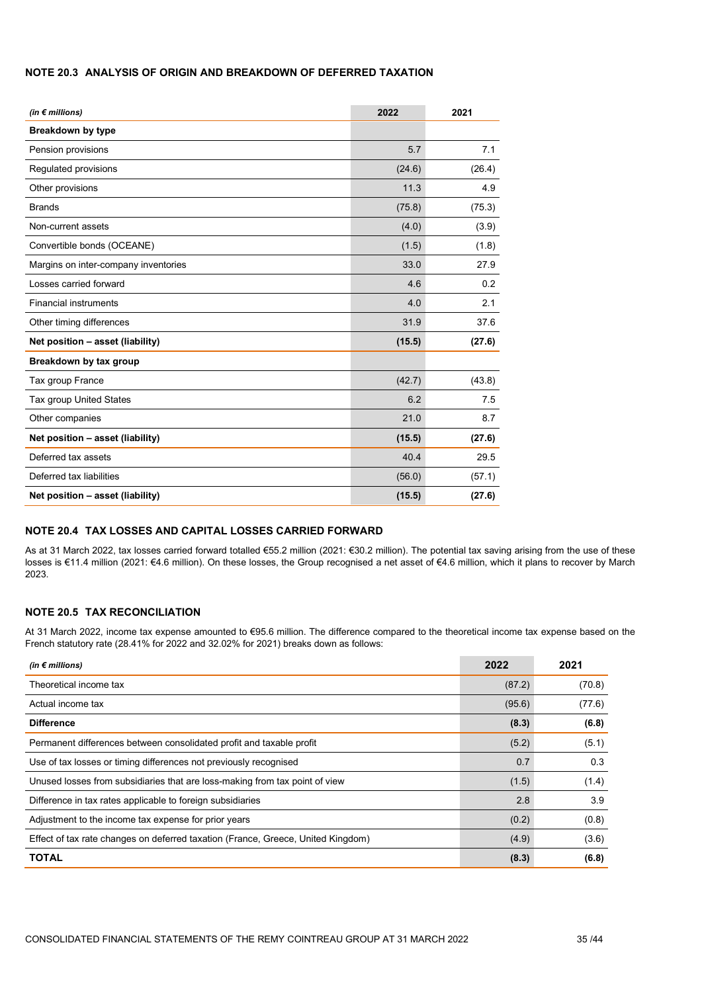### NOTE 20.3 ANALYSIS OF ORIGIN AND BREAKDOWN OF DEFERRED TAXATION

| (in $\notin$ millions)               | 2022   | 2021   |
|--------------------------------------|--------|--------|
| <b>Breakdown by type</b>             |        |        |
| Pension provisions                   | 5.7    | 7.1    |
| Regulated provisions                 | (24.6) | (26.4) |
| Other provisions                     | 11.3   | 4.9    |
| <b>Brands</b>                        | (75.8) | (75.3) |
| Non-current assets                   | (4.0)  | (3.9)  |
| Convertible bonds (OCEANE)           | (1.5)  | (1.8)  |
| Margins on inter-company inventories | 33.0   | 27.9   |
| Losses carried forward               | 4.6    | 0.2    |
| <b>Financial instruments</b>         | 4.0    | 2.1    |
| Other timing differences             | 31.9   | 37.6   |
| Net position - asset (liability)     | (15.5) | (27.6) |
| Breakdown by tax group               |        |        |
| Tax group France                     | (42.7) | (43.8) |
| Tax group United States              | 6.2    | 7.5    |
| Other companies                      | 21.0   | 8.7    |
| Net position - asset (liability)     | (15.5) | (27.6) |
| Deferred tax assets                  | 40.4   | 29.5   |
| Deferred tax liabilities             | (56.0) | (57.1) |
| Net position - asset (liability)     | (15.5) | (27.6) |

### NOTE 20.4 TAX LOSSES AND CAPITAL LOSSES CARRIED FORWARD

As at 31 March 2022, tax losses carried forward totalled €55.2 million (2021: €30.2 million). The potential tax saving arising from the use of these losses is €11.4 million (2021: €4.6 million). On these losses, the Group recognised a net asset of €4.6 million, which it plans to recover by March 2023.

### NOTE 20.5 TAX RECONCILIATION

At 31 March 2022, income tax expense amounted to €95.6 million. The difference compared to the theoretical income tax expense based on the French statutory rate (28.41% for 2022 and 32.02% for 2021) breaks down as follows:

| (in $\notin$ millions)                                                           | 2022   | 2021   |
|----------------------------------------------------------------------------------|--------|--------|
| Theoretical income tax                                                           | (87.2) | (70.8) |
| Actual income tax                                                                | (95.6) | (77.6) |
| <b>Difference</b>                                                                | (8.3)  | (6.8)  |
| Permanent differences between consolidated profit and taxable profit             | (5.2)  | (5.1)  |
| Use of tax losses or timing differences not previously recognised                | 0.7    | 0.3    |
| Unused losses from subsidiaries that are loss-making from tax point of view      | (1.5)  | (1.4)  |
| Difference in tax rates applicable to foreign subsidiaries                       | 2.8    | 3.9    |
| Adjustment to the income tax expense for prior years                             | (0.2)  | (0.8)  |
| Effect of tax rate changes on deferred taxation (France, Greece, United Kingdom) | (4.9)  | (3.6)  |
| <b>TOTAL</b>                                                                     | (8.3)  | (6.8)  |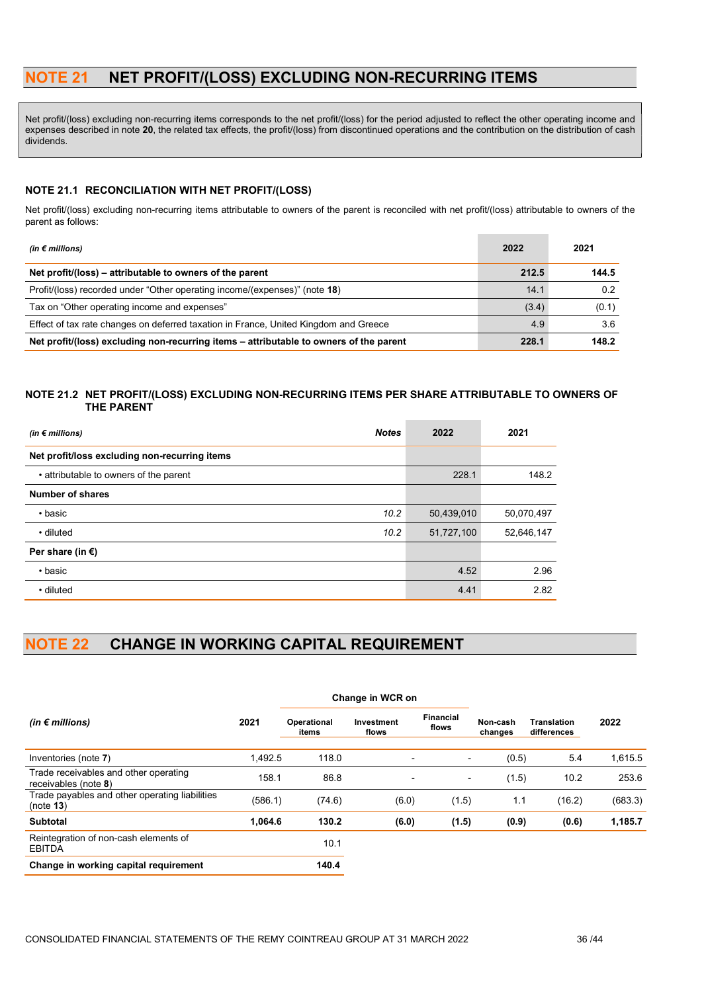# NOTE 21 NET PROFIT/(LOSS) EXCLUDING NON-RECURRING ITEMS

Net profit/(loss) excluding non-recurring items corresponds to the net profit/(loss) for the period adjusted to reflect the other operating income and expenses described in note 20, the related tax effects, the profit/(loss) from discontinued operations and the contribution on the distribution of cash dividends.

### NOTE 21.1 RECONCILIATION WITH NET PROFIT/(LOSS)

Net profit/(loss) excluding non-recurring items attributable to owners of the parent is reconciled with net profit/(loss) attributable to owners of the parent as follows:

| (in $\epsilon$ millions)                                                               | 2022  | 2021  |
|----------------------------------------------------------------------------------------|-------|-------|
| Net profit/(loss) – attributable to owners of the parent                               | 212.5 | 144.5 |
| Profit/(loss) recorded under "Other operating income/(expenses)" (note 18)             | 14.1  |       |
| Tax on "Other operating income and expenses"                                           | (3.4) | (0.1) |
| Effect of tax rate changes on deferred taxation in France, United Kingdom and Greece   | 4.9   | 3.6   |
| Net profit/(loss) excluding non-recurring items – attributable to owners of the parent | 228.1 | 148.2 |

### NOTE 21.2 NET PROFIT/(LOSS) EXCLUDING NON-RECURRING ITEMS PER SHARE ATTRIBUTABLE TO OWNERS OF THE PARENT

| (in $\notin$ millions)                        | <b>Notes</b> | 2022       | 2021       |
|-----------------------------------------------|--------------|------------|------------|
| Net profit/loss excluding non-recurring items |              |            |            |
| • attributable to owners of the parent        |              | 228.1      | 148.2      |
| <b>Number of shares</b>                       |              |            |            |
| $\cdot$ basic                                 | 10.2         | 50,439,010 | 50,070,497 |
| • diluted                                     | 10.2         | 51,727,100 | 52,646,147 |
| Per share (in $\epsilon$ )                    |              |            |            |
| $\cdot$ basic                                 |              | 4.52       | 2.96       |
| • diluted                                     |              | 4.41       | 2.82       |

# NOTE 22 CHANGE IN WORKING CAPITAL REQUIREMENT

|                                                               |         | Change in WCR on     |                          |                           |                     |                                   |         |
|---------------------------------------------------------------|---------|----------------------|--------------------------|---------------------------|---------------------|-----------------------------------|---------|
| (in $\epsilon$ millions)                                      | 2021    | Operational<br>items | Investment<br>flows      | <b>Financial</b><br>flows | Non-cash<br>changes | <b>Translation</b><br>differences | 2022    |
| Inventories (note 7)                                          | 1.492.5 | 118.0                | $\overline{\phantom{a}}$ | $\overline{\phantom{a}}$  | (0.5)               | 5.4                               | 1,615.5 |
| Trade receivables and other operating<br>receivables (note 8) | 158.1   | 86.8                 | $\overline{\phantom{a}}$ | $\overline{\phantom{a}}$  | (1.5)               | 10.2                              | 253.6   |
| Trade payables and other operating liabilities<br>(note 13)   | (586.1) | (74.6)               | (6.0)                    | (1.5)                     | 1.1                 | (16.2)                            | (683.3) |
| <b>Subtotal</b>                                               | 1.064.6 | 130.2                | (6.0)                    | (1.5)                     | (0.9)               | (0.6)                             | 1,185.7 |
| Reintegration of non-cash elements of<br><b>EBITDA</b>        |         | 10.1                 |                          |                           |                     |                                   |         |
| Change in working capital requirement                         |         | 140.4                |                          |                           |                     |                                   |         |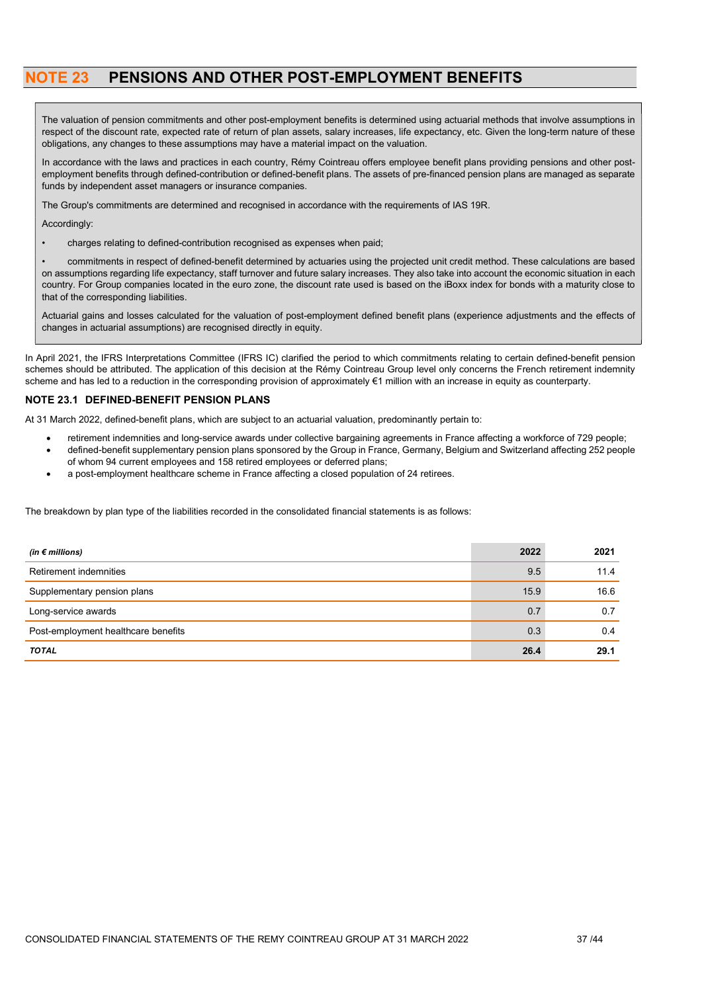## NOTE 23 PENSIONS AND OTHER POST-EMPLOYMENT BENEFITS

The valuation of pension commitments and other post-employment benefits is determined using actuarial methods that involve assumptions in respect of the discount rate, expected rate of return of plan assets, salary increases, life expectancy, etc. Given the long-term nature of these obligations, any changes to these assumptions may have a material impact on the valuation.

In accordance with the laws and practices in each country, Rémy Cointreau offers employee benefit plans providing pensions and other postemployment benefits through defined-contribution or defined-benefit plans. The assets of pre-financed pension plans are managed as separate funds by independent asset managers or insurance companies.

The Group's commitments are determined and recognised in accordance with the requirements of IAS 19R.

Accordingly:

• charges relating to defined-contribution recognised as expenses when paid;

• commitments in respect of defined-benefit determined by actuaries using the projected unit credit method. These calculations are based on assumptions regarding life expectancy, staff turnover and future salary increases. They also take into account the economic situation in each country. For Group companies located in the euro zone, the discount rate used is based on the iBoxx index for bonds with a maturity close to that of the corresponding liabilities.

Actuarial gains and losses calculated for the valuation of post-employment defined benefit plans (experience adjustments and the effects of changes in actuarial assumptions) are recognised directly in equity.

In April 2021, the IFRS Interpretations Committee (IFRS IC) clarified the period to which commitments relating to certain defined-benefit pension schemes should be attributed. The application of this decision at the Rémy Cointreau Group level only concerns the French retirement indemnity scheme and has led to a reduction in the corresponding provision of approximately €1 million with an increase in equity as counterparty.

### NOTE 23.1 DEFINED-BENEFIT PENSION PLANS

At 31 March 2022, defined-benefit plans, which are subject to an actuarial valuation, predominantly pertain to:

- retirement indemnities and long-service awards under collective bargaining agreements in France affecting a workforce of 729 people;
- defined-benefit supplementary pension plans sponsored by the Group in France, Germany, Belgium and Switzerland affecting 252 people of whom 94 current employees and 158 retired employees or deferred plans;
- a post-employment healthcare scheme in France affecting a closed population of 24 retirees.

The breakdown by plan type of the liabilities recorded in the consolidated financial statements is as follows:

| (in $\epsilon$ millions)            | 2022 | 2021 |
|-------------------------------------|------|------|
| Retirement indemnities              | 9.5  | 11.4 |
| Supplementary pension plans         | 15.9 | 16.6 |
| Long-service awards                 | 0.7  | 0.7  |
| Post-employment healthcare benefits | 0.3  | 0.4  |
| <b>TOTAL</b>                        | 26.4 | 29.1 |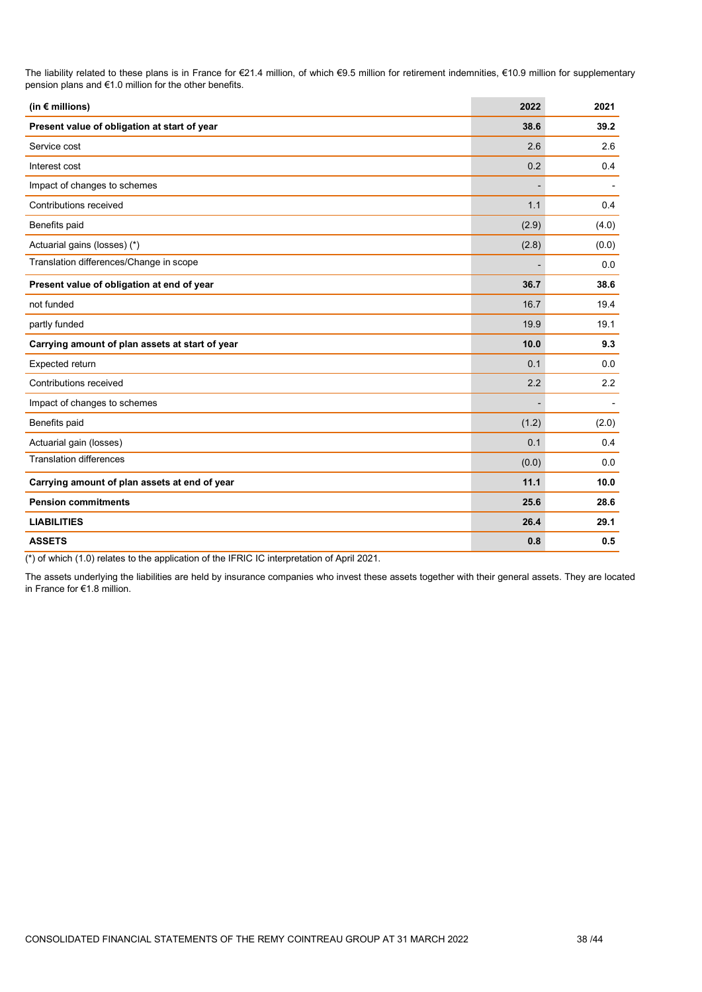The liability related to these plans is in France for €21.4 million, of which €9.5 million for retirement indemnities, €10.9 million for supplementary pension plans and €1.0 million for the other benefits.

| (in $\epsilon$ millions)                        | 2022                     | 2021  |
|-------------------------------------------------|--------------------------|-------|
| Present value of obligation at start of year    | 38.6                     | 39.2  |
| Service cost                                    | 2.6                      | 2.6   |
| Interest cost                                   | 0.2                      | 0.4   |
| Impact of changes to schemes                    |                          |       |
| Contributions received                          | 1.1                      | 0.4   |
| Benefits paid                                   | (2.9)                    | (4.0) |
| Actuarial gains (losses) (*)                    | (2.8)                    | (0.0) |
| Translation differences/Change in scope         | $\overline{\phantom{a}}$ | 0.0   |
| Present value of obligation at end of year      | 36.7                     | 38.6  |
| not funded                                      | 16.7                     | 19.4  |
| partly funded                                   | 19.9                     | 19.1  |
| Carrying amount of plan assets at start of year | 10.0                     | 9.3   |
| Expected return                                 | 0.1                      | 0.0   |
| Contributions received                          | 2.2                      | 2.2   |
| Impact of changes to schemes                    |                          |       |
| Benefits paid                                   | (1.2)                    | (2.0) |
| Actuarial gain (losses)                         | 0.1                      | 0.4   |
| <b>Translation differences</b>                  | (0.0)                    | 0.0   |
| Carrying amount of plan assets at end of year   | 11.1                     | 10.0  |
| <b>Pension commitments</b>                      | 25.6                     | 28.6  |
| <b>LIABILITIES</b>                              | 26.4                     | 29.1  |
| <b>ASSETS</b>                                   | 0.8                      | 0.5   |

(\*) of which (1.0) relates to the application of the IFRIC IC interpretation of April 2021.

The assets underlying the liabilities are held by insurance companies who invest these assets together with their general assets. They are located in France for €1.8 million.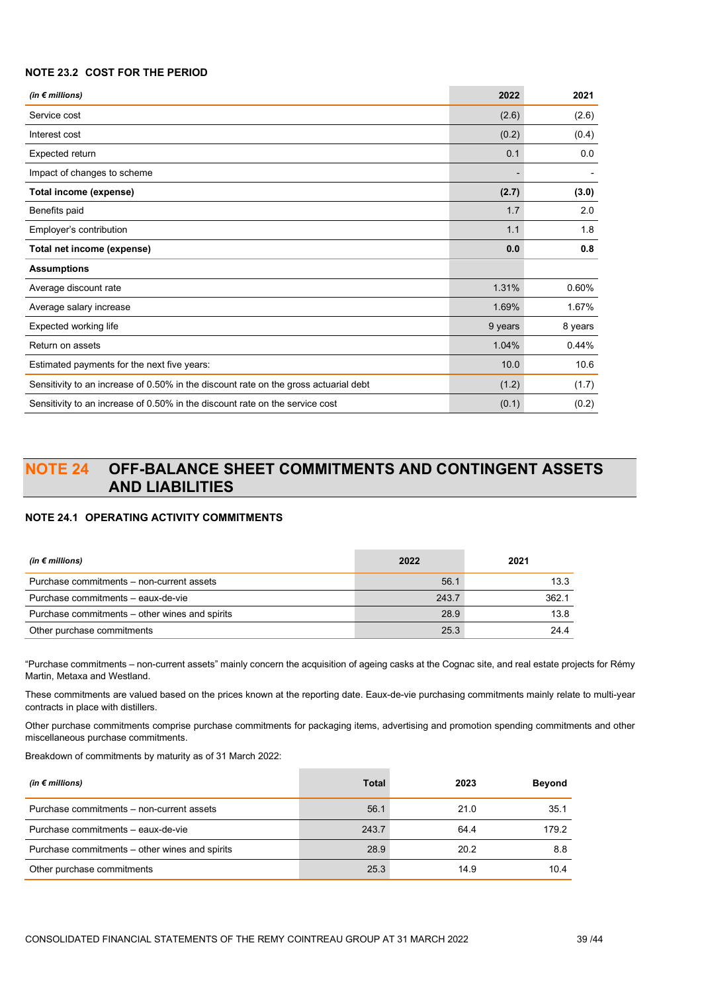### NOTE 23.2 COST FOR THE PERIOD

| (in $\notin$ millions)                                                               | 2022    | 2021    |
|--------------------------------------------------------------------------------------|---------|---------|
| Service cost                                                                         | (2.6)   | (2.6)   |
| Interest cost                                                                        | (0.2)   | (0.4)   |
| Expected return                                                                      | 0.1     | 0.0     |
| Impact of changes to scheme                                                          |         |         |
| Total income (expense)                                                               | (2.7)   | (3.0)   |
| Benefits paid                                                                        | 1.7     | 2.0     |
| Employer's contribution                                                              | 1.1     | 1.8     |
| Total net income (expense)                                                           | 0.0     | 0.8     |
| <b>Assumptions</b>                                                                   |         |         |
| Average discount rate                                                                | 1.31%   | 0.60%   |
| Average salary increase                                                              | 1.69%   | 1.67%   |
| Expected working life                                                                | 9 years | 8 years |
| Return on assets                                                                     | 1.04%   | 0.44%   |
| Estimated payments for the next five years:                                          | 10.0    | 10.6    |
| Sensitivity to an increase of 0.50% in the discount rate on the gross actuarial debt | (1.2)   | (1.7)   |
| Sensitivity to an increase of 0.50% in the discount rate on the service cost         | (0.1)   | (0.2)   |

# NOTE 24 OFF-BALANCE SHEET COMMITMENTS AND CONTINGENT ASSETS AND LIABILITIES

### NOTE 24.1 OPERATING ACTIVITY COMMITMENTS

| (in $\epsilon$ millions)                       | 2022  | 2021  |
|------------------------------------------------|-------|-------|
| Purchase commitments – non-current assets      | 56.1  | 13.3  |
| Purchase commitments - eaux-de-vie             | 243.7 | 362.1 |
| Purchase commitments – other wines and spirits | 28.9  | 13.8  |
| Other purchase commitments                     | 25.3  | 24.4  |

"Purchase commitments – non-current assets" mainly concern the acquisition of ageing casks at the Cognac site, and real estate projects for Rémy Martin, Metaxa and Westland.

These commitments are valued based on the prices known at the reporting date. Eaux-de-vie purchasing commitments mainly relate to multi-year contracts in place with distillers.

Other purchase commitments comprise purchase commitments for packaging items, advertising and promotion spending commitments and other miscellaneous purchase commitments.

Breakdown of commitments by maturity as of 31 March 2022:

| (in $\notin$ millions)                         | <b>Total</b> | 2023 | <b>Beyond</b> |
|------------------------------------------------|--------------|------|---------------|
| Purchase commitments – non-current assets      | 56.1         | 21.0 | 35.1          |
| Purchase commitments - eaux-de-vie             | 243.7        | 64.4 | 179.2         |
| Purchase commitments – other wines and spirits | 28.9         | 20.2 | 8.8           |
| Other purchase commitments                     | 25.3         | 14.9 | 10.4          |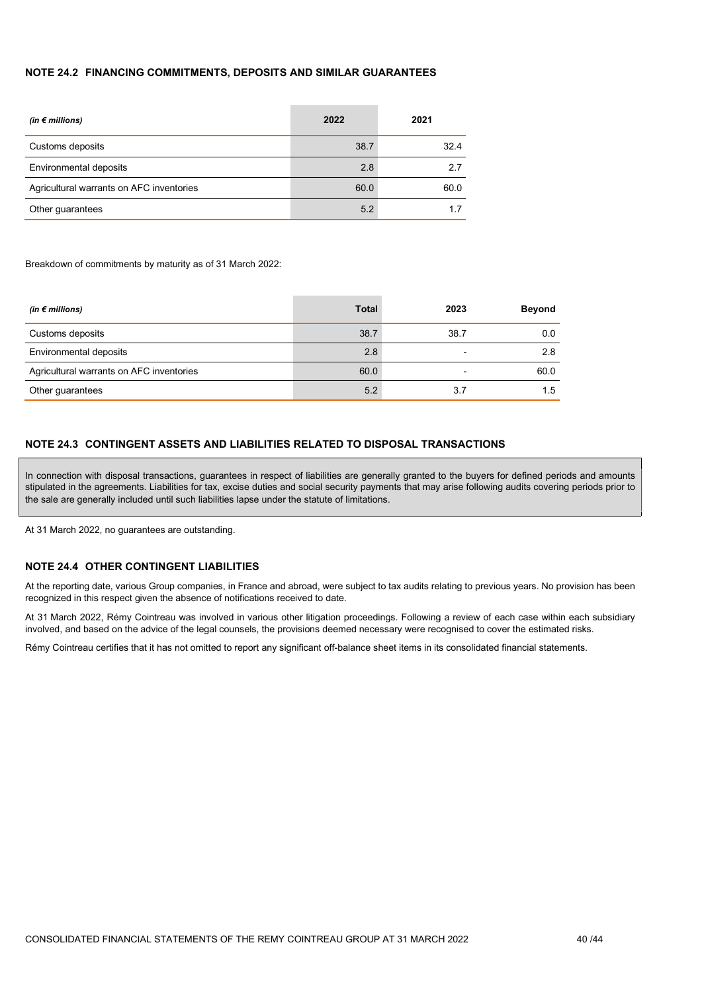### NOTE 24.2 FINANCING COMMITMENTS, DEPOSITS AND SIMILAR GUARANTEES

| (in $\notin$ millions)                   | 2022 | 2021 |
|------------------------------------------|------|------|
| Customs deposits                         | 38.7 | 32.4 |
| Environmental deposits                   | 2.8  | 27   |
| Agricultural warrants on AFC inventories | 60.0 | 60.0 |
| Other guarantees                         | 5.2  |      |

Breakdown of commitments by maturity as of 31 March 2022:

| (in $\notin$ millions)                   | <b>Total</b> | 2023 | <b>Beyond</b> |
|------------------------------------------|--------------|------|---------------|
| Customs deposits                         | 38.7         | 38.7 | 0.0           |
| Environmental deposits                   | 2.8          | -    | 2.8           |
| Agricultural warrants on AFC inventories | 60.0         | -    | 60.0          |
| Other guarantees                         | 5.2          | 3.7  | 1.5           |

### NOTE 24.3 CONTINGENT ASSETS AND LIABILITIES RELATED TO DISPOSAL TRANSACTIONS

In connection with disposal transactions, guarantees in respect of liabilities are generally granted to the buyers for defined periods and amounts stipulated in the agreements. Liabilities for tax, excise duties and social security payments that may arise following audits covering periods prior to the sale are generally included until such liabilities lapse under the statute of limitations.

At 31 March 2022, no guarantees are outstanding.

### NOTE 24.4 OTHER CONTINGENT LIABILITIES

At the reporting date, various Group companies, in France and abroad, were subject to tax audits relating to previous years. No provision has been recognized in this respect given the absence of notifications received to date.

At 31 March 2022, Rémy Cointreau was involved in various other litigation proceedings. Following a review of each case within each subsidiary involved, and based on the advice of the legal counsels, the provisions deemed necessary were recognised to cover the estimated risks.

Rémy Cointreau certifies that it has not omitted to report any significant off-balance sheet items in its consolidated financial statements.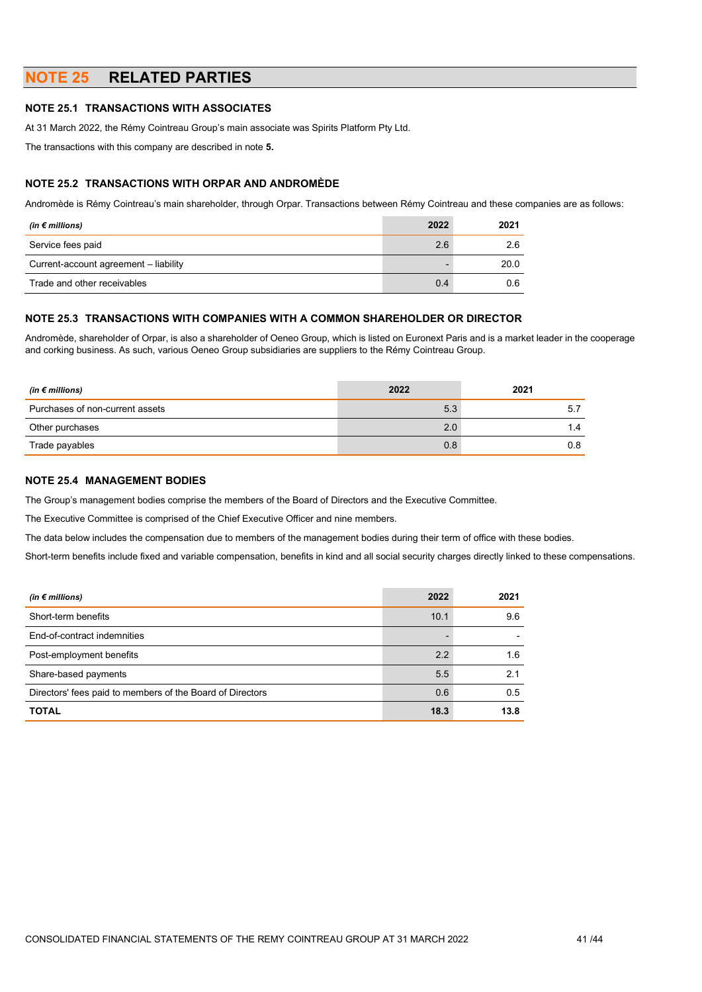## NOTE 25 RELATED PARTIES

### NOTE 25.1 TRANSACTIONS WITH ASSOCIATES

At 31 March 2022, the Rémy Cointreau Group's main associate was Spirits Platform Pty Ltd.

The transactions with this company are described in note 5.

### NOTE 25.2 TRANSACTIONS WITH ORPAR AND ANDROMÈDE

Andromède is Rémy Cointreau's main shareholder, through Orpar. Transactions between Rémy Cointreau and these companies are as follows:

| (in $\epsilon$ millions)              | 2022 | 2021 |
|---------------------------------------|------|------|
| Service fees paid                     | 2.6  | 26   |
| Current-account agreement - liability |      | 20.0 |
| Trade and other receivables           | 0.4  | 0.6  |

### NOTE 25.3 TRANSACTIONS WITH COMPANIES WITH A COMMON SHAREHOLDER OR DIRECTOR

Andromède, shareholder of Orpar, is also a shareholder of Oeneo Group, which is listed on Euronext Paris and is a market leader in the cooperage and corking business. As such, various Oeneo Group subsidiaries are suppliers to the Rémy Cointreau Group.

| (in $\epsilon$ millions)        | 2022 | 2021 |
|---------------------------------|------|------|
| Purchases of non-current assets | 5.3  | 5.7  |
| Other purchases                 | 2.0  | 1.4  |
| Trade payables                  | 0.8  | 0.8  |

### NOTE 25.4 MANAGEMENT BODIES

The Group's management bodies comprise the members of the Board of Directors and the Executive Committee.

The Executive Committee is comprised of the Chief Executive Officer and nine members.

The data below includes the compensation due to members of the management bodies during their term of office with these bodies.

Short-term benefits include fixed and variable compensation, benefits in kind and all social security charges directly linked to these compensations.

| (in $\epsilon$ millions)                                  | 2022 | 2021 |
|-----------------------------------------------------------|------|------|
| Short-term benefits                                       | 10.1 | 9.6  |
| End-of-contract indemnities                               |      |      |
| Post-employment benefits                                  | 2.2  | 1.6  |
| Share-based payments                                      | 5.5  | 2.1  |
| Directors' fees paid to members of the Board of Directors | 0.6  | 0.5  |
| <b>TOTAL</b>                                              | 18.3 | 13.8 |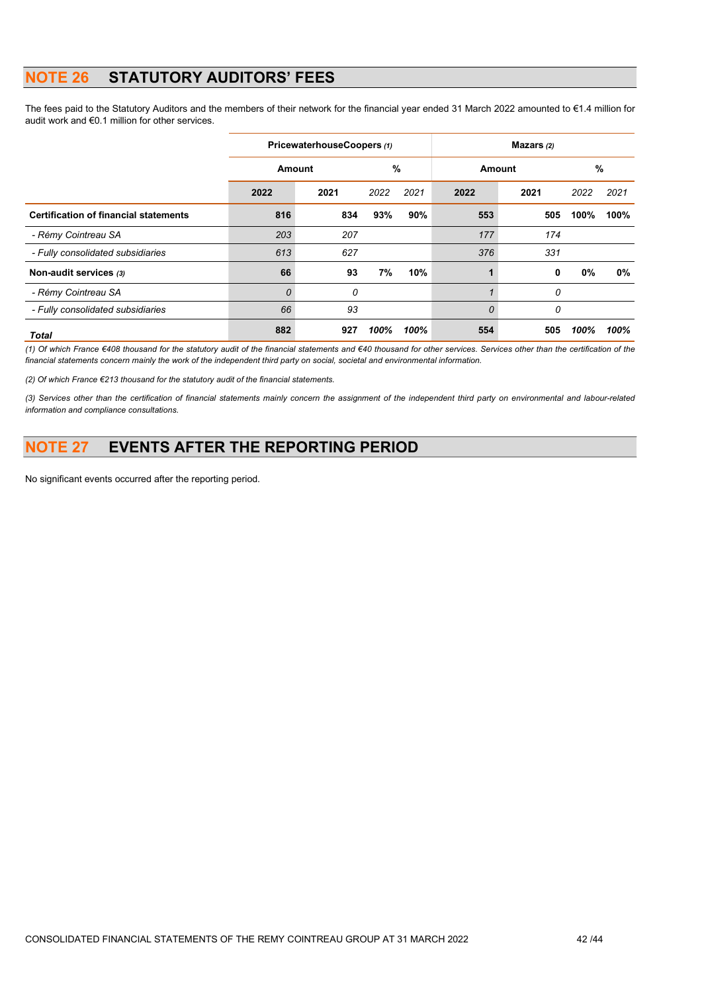# NOTE 26 STATUTORY AUDITORS' FEES

The fees paid to the Statutory Auditors and the members of their network for the financial year ended 31 March 2022 amounted to €1.4 million for audit work and €0.1 million for other services.

|                                              | PricewaterhouseCoopers (1) |      |      | Mazars $(2)$ |        |      |      |      |
|----------------------------------------------|----------------------------|------|------|--------------|--------|------|------|------|
|                                              | Amount                     |      | %    |              | Amount |      | %    |      |
|                                              | 2022                       | 2021 | 2022 | 2021         | 2022   | 2021 | 2022 | 2021 |
| <b>Certification of financial statements</b> | 816                        | 834  | 93%  | 90%          | 553    | 505  | 100% | 100% |
| - Rémy Cointreau SA                          | 203                        | 207  |      |              | 177    | 174  |      |      |
| - Fully consolidated subsidiaries            | 613                        | 627  |      |              | 376    | 331  |      |      |
| Non-audit services (3)                       | 66                         | 93   | 7%   | 10%          |        | 0    | 0%   | 0%   |
| - Rémy Cointreau SA                          | 0                          | 0    |      |              |        | 0    |      |      |
| - Fully consolidated subsidiaries            | 66                         | 93   |      |              | 0      | 0    |      |      |
| <b>Total</b>                                 | 882                        | 927  | 100% | 100%         | 554    | 505  | 100% | 100% |

(1) Of which France €408 thousand for the statutory audit of the financial statements and €40 thousand for other services. Services other than the certification of the financial statements concern mainly the work of the independent third party on social, societal and environmental information.

(2) Of which France €213 thousand for the statutory audit of the financial statements.

(3) Services other than the certification of financial statements mainly concern the assignment of the independent third party on environmental and labour-related information and compliance consultations.

# NOTE 27 EVENTS AFTER THE REPORTING PERIOD

No significant events occurred after the reporting period.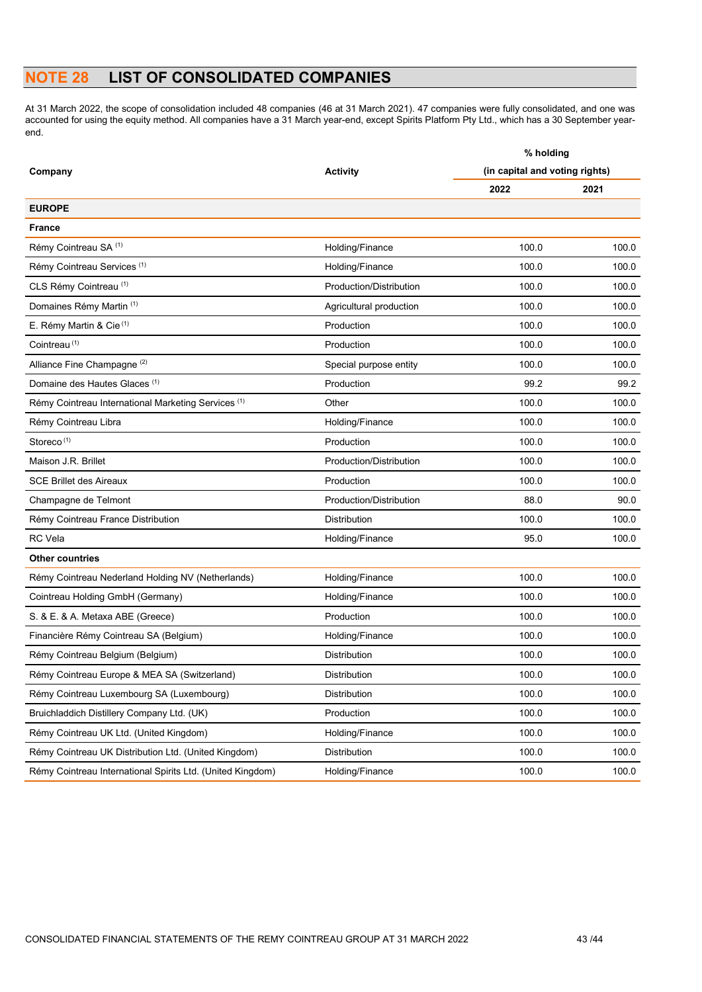# NOTE 28 LIST OF CONSOLIDATED COMPANIES

At 31 March 2022, the scope of consolidation included 48 companies (46 at 31 March 2021). 47 companies were fully consolidated, and one was accounted for using the equity method. All companies have a 31 March year-end, except Spirits Platform Pty Ltd., which has a 30 September yearend.

| Company                                                        |                         | % holding<br>(in capital and voting rights) |       |  |
|----------------------------------------------------------------|-------------------------|---------------------------------------------|-------|--|
|                                                                | <b>Activity</b>         |                                             |       |  |
|                                                                |                         | 2022                                        | 2021  |  |
| <b>EUROPE</b>                                                  |                         |                                             |       |  |
| <b>France</b>                                                  |                         |                                             |       |  |
| Rémy Cointreau SA (1)                                          | Holding/Finance         | 100.0                                       | 100.0 |  |
| Rémy Cointreau Services <sup>(1)</sup>                         | Holding/Finance         | 100.0                                       | 100.0 |  |
| CLS Rémy Cointreau (1)                                         | Production/Distribution | 100.0                                       | 100.0 |  |
| Domaines Rémy Martin <sup>(1)</sup>                            | Agricultural production | 100.0                                       | 100.0 |  |
| E. Rémy Martin & Cie <sup>(1)</sup>                            | Production              | 100.0                                       | 100.0 |  |
| Cointreau <sup>(1)</sup>                                       | Production              | 100.0                                       | 100.0 |  |
| Alliance Fine Champagne <sup>(2)</sup>                         | Special purpose entity  | 100.0                                       | 100.0 |  |
| Domaine des Hautes Glaces (1)                                  | Production              | 99.2                                        | 99.2  |  |
| Rémy Cointreau International Marketing Services <sup>(1)</sup> | Other                   | 100.0                                       | 100.0 |  |
| Rémy Cointreau Libra                                           | Holding/Finance         | 100.0                                       | 100.0 |  |
| Storeco <sup>(1)</sup>                                         | Production              | 100.0                                       | 100.0 |  |
| Maison J.R. Brillet                                            | Production/Distribution | 100.0                                       | 100.0 |  |
| <b>SCE Brillet des Aireaux</b>                                 | Production              | 100.0                                       | 100.0 |  |
| Champagne de Telmont                                           | Production/Distribution | 88.0                                        | 90.0  |  |
| Rémy Cointreau France Distribution                             | Distribution            | 100.0                                       | 100.0 |  |
| <b>RC</b> Vela                                                 | Holding/Finance         | 95.0                                        | 100.0 |  |
| <b>Other countries</b>                                         |                         |                                             |       |  |
| Rémy Cointreau Nederland Holding NV (Netherlands)              | Holding/Finance         | 100.0                                       | 100.0 |  |
| Cointreau Holding GmbH (Germany)                               | Holding/Finance         | 100.0                                       | 100.0 |  |
| S. & E. & A. Metaxa ABE (Greece)                               | Production              | 100.0                                       | 100.0 |  |
| Financière Rémy Cointreau SA (Belgium)                         | Holding/Finance         | 100.0                                       | 100.0 |  |
| Rémy Cointreau Belgium (Belgium)                               | <b>Distribution</b>     | 100.0                                       | 100.0 |  |
| Rémy Cointreau Europe & MEA SA (Switzerland)                   | Distribution            | 100.0                                       | 100.0 |  |
| Rémy Cointreau Luxembourg SA (Luxembourg)                      | Distribution            | 100.0                                       | 100.0 |  |
| Bruichladdich Distillery Company Ltd. (UK)                     | Production              | 100.0                                       | 100.0 |  |
| Rémy Cointreau UK Ltd. (United Kingdom)                        | Holding/Finance         | 100.0                                       | 100.0 |  |
| Rémy Cointreau UK Distribution Ltd. (United Kingdom)           | Distribution            | 100.0                                       | 100.0 |  |
| Rémy Cointreau International Spirits Ltd. (United Kingdom)     | Holding/Finance         | 100.0                                       | 100.0 |  |